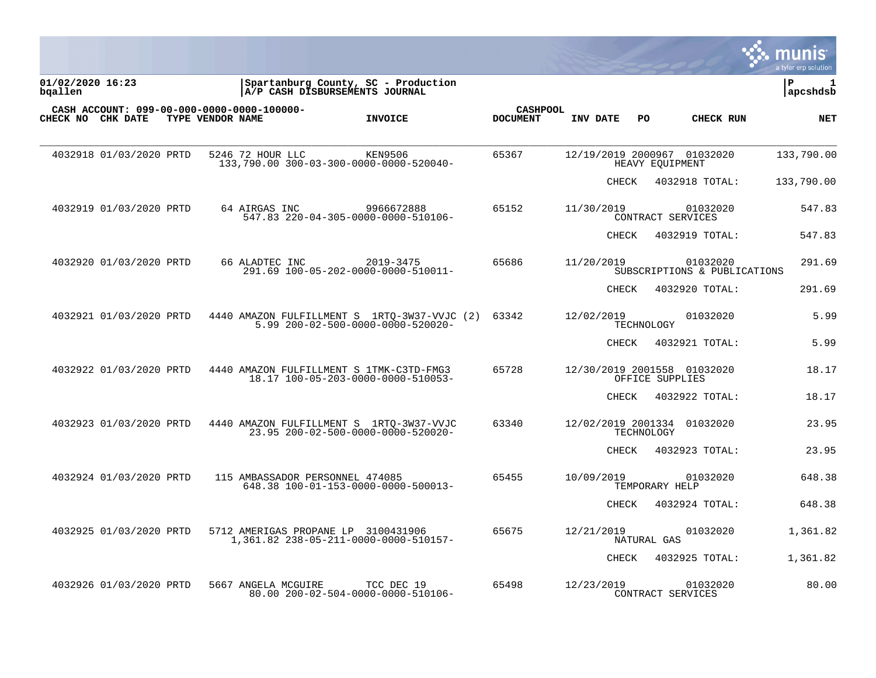|                                                                 |                                     |                                                                                   |                                    |              |                                                | a tyler erp solution |
|-----------------------------------------------------------------|-------------------------------------|-----------------------------------------------------------------------------------|------------------------------------|--------------|------------------------------------------------|----------------------|
| 01/02/2020 16:23<br>bgallen                                     |                                     | Spartanburg County, SC - Production<br> A/P CASH DISBURSEMENTS JOURNAL            |                                    |              |                                                | l P<br>1<br>apcshdsb |
| CASH ACCOUNT: 099-00-000-0000-0000-100000-<br>CHECK NO CHK DATE | TYPE VENDOR NAME                    | <b>INVOICE</b>                                                                    | <b>CASHPOOL</b><br><b>DOCUMENT</b> | INV DATE     | PO.<br>CHECK RUN                               | <b>NET</b>           |
| 4032918 01/03/2020 PRTD                                         | 5246 72 HOUR LLC                    | KEN9506<br>133,790.00 300-03-300-0000-0000-520040-                                | 65367                              |              | 12/19/2019 2000967 01032020<br>HEAVY EOUIPMENT | 133,790.00           |
|                                                                 |                                     |                                                                                   |                                    | <b>CHECK</b> | 4032918 TOTAL:                                 | 133,790.00           |
| 4032919 01/03/2020 PRTD                                         | 64 AIRGAS INC                       | 9966672888<br>547.83 220-04-305-0000-0000-510106-                                 | 65152                              | 11/30/2019   | 01032020<br>CONTRACT SERVICES                  | 547.83               |
|                                                                 |                                     |                                                                                   |                                    | <b>CHECK</b> | 4032919 TOTAL:                                 | 547.83               |
| 4032920 01/03/2020 PRTD                                         | 66 ALADTEC INC                      | 2019-3475<br>291.69 100-05-202-0000-0000-510011-                                  | 65686                              | 11/20/2019   | 01032020<br>SUBSCRIPTIONS & PUBLICATIONS       | 291.69               |
|                                                                 |                                     |                                                                                   |                                    | CHECK        | 4032920 TOTAL:                                 | 291.69               |
| 4032921 01/03/2020 PRTD                                         |                                     | 4440 AMAZON FULFILLMENT S 1RTQ-3W37-VVJC (2)<br>5.99 200-02-500-0000-0000-520020- | 63342                              | 12/02/2019   | 01032020<br>TECHNOLOGY                         | 5.99                 |
|                                                                 |                                     |                                                                                   |                                    | CHECK        | 4032921 TOTAL:                                 | 5.99                 |
| 4032922 01/03/2020 PRTD                                         |                                     | 4440 AMAZON FULFILLMENT S 1TMK-C3TD-FMG3<br>18.17 100-05-203-0000-0000-510053-    | 65728                              |              | 12/30/2019 2001558 01032020<br>OFFICE SUPPLIES | 18.17                |
|                                                                 |                                     |                                                                                   |                                    | <b>CHECK</b> | 4032922 TOTAL:                                 | 18.17                |
| 4032923 01/03/2020 PRTD                                         |                                     | 4440 AMAZON FULFILLMENT S 1RTO-3W37-VVJC<br>23.95 200-02-500-0000-0000-520020-    | 63340                              |              | 12/02/2019 2001334 01032020<br>TECHNOLOGY      | 23.95                |
|                                                                 |                                     |                                                                                   |                                    | <b>CHECK</b> | 4032923 TOTAL:                                 | 23.95                |
| 4032924 01/03/2020 PRTD                                         | 115 AMBASSADOR PERSONNEL 474085     | 648.38 100-01-153-0000-0000-500013-                                               | 65455                              | 10/09/2019   | 01032020<br>TEMPORARY HELP                     | 648.38               |
|                                                                 |                                     |                                                                                   |                                    | CHECK        | 4032924 TOTAL:                                 | 648.38               |
| 4032925 01/03/2020 PRTD                                         | 5712 AMERIGAS PROPANE LP 3100431906 | 1,361.82 238-05-211-0000-0000-510157-                                             | 65675                              | 12/21/2019   | 01032020<br>NATURAL GAS                        | 1,361.82             |
|                                                                 |                                     |                                                                                   |                                    | CHECK        | 4032925 TOTAL:                                 | 1,361.82             |
| 4032926 01/03/2020 PRTD                                         | 5667 ANGELA MCGUIRE                 | TCC DEC 19<br>80.00 200-02-504-0000-0000-510106-                                  | 65498                              | 12/23/2019   | 01032020<br>CONTRACT SERVICES                  | 80.00                |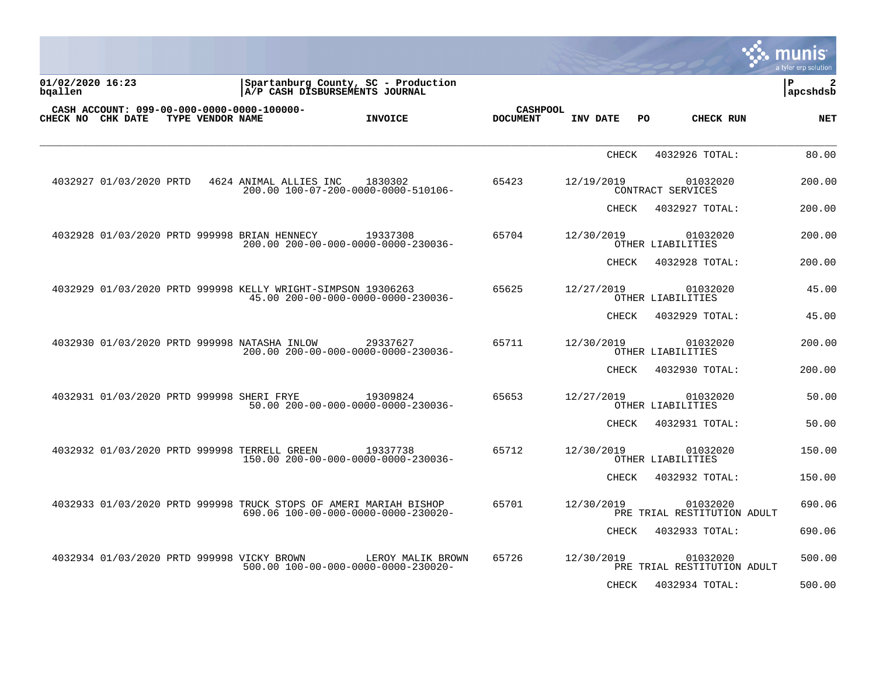|                             |                         |                  |                                                              |                                                                                                          |                                    |              |     |                                         | munis<br>a tyler erp solution   |
|-----------------------------|-------------------------|------------------|--------------------------------------------------------------|----------------------------------------------------------------------------------------------------------|------------------------------------|--------------|-----|-----------------------------------------|---------------------------------|
| 01/02/2020 16:23<br>bqallen |                         |                  |                                                              | Spartanburg County, SC - Production<br>A/P CASH DISBURSEMENTS JOURNAL                                    |                                    |              |     |                                         | $\mathbf{2}$<br>l P<br>apcshdsb |
| CHECK NO CHK DATE           |                         | TYPE VENDOR NAME | CASH ACCOUNT: 099-00-000-0000-0000-100000-                   | <b>INVOICE</b>                                                                                           | <b>CASHPOOL</b><br><b>DOCUMENT</b> | INV DATE     | PO. | CHECK RUN                               | NET                             |
|                             |                         |                  |                                                              |                                                                                                          |                                    | CHECK        |     | 4032926 TOTAL:                          | 80.00                           |
|                             | 4032927 01/03/2020 PRTD |                  | 4624 ANIMAL ALLIES INC                                       | 1830302<br>200.00 100-07-200-0000-0000-510106-                                                           | 65423                              | 12/19/2019   |     | 01032020<br>CONTRACT SERVICES           | 200.00                          |
|                             |                         |                  |                                                              |                                                                                                          |                                    | CHECK        |     | 4032927 TOTAL:                          | 200.00                          |
|                             |                         |                  | 4032928 01/03/2020 PRTD 999998 BRIAN HENNECY                 | 19337308<br>200.00 200-00-000-0000-0000-230036-                                                          | 65704                              | 12/30/2019   |     | 01032020<br>OTHER LIABILITIES           | 200.00                          |
|                             |                         |                  |                                                              |                                                                                                          |                                    | CHECK        |     | 4032928 TOTAL:                          | 200.00                          |
|                             |                         |                  | 4032929 01/03/2020 PRTD 999998 KELLY WRIGHT-SIMPSON 19306263 | 45.00 200-00-000-0000-0000-230036-                                                                       | 65625                              | 12/27/2019   |     | 01032020<br>OTHER LIABILITIES           | 45.00                           |
|                             |                         |                  |                                                              |                                                                                                          |                                    | CHECK        |     | 4032929 TOTAL:                          | 45.00                           |
|                             |                         |                  | 4032930 01/03/2020 PRTD 999998 NATASHA INLOW                 | 29337627<br>200.00 200-00-000-0000-0000-230036-                                                          | 65711                              | 12/30/2019   |     | 01032020<br>OTHER LIABILITIES           | 200.00                          |
|                             |                         |                  |                                                              |                                                                                                          |                                    | CHECK        |     | 4032930 TOTAL:                          | 200.00                          |
|                             |                         |                  | 4032931 01/03/2020 PRTD 999998 SHERI FRYE                    | 19309824<br>50.00 200-00-000-0000-0000-230036-                                                           | 65653                              | 12/27/2019   |     | 01032020<br>OTHER LIABILITIES           | 50.00                           |
|                             |                         |                  |                                                              |                                                                                                          |                                    | CHECK        |     | 4032931 TOTAL:                          | 50.00                           |
|                             |                         |                  | 4032932 01/03/2020 PRTD 999998 TERRELL GREEN                 | 19337738<br>150.00 200-00-000-0000-0000-230036-                                                          | 65712                              | 12/30/2019   |     | 01032020<br>OTHER LIABILITIES           | 150.00                          |
|                             |                         |                  |                                                              |                                                                                                          |                                    | <b>CHECK</b> |     | 4032932 TOTAL:                          | 150.00                          |
|                             |                         |                  |                                                              | 4032933 01/03/2020 PRTD 999998 TRUCK STOPS OF AMERI MARIAH BISHOP<br>690.06 100-00-000-0000-0000-230020- | 65701                              | 12/30/2019   |     | 01032020<br>PRE TRIAL RESTITUTION ADULT | 690.06                          |
|                             |                         |                  |                                                              |                                                                                                          |                                    | CHECK        |     | 4032933 TOTAL:                          | 690.06                          |
|                             |                         |                  | 4032934 01/03/2020 PRTD 999998 VICKY BROWN                   | LEROY MALIK BROWN<br>500.00 100-00-000-0000-0000-230020-                                                 | 65726                              | 12/30/2019   |     | 01032020<br>PRE TRIAL RESTITUTION ADULT | 500.00                          |
|                             |                         |                  |                                                              |                                                                                                          |                                    | <b>CHECK</b> |     | 4032934 TOTAL:                          | 500.00                          |

**COMPANY**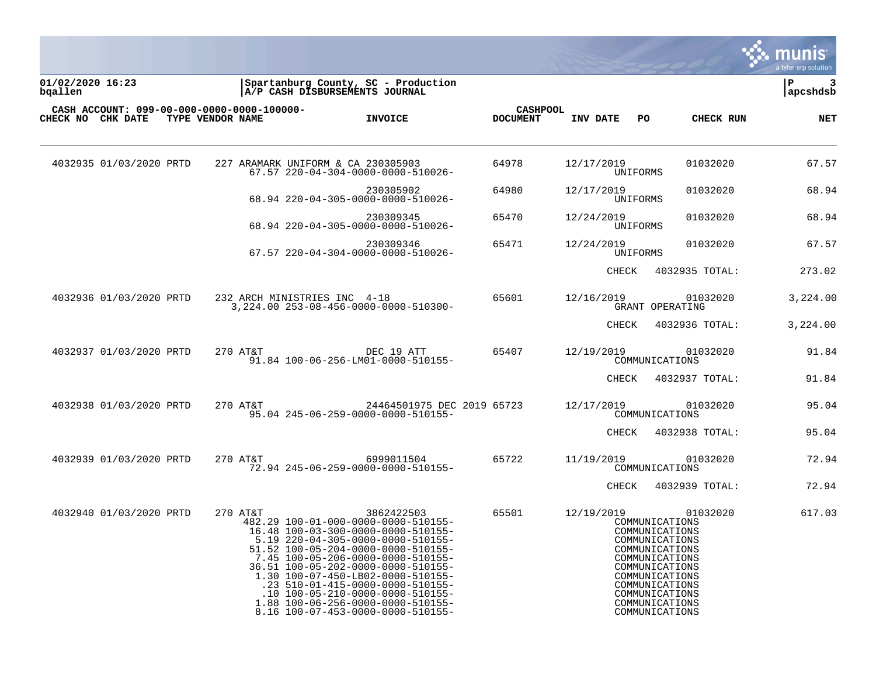

**01/02/2020 16:23 |Spartanburg County, SC - Production |P 3 bqallen |A/P CASH DISBURSEMENTS JOURNAL |apcshdsb**

| 01/02/2020 16:23 |  |  |
|------------------|--|--|
| bqallen          |  |  |
|                  |  |  |

|  | CASH ACCOUNT: 099-00-000-0000-0000-100000-<br>CHECK NO CHK DATE | TYPE VENDOR NAME |          |                                    | <b>INVOICE</b>                                                                                                                                                                                                                                                                                                                                                                                                                       | <b>CASHPOOL</b><br><b>DOCUMENT</b> | INV DATE   | PO.      | CHECK RUN                                                                                                                                                                                                      | <b>NET</b> |
|--|-----------------------------------------------------------------|------------------|----------|------------------------------------|--------------------------------------------------------------------------------------------------------------------------------------------------------------------------------------------------------------------------------------------------------------------------------------------------------------------------------------------------------------------------------------------------------------------------------------|------------------------------------|------------|----------|----------------------------------------------------------------------------------------------------------------------------------------------------------------------------------------------------------------|------------|
|  | 4032935 01/03/2020 PRTD                                         |                  |          | 227 ARAMARK UNIFORM & CA 230305903 | 67.57 220-04-304-0000-0000-510026-                                                                                                                                                                                                                                                                                                                                                                                                   | 64978                              | 12/17/2019 | UNIFORMS | 01032020                                                                                                                                                                                                       | 67.57      |
|  |                                                                 |                  |          |                                    | 230305902<br>68.94 220-04-305-0000-0000-510026-                                                                                                                                                                                                                                                                                                                                                                                      | 64980                              | 12/17/2019 | UNIFORMS | 01032020                                                                                                                                                                                                       | 68.94      |
|  |                                                                 |                  |          |                                    | 230309345<br>68.94 220-04-305-0000-0000-510026-                                                                                                                                                                                                                                                                                                                                                                                      | 65470                              | 12/24/2019 | UNIFORMS | 01032020                                                                                                                                                                                                       | 68.94      |
|  |                                                                 |                  |          |                                    | 230309346<br>67.57 220-04-304-0000-0000-510026-                                                                                                                                                                                                                                                                                                                                                                                      | 65471                              | 12/24/2019 | UNIFORMS | 01032020                                                                                                                                                                                                       | 67.57      |
|  |                                                                 |                  |          |                                    |                                                                                                                                                                                                                                                                                                                                                                                                                                      |                                    | CHECK      |          | 4032935 TOTAL:                                                                                                                                                                                                 | 273.02     |
|  | 4032936 01/03/2020 PRTD                                         |                  |          | 232 ARCH MINISTRIES INC 4-18       | 3, 224.00 253-08-456-0000-0000-510300-                                                                                                                                                                                                                                                                                                                                                                                               | 65601                              | 12/16/2019 |          | 01032020<br>GRANT OPERATING                                                                                                                                                                                    | 3,224.00   |
|  |                                                                 |                  |          |                                    |                                                                                                                                                                                                                                                                                                                                                                                                                                      |                                    | CHECK      |          | 4032936 TOTAL:                                                                                                                                                                                                 | 3,224.00   |
|  | 4032937 01/03/2020 PRTD                                         |                  | 270 AT&T |                                    | DEC 19 ATT<br>91.84 100-06-256-LM01-0000-510155-                                                                                                                                                                                                                                                                                                                                                                                     | 65407                              | 12/19/2019 |          | 01032020<br>COMMUNICATIONS                                                                                                                                                                                     | 91.84      |
|  |                                                                 |                  |          |                                    |                                                                                                                                                                                                                                                                                                                                                                                                                                      |                                    | CHECK      |          | 4032937 TOTAL:                                                                                                                                                                                                 | 91.84      |
|  | 4032938 01/03/2020 PRTD                                         |                  | 270 AT&T |                                    | 24464501975 DEC 2019 65723<br>95.04 245-06-259-0000-0000-510155-                                                                                                                                                                                                                                                                                                                                                                     |                                    | 12/17/2019 |          | 01032020<br>COMMUNICATIONS                                                                                                                                                                                     | 95.04      |
|  |                                                                 |                  |          |                                    |                                                                                                                                                                                                                                                                                                                                                                                                                                      |                                    | CHECK      |          | 4032938 TOTAL:                                                                                                                                                                                                 | 95.04      |
|  | 4032939 01/03/2020 PRTD                                         |                  | 270 AT&T |                                    | 6999011504<br>72.94 245-06-259-0000-0000-510155-                                                                                                                                                                                                                                                                                                                                                                                     | 65722                              | 11/19/2019 |          | 01032020<br>COMMUNICATIONS                                                                                                                                                                                     | 72.94      |
|  |                                                                 |                  |          |                                    |                                                                                                                                                                                                                                                                                                                                                                                                                                      |                                    | CHECK      |          | 4032939 TOTAL:                                                                                                                                                                                                 | 72.94      |
|  | 4032940 01/03/2020 PRTD                                         |                  | 270 AT&T |                                    | 3862422503<br>482.29 100-01-000-0000-0000-510155-<br>16.48 100-03-300-0000-0000-510155-<br>5.19 220-04-305-0000-0000-510155-<br>51.52 100-05-204-0000-0000-510155-<br>7.45 100-05-206-0000-0000-510155-<br>36.51 100-05-202-0000-0000-510155-<br>1.30 100-07-450-LB02-0000-510155-<br>.23 510-01-415-0000-0000-510155-<br>.10 100-05-210-0000-0000-510155-<br>1.88 100-06-256-0000-0000-510155-<br>8.16 100-07-453-0000-0000-510155- | 65501                              | 12/19/2019 |          | 01032020<br>COMMUNICATIONS<br>COMMUNICATIONS<br>COMMUNICATIONS<br>COMMUNICATIONS<br>COMMUNICATIONS<br>COMMUNICATIONS<br>COMMUNICATIONS<br>COMMUNICATIONS<br>COMMUNICATIONS<br>COMMUNICATIONS<br>COMMUNICATIONS | 617.03     |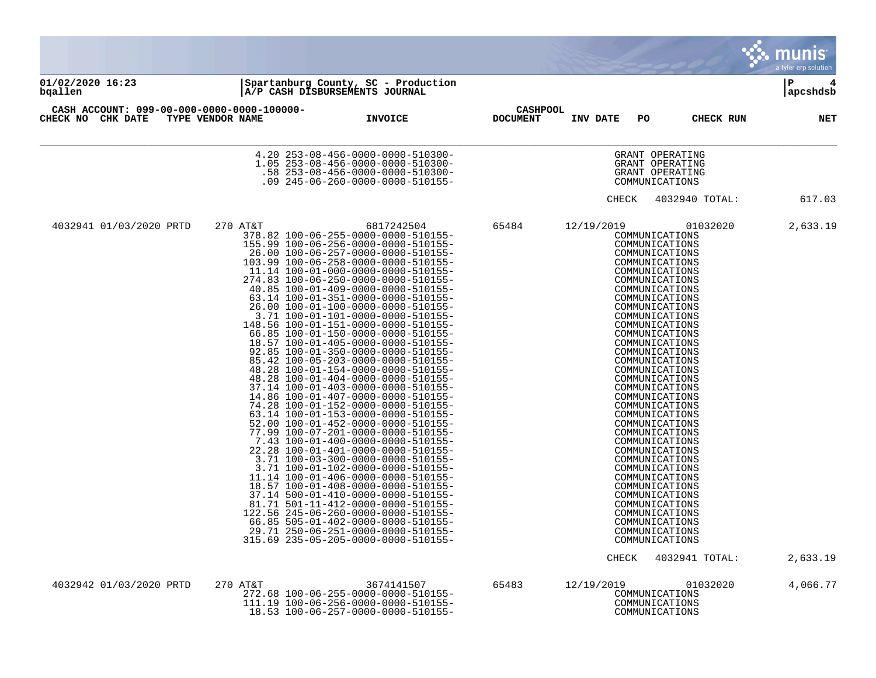|                                                                 |                  |                                                                                                                                                                                                                                                                                                                                                                                                                                                                                                                                                                                                                                                                                                                                                                                                                                                                                                                                                                                                                                                                                                                                                                                                                                                                                                                                                                                                 |                                    |                     |                                                                                                                                                                                                                                                                                                                                                                                                                                                                                                                                                                                                                                                                                  | <b>MUNIS</b><br>a tyler erp solution |
|-----------------------------------------------------------------|------------------|-------------------------------------------------------------------------------------------------------------------------------------------------------------------------------------------------------------------------------------------------------------------------------------------------------------------------------------------------------------------------------------------------------------------------------------------------------------------------------------------------------------------------------------------------------------------------------------------------------------------------------------------------------------------------------------------------------------------------------------------------------------------------------------------------------------------------------------------------------------------------------------------------------------------------------------------------------------------------------------------------------------------------------------------------------------------------------------------------------------------------------------------------------------------------------------------------------------------------------------------------------------------------------------------------------------------------------------------------------------------------------------------------|------------------------------------|---------------------|----------------------------------------------------------------------------------------------------------------------------------------------------------------------------------------------------------------------------------------------------------------------------------------------------------------------------------------------------------------------------------------------------------------------------------------------------------------------------------------------------------------------------------------------------------------------------------------------------------------------------------------------------------------------------------|--------------------------------------|
| 01/02/2020 16:23<br>bqallen                                     |                  | Spartanburg County, SC - Production<br>A/P CASH DISBURSEMENTS JOURNAL                                                                                                                                                                                                                                                                                                                                                                                                                                                                                                                                                                                                                                                                                                                                                                                                                                                                                                                                                                                                                                                                                                                                                                                                                                                                                                                           |                                    |                     |                                                                                                                                                                                                                                                                                                                                                                                                                                                                                                                                                                                                                                                                                  | l P<br>4<br>apcshdsb                 |
| CASH ACCOUNT: 099-00-000-0000-0000-100000-<br>CHECK NO CHK DATE | TYPE VENDOR NAME | <b>INVOICE</b>                                                                                                                                                                                                                                                                                                                                                                                                                                                                                                                                                                                                                                                                                                                                                                                                                                                                                                                                                                                                                                                                                                                                                                                                                                                                                                                                                                                  | <b>CASHPOOL</b><br><b>DOCUMENT</b> | INV DATE<br>PO      | CHECK RUN                                                                                                                                                                                                                                                                                                                                                                                                                                                                                                                                                                                                                                                                        | <b>NET</b>                           |
|                                                                 |                  | 4.20 253-08-456-0000-0000-510300-<br>1.05 253-08-456-0000-0000-510300-<br>-58 253-08-456-0000-0000-510300-<br>.09 245-06-260-0000-0000-510155-                                                                                                                                                                                                                                                                                                                                                                                                                                                                                                                                                                                                                                                                                                                                                                                                                                                                                                                                                                                                                                                                                                                                                                                                                                                  |                                    |                     | GRANT OPERATING<br>GRANT OPERATING<br>GRANT OPERATING<br>COMMUNICATIONS                                                                                                                                                                                                                                                                                                                                                                                                                                                                                                                                                                                                          |                                      |
|                                                                 |                  |                                                                                                                                                                                                                                                                                                                                                                                                                                                                                                                                                                                                                                                                                                                                                                                                                                                                                                                                                                                                                                                                                                                                                                                                                                                                                                                                                                                                 |                                    | CHECK               | 4032940 TOTAL:                                                                                                                                                                                                                                                                                                                                                                                                                                                                                                                                                                                                                                                                   | 617.03                               |
| 4032941 01/03/2020 PRTD                                         | 270 AT&T         | 6817242504<br>378.82 100-06-255-0000-0000-510155-<br>155.99 100-06-256-0000-0000-510155-<br>26.00 100-06-257-0000-0000-510155-<br>103.99 100-06-258-0000-0000-510155-<br>11.14 100-01-000-0000-0000-510155-<br>274.83 100-06-250-0000-0000-510155-<br>40.85 100-01-409-0000-0000-510155-<br>63.14 100-01-351-0000-0000-510155-<br>26.00 100-01-100-0000-0000-510155-<br>3.71 100-01-101-0000-0000-510155-<br>148.56 100-01-151-0000-0000-510155-<br>66.85 100-01-150-0000-0000-510155-<br>18.57 100-01-405-0000-0000-510155-<br>92.85 100-01-350-0000-0000-510155-<br>85.42 100-05-203-0000-0000-510155-<br>48.28 100-01-154-0000-0000-510155-<br>48.28 100-01-404-0000-0000-510155-<br>37.14 100-01-403-0000-0000-510155-<br>14.86 100-01-407-0000-0000-510155-<br>74.28 100-01-152-0000-0000-510155-<br>63.14 100-01-153-0000-0000-510155-<br>52.00 100-01-452-0000-0000-510155-<br>77.99 100-07-201-0000-0000-510155-<br>7.43 100-01-400-0000-0000-510155-<br>22.28 100-01-401-0000-0000-510155-<br>3.71 100-03-300-0000-0000-510155-<br>3.71 100-01-102-0000-0000-510155-<br>11.14 100-01-406-0000-0000-510155-<br>18.57 100-01-408-0000-0000-510155-<br>37.14 500-01-410-0000-0000-510155-<br>81.71 501-11-412-0000-0000-510155-<br>122.56 245-06-260-0000-0000-510155-<br>66.85 505-01-402-0000-0000-510155-<br>29.71 250-06-251-0000-0000-510155-<br>315.69 235-05-205-0000-0000-510155- | 65484                              | 12/19/2019<br>CHECK | 01032020<br>COMMUNICATIONS<br>COMMUNICATIONS<br>COMMUNICATIONS<br>COMMUNICATIONS<br>COMMUNICATIONS<br>COMMUNICATIONS<br>COMMUNICATIONS<br>COMMUNICATIONS<br>COMMUNICATIONS<br>COMMUNICATIONS<br>COMMUNICATIONS<br>COMMUNICATIONS<br>COMMUNICATIONS<br>COMMUNICATIONS<br>COMMUNICATIONS<br>COMMUNICATIONS<br>COMMUNICATIONS<br>COMMUNICATIONS<br>COMMUNICATIONS<br>COMMUNICATIONS<br>COMMUNICATIONS<br>COMMUNICATIONS<br>COMMUNICATIONS<br>COMMUNICATIONS<br>COMMUNICATIONS<br>COMMUNICATIONS<br>COMMUNICATIONS<br>COMMUNICATIONS<br>COMMUNICATIONS<br>COMMUNICATIONS<br>COMMUNICATIONS<br>COMMUNICATIONS<br>COMMUNICATIONS<br>COMMUNICATIONS<br>COMMUNICATIONS<br>4032941 TOTAL: | 2,633.19<br>2,633.19                 |
| 4032942 01/03/2020 PRTD                                         | 270 AT&T         | 3674141507<br>272.68 100-06-255-0000-0000-510155-<br>111.19 100-06-256-0000-0000-510155-<br>18.53 100-06-257-0000-0000-510155-                                                                                                                                                                                                                                                                                                                                                                                                                                                                                                                                                                                                                                                                                                                                                                                                                                                                                                                                                                                                                                                                                                                                                                                                                                                                  | 65483                              | 12/19/2019          | 01032020<br>COMMUNICATIONS<br>COMMUNICATIONS<br>COMMUNICATIONS                                                                                                                                                                                                                                                                                                                                                                                                                                                                                                                                                                                                                   | 4,066.77                             |

the contract of the contract of the contract of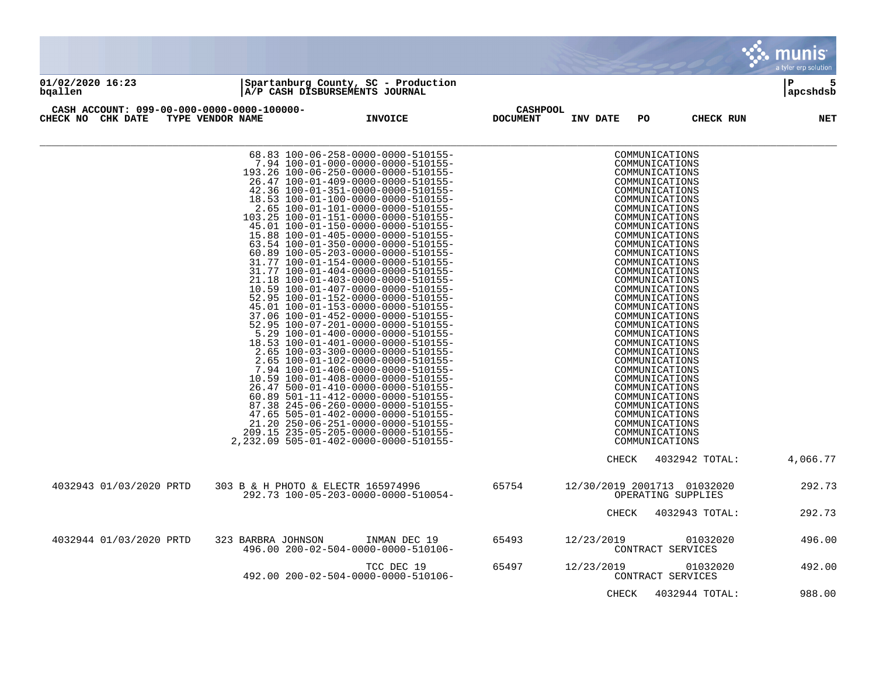|                                                                 |                                    |                                                                                                                                                                                                                                                                                                                                                                                                                                                                                                                                                                                                                                                                                                                                                                                                                                                                                                                                                                                                                                                                                                                                                                                                                                                                                                    |                                    |                 |                                                                                                                                                                                                                                                                                                                                                                                                                                                                                                                                                                                                                | a tyler erp solution |
|-----------------------------------------------------------------|------------------------------------|----------------------------------------------------------------------------------------------------------------------------------------------------------------------------------------------------------------------------------------------------------------------------------------------------------------------------------------------------------------------------------------------------------------------------------------------------------------------------------------------------------------------------------------------------------------------------------------------------------------------------------------------------------------------------------------------------------------------------------------------------------------------------------------------------------------------------------------------------------------------------------------------------------------------------------------------------------------------------------------------------------------------------------------------------------------------------------------------------------------------------------------------------------------------------------------------------------------------------------------------------------------------------------------------------|------------------------------------|-----------------|----------------------------------------------------------------------------------------------------------------------------------------------------------------------------------------------------------------------------------------------------------------------------------------------------------------------------------------------------------------------------------------------------------------------------------------------------------------------------------------------------------------------------------------------------------------------------------------------------------------|----------------------|
| 01/02/2020 16:23<br>bqallen                                     |                                    | Spartanburg County, SC - Production<br>A/P CASH DISBURSEMENTS JOURNAL                                                                                                                                                                                                                                                                                                                                                                                                                                                                                                                                                                                                                                                                                                                                                                                                                                                                                                                                                                                                                                                                                                                                                                                                                              |                                    |                 |                                                                                                                                                                                                                                                                                                                                                                                                                                                                                                                                                                                                                | ∣P<br>5<br>apcshdsb  |
| CASH ACCOUNT: 099-00-000-0000-0000-100000-<br>CHECK NO CHK DATE | TYPE VENDOR NAME                   | <b>INVOICE</b>                                                                                                                                                                                                                                                                                                                                                                                                                                                                                                                                                                                                                                                                                                                                                                                                                                                                                                                                                                                                                                                                                                                                                                                                                                                                                     | <b>CASHPOOL</b><br><b>DOCUMENT</b> | INV DATE<br>PO. | CHECK RUN                                                                                                                                                                                                                                                                                                                                                                                                                                                                                                                                                                                                      | <b>NET</b>           |
|                                                                 |                                    | 68.83 100-06-258-0000-0000-510155-<br>7.94 100-01-000-0000-0000-510155-<br>193.26 100-06-250-0000-0000-510155-<br>26.47 100-01-409-0000-0000-510155-<br>42.36 100-01-351-0000-0000-510155-<br>18.53 100-01-100-0000-0000-510155-<br>2.65 100-01-101-0000-0000-510155-<br>103.25 100-01-151-0000-0000-510155-<br>45.01 100-01-150-0000-0000-510155-<br>15.88 100-01-405-0000-0000-510155-<br>63.54 100-01-350-0000-0000-510155-<br>60.89 100-05-203-0000-0000-510155-<br>31.77 100-01-154-0000-0000-510155-<br>31.77 100-01-404-0000-0000-510155-<br>21.18 100-01-403-0000-0000-510155-<br>10.59 100-01-407-0000-0000-510155-<br>52.95 100-01-152-0000-0000-510155-<br>45.01 100-01-153-0000-0000-510155-<br>37.06 100-01-452-0000-0000-510155-<br>52.95 100-07-201-0000-0000-510155-<br>5.29 100-01-400-0000-0000-510155-<br>18.53 100-01-401-0000-0000-510155-<br>2.65 100-03-300-0000-0000-510155-<br>2.65 100-01-102-0000-0000-510155-<br>7.94 100-01-406-0000-0000-510155-<br>10.59 100-01-408-0000-0000-510155-<br>26.47 500-01-410-0000-0000-510155-<br>60.89 501-11-412-0000-0000-510155-<br>87.38 245-06-260-0000-0000-510155-<br>47.65 505-01-402-0000-0000-510155-<br>21.20 250-06-251-0000-0000-510155-<br>209.15 235-05-205-0000-0000-510155-<br>2,232.09 505-01-402-0000-0000-510155- |                                    |                 | COMMUNICATIONS<br>COMMUNICATIONS<br>COMMUNICATIONS<br>COMMUNICATIONS<br>COMMUNICATIONS<br>COMMUNICATIONS<br>COMMUNICATIONS<br>COMMUNICATIONS<br>COMMUNICATIONS<br>COMMUNICATIONS<br>COMMUNICATIONS<br>COMMUNICATIONS<br>COMMUNICATIONS<br>COMMUNICATIONS<br>COMMUNICATIONS<br>COMMUNICATIONS<br>COMMUNICATIONS<br>COMMUNICATIONS<br>COMMUNICATIONS<br>COMMUNICATIONS<br>COMMUNICATIONS<br>COMMUNICATIONS<br>COMMUNICATIONS<br>COMMUNICATIONS<br>COMMUNICATIONS<br>COMMUNICATIONS<br>COMMUNICATIONS<br>COMMUNICATIONS<br>COMMUNICATIONS<br>COMMUNICATIONS<br>COMMUNICATIONS<br>COMMUNICATIONS<br>COMMUNICATIONS |                      |
|                                                                 |                                    |                                                                                                                                                                                                                                                                                                                                                                                                                                                                                                                                                                                                                                                                                                                                                                                                                                                                                                                                                                                                                                                                                                                                                                                                                                                                                                    |                                    | <b>CHECK</b>    | 4032942 TOTAL:                                                                                                                                                                                                                                                                                                                                                                                                                                                                                                                                                                                                 | 4,066.77             |
| 4032943 01/03/2020 PRTD                                         | 303 B & H PHOTO & ELECTR 165974996 | 292.73 100-05-203-0000-0000-510054-                                                                                                                                                                                                                                                                                                                                                                                                                                                                                                                                                                                                                                                                                                                                                                                                                                                                                                                                                                                                                                                                                                                                                                                                                                                                | 65754                              |                 | 12/30/2019 2001713 01032020<br>OPERATING SUPPLIES                                                                                                                                                                                                                                                                                                                                                                                                                                                                                                                                                              | 292.73               |
|                                                                 |                                    |                                                                                                                                                                                                                                                                                                                                                                                                                                                                                                                                                                                                                                                                                                                                                                                                                                                                                                                                                                                                                                                                                                                                                                                                                                                                                                    |                                    | CHECK           | 4032943 TOTAL:                                                                                                                                                                                                                                                                                                                                                                                                                                                                                                                                                                                                 | 292.73               |
| 4032944 01/03/2020 PRTD                                         | 323 BARBRA JOHNSON                 | INMAN DEC 19<br>496.00 200-02-504-0000-0000-510106-                                                                                                                                                                                                                                                                                                                                                                                                                                                                                                                                                                                                                                                                                                                                                                                                                                                                                                                                                                                                                                                                                                                                                                                                                                                | 65493                              | 12/23/2019      | 01032020<br>CONTRACT SERVICES                                                                                                                                                                                                                                                                                                                                                                                                                                                                                                                                                                                  | 496.00               |
|                                                                 |                                    | TCC DEC 19<br>492.00 200-02-504-0000-0000-510106-                                                                                                                                                                                                                                                                                                                                                                                                                                                                                                                                                                                                                                                                                                                                                                                                                                                                                                                                                                                                                                                                                                                                                                                                                                                  | 65497                              | 12/23/2019      | 01032020<br>CONTRACT SERVICES                                                                                                                                                                                                                                                                                                                                                                                                                                                                                                                                                                                  | 492.00               |
|                                                                 |                                    |                                                                                                                                                                                                                                                                                                                                                                                                                                                                                                                                                                                                                                                                                                                                                                                                                                                                                                                                                                                                                                                                                                                                                                                                                                                                                                    |                                    | <b>CHECK</b>    | 4032944 TOTAL:                                                                                                                                                                                                                                                                                                                                                                                                                                                                                                                                                                                                 | 988.00               |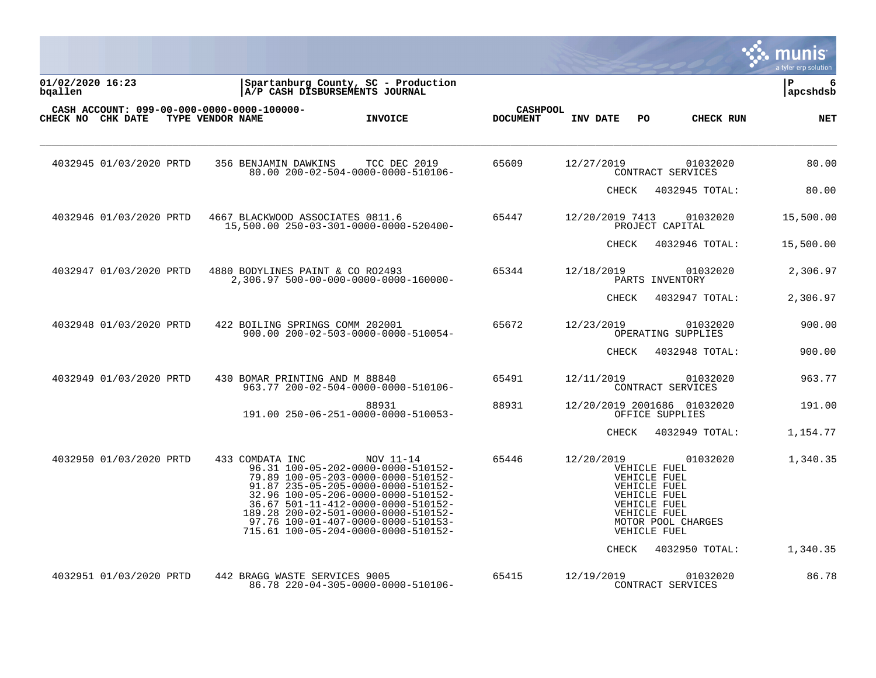|                             |                         |                                                                |                                                                                                                                                                                                                                                                                                                             |                                    |                 |                                                                                                              |                                                | IIS<br>a tyler erp solution |
|-----------------------------|-------------------------|----------------------------------------------------------------|-----------------------------------------------------------------------------------------------------------------------------------------------------------------------------------------------------------------------------------------------------------------------------------------------------------------------------|------------------------------------|-----------------|--------------------------------------------------------------------------------------------------------------|------------------------------------------------|-----------------------------|
| 01/02/2020 16:23<br>bgallen |                         |                                                                | Spartanburg County, SC - Production<br>A/P CASH DISBURSEMENTS JOURNAL                                                                                                                                                                                                                                                       |                                    |                 |                                                                                                              |                                                | P<br>6<br>apcshdsb          |
|                             | CHECK NO CHK DATE       | CASH ACCOUNT: 099-00-000-0000-0000-100000-<br>TYPE VENDOR NAME | <b>INVOICE</b>                                                                                                                                                                                                                                                                                                              | <b>CASHPOOL</b><br><b>DOCUMENT</b> | INV DATE        | PO                                                                                                           | CHECK RUN                                      | <b>NET</b>                  |
|                             | 4032945 01/03/2020 PRTD | 356 BENJAMIN DAWKINS                                           | TCC DEC 2019<br>80.00 200-02-504-0000-0000-510106-                                                                                                                                                                                                                                                                          | 65609                              | 12/27/2019      |                                                                                                              | 01032020<br>CONTRACT SERVICES                  | 80.00                       |
|                             |                         |                                                                |                                                                                                                                                                                                                                                                                                                             |                                    | CHECK           |                                                                                                              | 4032945 TOTAL:                                 | 80.00                       |
|                             | 4032946 01/03/2020 PRTD |                                                                | 4667 BLACKWOOD ASSOCIATES 0811.6<br>15,500.00 250-03-301-0000-0000-520400-                                                                                                                                                                                                                                                  | 65447                              | 12/20/2019 7413 |                                                                                                              | 01032020<br>PROJECT CAPITAL                    | 15,500.00                   |
|                             |                         |                                                                |                                                                                                                                                                                                                                                                                                                             |                                    | CHECK           |                                                                                                              | 4032946 TOTAL:                                 | 15,500.00                   |
|                             | 4032947 01/03/2020 PRTD |                                                                | 4880 BODYLINES PAINT & CO RO2493<br>2,306.97 500-00-000-0000-0000-160000-                                                                                                                                                                                                                                                   | 65344                              | 12/18/2019      |                                                                                                              | 01032020<br>PARTS INVENTORY                    | 2,306.97                    |
|                             |                         |                                                                |                                                                                                                                                                                                                                                                                                                             |                                    | CHECK           |                                                                                                              | 4032947 TOTAL:                                 | 2,306.97                    |
|                             | 4032948 01/03/2020 PRTD |                                                                | 422 BOILING SPRINGS COMM 202001<br>900.00 200-02-503-0000-0000-510054-                                                                                                                                                                                                                                                      | 65672                              | 12/23/2019      |                                                                                                              | 01032020<br>OPERATING SUPPLIES                 | 900.00                      |
|                             |                         |                                                                |                                                                                                                                                                                                                                                                                                                             |                                    | CHECK           |                                                                                                              | 4032948 TOTAL:                                 | 900.00                      |
|                             | 4032949 01/03/2020 PRTD |                                                                | 430 BOMAR PRINTING AND M 88840<br>963.77 200-02-504-0000-0000-510106-                                                                                                                                                                                                                                                       | 65491                              | 12/11/2019      |                                                                                                              | 01032020<br>CONTRACT SERVICES                  | 963.77                      |
|                             |                         |                                                                | 88931<br>191.00 250-06-251-0000-0000-510053-                                                                                                                                                                                                                                                                                | 88931                              |                 |                                                                                                              | 12/20/2019 2001686 01032020<br>OFFICE SUPPLIES | 191.00                      |
|                             |                         |                                                                |                                                                                                                                                                                                                                                                                                                             |                                    | CHECK           |                                                                                                              | 4032949 TOTAL:                                 | 1,154.77                    |
|                             | 4032950 01/03/2020 PRTD | 433 COMDATA INC                                                | NOV 11-14<br>96.31 100-05-202-0000-0000-510152-<br>79.89 100-05-203-0000-0000-510152-<br>91.87 235-05-205-0000-0000-510152-<br>32.96 100-05-206-0000-0000-510152-<br>36.67 501-11-412-0000-0000-510152-<br>189.28 200-02-501-0000-0000-510152-<br>97.76 100-01-407-0000-0000-510153-<br>715.61 100-05-204-0000-0000-510152- | 65446                              | 12/20/2019      | VEHICLE FUEL<br>VEHICLE FUEL<br>VEHICLE FUEL<br>VEHICLE FUEL<br>VEHICLE FUEL<br>VEHICLE FUEL<br>VEHICLE FUEL | 01032020<br>MOTOR POOL CHARGES                 | 1,340.35                    |
|                             |                         |                                                                |                                                                                                                                                                                                                                                                                                                             |                                    | CHECK           |                                                                                                              | 4032950 TOTAL:                                 | 1,340.35                    |
|                             | 4032951 01/03/2020 PRTD | 442 BRAGG WASTE SERVICES 9005                                  | 86.78 220-04-305-0000-0000-510106-                                                                                                                                                                                                                                                                                          | 65415                              | 12/19/2019      |                                                                                                              | 01032020<br>CONTRACT SERVICES                  | 86.78                       |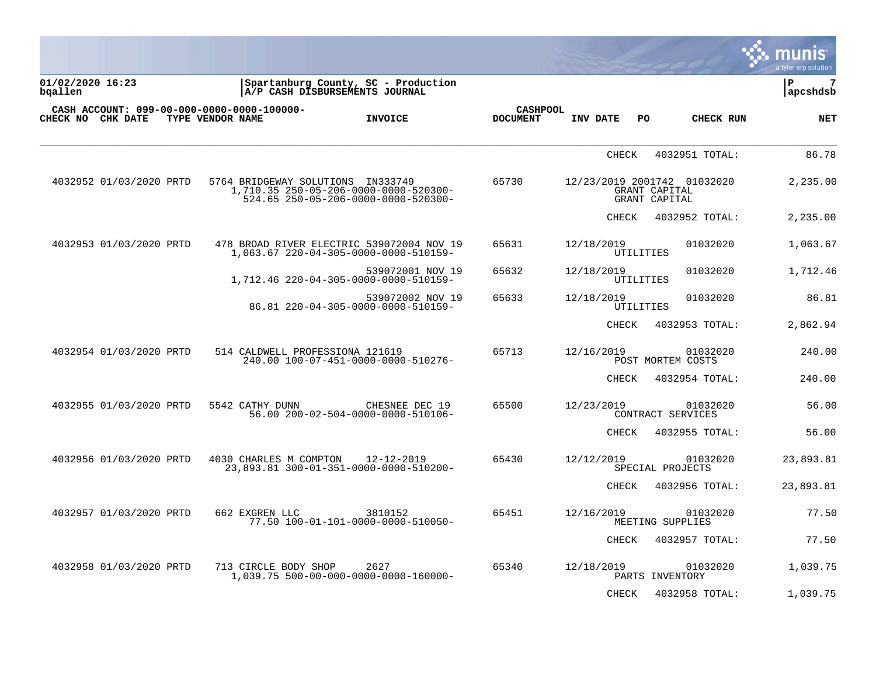|                                                                 |                                   |                                                                                    |                                    |                         |                                                               | munis<br>a tyler erp solution |
|-----------------------------------------------------------------|-----------------------------------|------------------------------------------------------------------------------------|------------------------------------|-------------------------|---------------------------------------------------------------|-------------------------------|
| 01/02/2020 16:23<br>bqallen                                     |                                   | Spartanburg County, SC - Production<br>A/P CASH DISBURSEMENTS JOURNAL              |                                    |                         |                                                               | l P<br>7<br>apcshdsb          |
| CASH ACCOUNT: 099-00-000-0000-0000-100000-<br>CHECK NO CHK DATE | TYPE VENDOR NAME                  | <b>INVOICE</b>                                                                     | <b>CASHPOOL</b><br><b>DOCUMENT</b> | INV DATE                | PO<br>CHECK RUN                                               | <b>NET</b>                    |
|                                                                 |                                   |                                                                                    |                                    | <b>CHECK</b>            | 4032951 TOTAL:                                                | 86.78                         |
| 4032952 01/03/2020 PRTD                                         | 5764 BRIDGEWAY SOLUTIONS IN333749 | 1,710.35 250-05-206-0000-0000-520300-<br>524.65 250-05-206-0000-0000-520300-       | 65730                              |                         | 12/23/2019 2001742 01032020<br>GRANT CAPITAL<br>GRANT CAPITAL | 2,235.00                      |
|                                                                 |                                   |                                                                                    |                                    | <b>CHECK</b>            | 4032952 TOTAL:                                                | 2,235.00                      |
| 4032953 01/03/2020 PRTD                                         |                                   | 478 BROAD RIVER ELECTRIC 539072004 NOV 19<br>1,063.67 220-04-305-0000-0000-510159- | 65631                              | 12/18/2019<br>UTILITIES | 01032020                                                      | 1,063.67                      |
|                                                                 |                                   | 539072001 NOV 19<br>1,712.46 220-04-305-0000-0000-510159-                          | 65632                              | 12/18/2019<br>UTILITIES | 01032020                                                      | 1,712.46                      |
|                                                                 |                                   | 539072002 NOV 19<br>86.81 220-04-305-0000-0000-510159-                             | 65633                              | 12/18/2019<br>UTILITIES | 01032020                                                      | 86.81                         |
|                                                                 |                                   |                                                                                    |                                    | <b>CHECK</b>            | 4032953 TOTAL:                                                | 2,862.94                      |
| 4032954 01/03/2020 PRTD                                         | 514 CALDWELL PROFESSIONA 121619   | 240.00 100-07-451-0000-0000-510276-                                                | 65713                              | 12/16/2019              | 01032020<br>POST MORTEM COSTS                                 | 240.00                        |
|                                                                 |                                   |                                                                                    |                                    | <b>CHECK</b>            | 4032954 TOTAL:                                                | 240.00                        |
| 4032955 01/03/2020 PRTD                                         | 5542 CATHY DUNN                   | CHESNEE DEC 19<br>56.00 200-02-504-0000-0000-510106-                               | 65500                              | 12/23/2019              | 01032020<br>CONTRACT SERVICES                                 | 56.00                         |
|                                                                 |                                   |                                                                                    |                                    | <b>CHECK</b>            | 4032955 TOTAL:                                                | 56.00                         |
| 4032956 01/03/2020 PRTD                                         | 4030 CHARLES M COMPTON            | 12-12-2019<br>23,893.81 300-01-351-0000-0000-510200-                               | 65430                              | 12/12/2019              | 01032020<br>SPECIAL PROJECTS                                  | 23,893.81                     |
|                                                                 |                                   |                                                                                    |                                    | CHECK                   | 4032956 TOTAL:                                                | 23,893.81                     |
| 4032957 01/03/2020 PRTD                                         | 662 EXGREN LLC                    | 3810152<br>77.50 100-01-101-0000-0000-510050-                                      | 65451                              | 12/16/2019              | 01032020<br>MEETING SUPPLIES                                  | 77.50                         |
|                                                                 |                                   |                                                                                    |                                    | <b>CHECK</b>            | 4032957 TOTAL:                                                | 77.50                         |
| 4032958 01/03/2020 PRTD                                         | 713 CIRCLE BODY SHOP              | 2627<br>1,039.75 500-00-000-0000-0000-160000-                                      | 65340                              | 12/18/2019              | 01032020<br>PARTS INVENTORY                                   | 1,039.75                      |

CHECK 4032958 TOTAL: 1,039.75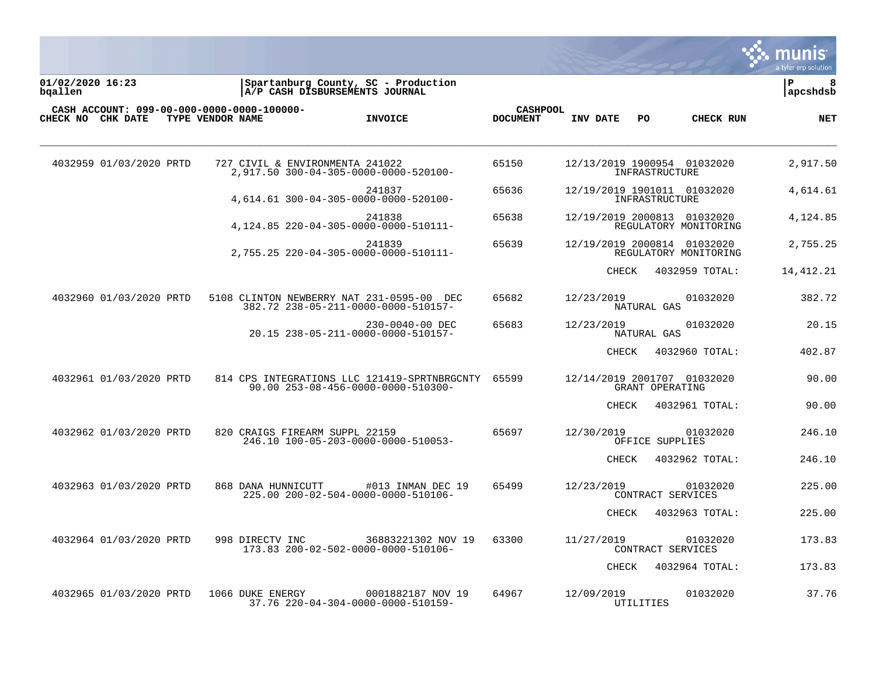

**01/02/2020 16:23 |Spartanburg County, SC - Production |P 8 bqallen |A/P CASH DISBURSEMENTS JOURNAL |apcshdsb**

| CHECK NO CHK DATE       | CASH ACCOUNT: 099-00-000-0000-0000-100000-<br>TYPE VENDOR NAME | <b>INVOICE</b>                                                                           | <b>CASHPOOL</b><br><b>DOCUMENT</b> | INV DATE                    | PO.             | CHECK RUN                     | <b>NET</b> |
|-------------------------|----------------------------------------------------------------|------------------------------------------------------------------------------------------|------------------------------------|-----------------------------|-----------------|-------------------------------|------------|
| 4032959 01/03/2020 PRTD |                                                                | 727 CIVIL & ENVIRONMENTA 241022<br>2,917.50 300-04-305-0000-0000-520100-                 | 65150                              | 12/13/2019 1900954 01032020 | INFRASTRUCTURE  |                               | 2,917.50   |
|                         |                                                                | 241837<br>4.614.61 300-04-305-0000-0000-520100-                                          | 65636                              | 12/19/2019 1901011 01032020 | INFRASTRUCTURE  |                               | 4,614.61   |
|                         |                                                                | 241838<br>4, 124.85 220-04-305-0000-0000-510111-                                         | 65638                              | 12/19/2019 2000813 01032020 |                 | REGULATORY MONITORING         | 4,124.85   |
|                         |                                                                | 241839<br>2,755.25 220-04-305-0000-0000-510111-                                          | 65639                              | 12/19/2019 2000814 01032020 |                 | REGULATORY MONITORING         | 2,755.25   |
|                         |                                                                |                                                                                          |                                    | CHECK                       |                 | 4032959 TOTAL:                | 14,412.21  |
| 4032960 01/03/2020 PRTD |                                                                | 5108 CLINTON NEWBERRY NAT 231-0595-00 DEC<br>382.72 238-05-211-0000-0000-510157-         | 65682                              | 12/23/2019                  | NATURAL GAS     | 01032020                      | 382.72     |
|                         |                                                                | 230-0040-00 DEC<br>20.15 238-05-211-0000-0000-510157-                                    | 65683                              | 12/23/2019                  | NATURAL GAS     | 01032020                      | 20.15      |
|                         |                                                                |                                                                                          |                                    | CHECK                       |                 | 4032960 TOTAL:                | 402.87     |
| 4032961 01/03/2020 PRTD |                                                                | 814 CPS INTEGRATIONS LLC 121419-SPRTNBRGCNTY 65599<br>90.00 253-08-456-0000-0000-510300- |                                    | 12/14/2019 2001707 01032020 | GRANT OPERATING |                               | 90.00      |
|                         |                                                                |                                                                                          |                                    | CHECK                       |                 | 4032961 TOTAL:                | 90.00      |
| 4032962 01/03/2020 PRTD |                                                                | 820 CRAIGS FIREARM SUPPL 22159<br>246.10 100-05-203-0000-0000-510053-                    | 65697                              | 12/30/2019                  | OFFICE SUPPLIES | 01032020                      | 246.10     |
|                         |                                                                |                                                                                          |                                    | CHECK                       |                 | 4032962 TOTAL:                | 246.10     |
| 4032963 01/03/2020 PRTD | 868 DANA HUNNICUTT                                             | #013 INMAN DEC 19<br>225.00 200-02-504-0000-0000-510106-                                 | 65499                              | 12/23/2019                  |                 | 01032020<br>CONTRACT SERVICES | 225.00     |
|                         |                                                                |                                                                                          |                                    | CHECK                       |                 | 4032963 TOTAL:                | 225.00     |
| 4032964 01/03/2020 PRTD | 998 DIRECTV INC                                                | 36883221302 NOV 19<br>173.83 200-02-502-0000-0000-510106-                                | 63300                              | 11/27/2019                  |                 | 01032020<br>CONTRACT SERVICES | 173.83     |
|                         |                                                                |                                                                                          |                                    | <b>CHECK</b>                |                 | 4032964 TOTAL:                | 173.83     |
| 4032965 01/03/2020 PRTD | 1066 DUKE ENERGY                                               | 0001882187 NOV 19<br>37.76 220-04-304-0000-0000-510159-                                  | 64967                              | 12/09/2019                  | UTILITIES       | 01032020                      | 37.76      |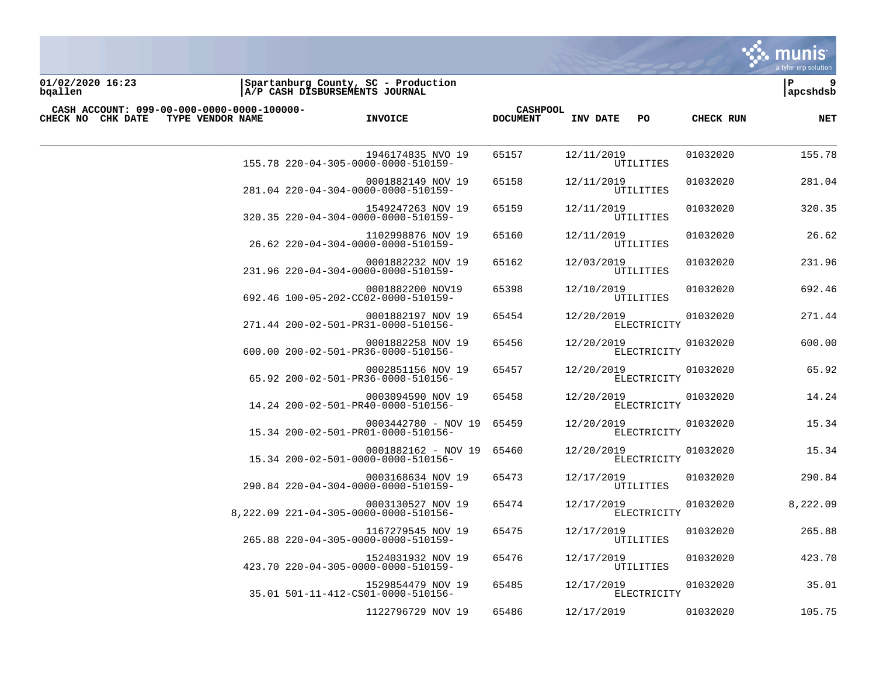

**01/02/2020 16:23 |Spartanburg County, SC - Production |P 9 bqallen |A/P CASH DISBURSEMENTS JOURNAL |apcshdsb**

| CASH ACCOUNT: 099-00-000-0000-0000-100000- |                                                             | <b>CASHPOOL</b> |                           |           |            |
|--------------------------------------------|-------------------------------------------------------------|-----------------|---------------------------|-----------|------------|
| CHECK NO CHK DATE<br>TYPE VENDOR NAME      | <b>INVOICE</b>                                              | <b>DOCUMENT</b> | INV DATE<br>PO.           | CHECK RUN | <b>NET</b> |
|                                            | 1946174835 NVO 19<br>155.78 220-04-305-0000-0000-510159-    | 65157           | 12/11/2019<br>UTILITIES   | 01032020  | 155.78     |
|                                            | 0001882149 NOV 19<br>281.04 220-04-304-0000-0000-510159-    | 65158           | 12/11/2019<br>UTILITIES   | 01032020  | 281.04     |
|                                            | 1549247263 NOV 19<br>320.35 220-04-304-0000-0000-510159-    | 65159           | 12/11/2019<br>UTILITIES   | 01032020  | 320.35     |
|                                            | 1102998876 NOV 19<br>26.62 220-04-304-0000-0000-510159-     | 65160           | 12/11/2019<br>UTILITIES   | 01032020  | 26.62      |
|                                            | 0001882232 NOV 19<br>231.96 220-04-304-0000-0000-510159-    | 65162           | 12/03/2019<br>UTILITIES   | 01032020  | 231.96     |
|                                            | 0001882200 NOV19<br>692.46 100-05-202-CC02-0000-510159-     | 65398           | 12/10/2019<br>UTILITIES   | 01032020  | 692.46     |
|                                            | 0001882197 NOV 19<br>271.44 200-02-501-PR31-0000-510156-    | 65454           | 12/20/2019<br>ELECTRICITY | 01032020  | 271.44     |
|                                            | 0001882258 NOV 19<br>600.00 200-02-501-PR36-0000-510156-    | 65456           | 12/20/2019<br>ELECTRICITY | 01032020  | 600.00     |
|                                            | 0002851156 NOV 19<br>65.92 200-02-501-PR36-0000-510156-     | 65457           | 12/20/2019<br>ELECTRICITY | 01032020  | 65.92      |
|                                            | 0003094590 NOV 19<br>14.24 200-02-501-PR40-0000-510156-     | 65458           | 12/20/2019<br>ELECTRICITY | 01032020  | 14.24      |
|                                            | 0003442780 - NOV 19<br>15.34 200-02-501-PR01-0000-510156-   | 65459           | 12/20/2019<br>ELECTRICITY | 01032020  | 15.34      |
|                                            | 0001882162 - NOV 19<br>15.34 200-02-501-0000-0000-510156-   | 65460           | 12/20/2019<br>ELECTRICITY | 01032020  | 15.34      |
|                                            | 0003168634 NOV 19<br>290.84 220-04-304-0000-0000-510159-    | 65473           | 12/17/2019<br>UTILITIES   | 01032020  | 290.84     |
|                                            | 0003130527 NOV 19<br>8, 222.09 221-04-305-0000-0000-510156- | 65474           | 12/17/2019<br>ELECTRICITY | 01032020  | 8,222.09   |
|                                            | 1167279545 NOV 19<br>265.88 220-04-305-0000-0000-510159-    | 65475           | 12/17/2019<br>UTILITIES   | 01032020  | 265.88     |
|                                            | 1524031932 NOV 19<br>423.70 220-04-305-0000-0000-510159-    | 65476           | 12/17/2019<br>UTILITIES   | 01032020  | 423.70     |
|                                            | 1529854479 NOV 19<br>35.01 501-11-412-CS01-0000-510156-     | 65485           | 12/17/2019<br>ELECTRICITY | 01032020  | 35.01      |
|                                            | 1122796729 NOV 19                                           | 65486           | 12/17/2019                | 01032020  | 105.75     |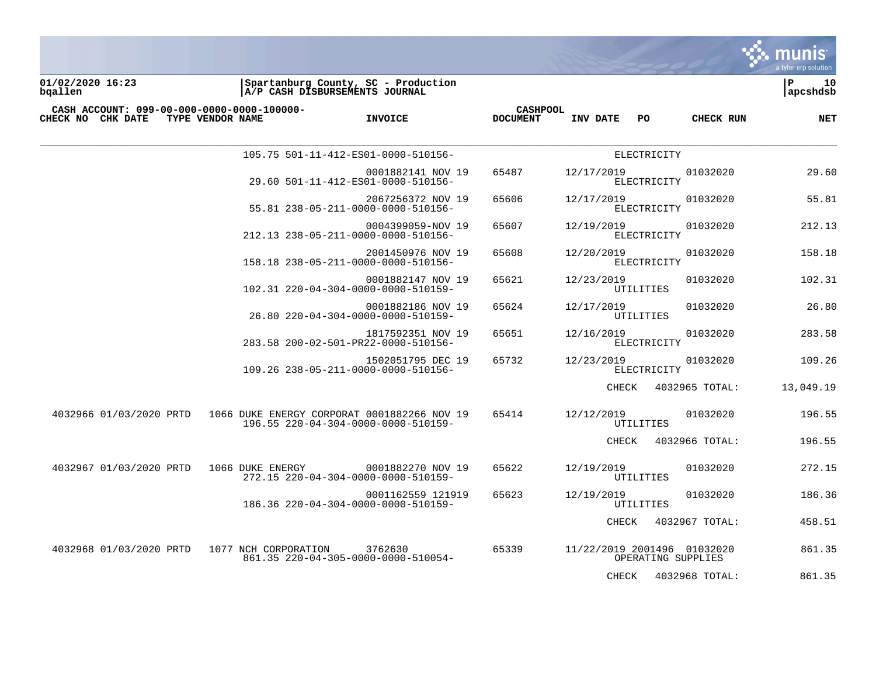

**01/02/2020 16:23 |Spartanburg County, SC - Production |P 10 bqallen |A/P CASH DISBURSEMENTS JOURNAL |apcshdsb**

| CASH ACCOUNT: 099-00-000-0000-0000-100000-<br>CHECK NO CHK DATE | TYPE VENDOR NAME     | <b>INVOICE</b>                                                                     | <b>CASHPOOL</b><br><b>DOCUMENT</b> | INV DATE<br>PO              | <b>CHECK RUN</b>   | <b>NET</b> |
|-----------------------------------------------------------------|----------------------|------------------------------------------------------------------------------------|------------------------------------|-----------------------------|--------------------|------------|
|                                                                 |                      | 105.75 501-11-412-ES01-0000-510156-                                                |                                    | ELECTRICITY                 |                    |            |
|                                                                 |                      | 0001882141 NOV 19<br>29.60 501-11-412-ES01-0000-510156-                            | 65487                              | 12/17/2019<br>ELECTRICITY   | 01032020           | 29.60      |
|                                                                 |                      | 2067256372 NOV 19<br>55.81 238-05-211-0000-0000-510156-                            | 65606                              | 12/17/2019<br>ELECTRICITY   | 01032020           | 55.81      |
|                                                                 |                      | 0004399059-NOV 19<br>212.13 238-05-211-0000-0000-510156-                           | 65607                              | 12/19/2019<br>ELECTRICITY   | 01032020           | 212.13     |
|                                                                 |                      | 2001450976 NOV 19<br>158.18 238-05-211-0000-0000-510156-                           | 65608                              | 12/20/2019<br>ELECTRICITY   | 01032020           | 158.18     |
|                                                                 |                      | 0001882147 NOV 19<br>102.31 220-04-304-0000-0000-510159-                           | 65621                              | 12/23/2019<br>UTILITIES     | 01032020           | 102.31     |
|                                                                 |                      | 0001882186 NOV 19<br>26.80 220-04-304-0000-0000-510159-                            | 65624                              | 12/17/2019<br>UTILITIES     | 01032020           | 26.80      |
|                                                                 |                      | 1817592351 NOV 19<br>283.58 200-02-501-PR22-0000-510156-                           | 65651                              | 12/16/2019<br>ELECTRICITY   | 01032020           | 283.58     |
|                                                                 |                      | 1502051795 DEC 19<br>109.26 238-05-211-0000-0000-510156-                           | 65732                              | 12/23/2019<br>ELECTRICITY   | 01032020           | 109.26     |
|                                                                 |                      |                                                                                    |                                    | CHECK                       | 4032965 TOTAL:     | 13,049.19  |
| 4032966 01/03/2020 PRTD                                         |                      | 1066 DUKE ENERGY CORPORAT 0001882266 NOV 19<br>196.55 220-04-304-0000-0000-510159- | 65414                              | 12/12/2019<br>UTILITIES     | 01032020           | 196.55     |
|                                                                 |                      |                                                                                    |                                    | CHECK                       | 4032966 TOTAL:     | 196.55     |
| 4032967 01/03/2020 PRTD                                         | 1066 DUKE ENERGY     | 0001882270 NOV 19<br>272.15 220-04-304-0000-0000-510159-                           | 65622                              | 12/19/2019<br>UTILITIES     | 01032020           | 272.15     |
|                                                                 |                      | 0001162559 121919<br>186.36 220-04-304-0000-0000-510159-                           | 65623                              | 12/19/2019<br>UTILITIES     | 01032020           | 186.36     |
|                                                                 |                      |                                                                                    |                                    | CHECK                       | 4032967 TOTAL:     | 458.51     |
| 4032968 01/03/2020 PRTD                                         | 1077 NCH CORPORATION | 3762630<br>861.35 220-04-305-0000-0000-510054-                                     | 65339                              | 11/22/2019 2001496 01032020 | OPERATING SUPPLIES | 861.35     |
|                                                                 |                      |                                                                                    |                                    | CHECK                       | 4032968 TOTAL:     | 861.35     |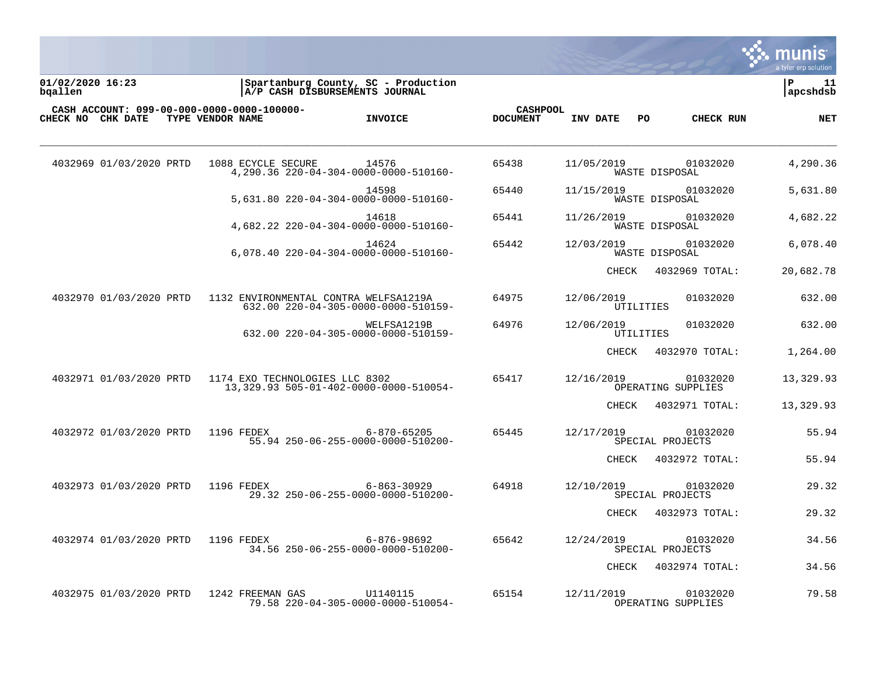

**01/02/2020 16:23 |Spartanburg County, SC - Production |P 11 bqallen |A/P CASH DISBURSEMENTS JOURNAL |apcshdsb**

| CHECK NO CHK DATE       | CASH ACCOUNT: 099-00-000-0000-0000-100000-<br>TYPE VENDOR NAME | <b>INVOICE</b>                                                               | <b>CASHPOOL</b><br><b>DOCUMENT</b> | INV DATE<br>PO.                | CHECK RUN                      | <b>NET</b> |
|-------------------------|----------------------------------------------------------------|------------------------------------------------------------------------------|------------------------------------|--------------------------------|--------------------------------|------------|
| 4032969 01/03/2020 PRTD | 1088 ECYCLE SECURE                                             | 14576<br>4,290.36 220-04-304-0000-0000-510160-                               | 65438                              | 11/05/2019                     | 01032020<br>WASTE DISPOSAL     | 4,290.36   |
|                         |                                                                | 14598<br>5,631.80 220-04-304-0000-0000-510160-                               | 65440                              | 11/15/2019                     | 01032020<br>WASTE DISPOSAL     | 5,631.80   |
|                         |                                                                | 14618<br>4,682.22 220-04-304-0000-0000-510160-                               | 65441                              | 11/26/2019                     | 01032020<br>WASTE DISPOSAL     | 4,682.22   |
|                         |                                                                | 14624<br>6,078.40 220-04-304-0000-0000-510160-                               | 65442                              | 12/03/2019                     | 01032020<br>WASTE DISPOSAL     | 6,078.40   |
|                         |                                                                |                                                                              |                                    | CHECK                          | 4032969 TOTAL:                 | 20,682.78  |
| 4032970 01/03/2020 PRTD |                                                                | 1132 ENVIRONMENTAL CONTRA WELFSA1219A<br>632.00 220-04-305-0000-0000-510159- | 64975                              | 12/06/2019<br><b>UTILITIES</b> | 01032020                       | 632.00     |
|                         |                                                                | WELFSA1219B<br>632.00 220-04-305-0000-0000-510159-                           | 64976                              | 12/06/2019<br>UTILITIES        | 01032020                       | 632.00     |
|                         |                                                                |                                                                              |                                    | CHECK                          | 4032970 TOTAL:                 | 1,264.00   |
| 4032971 01/03/2020 PRTD | 1174 EXO TECHNOLOGIES LLC 8302                                 | 13, 329.93 505-01-402-0000-0000-510054-                                      | 65417                              | 12/16/2019                     | 01032020<br>OPERATING SUPPLIES | 13,329.93  |
|                         |                                                                |                                                                              |                                    | CHECK                          | 4032971 TOTAL:                 | 13,329.93  |
| 4032972 01/03/2020 PRTD | 1196 FEDEX                                                     | 6-870-65205<br>55.94 250-06-255-0000-0000-510200-                            | 65445                              | 12/17/2019                     | 01032020<br>SPECIAL PROJECTS   | 55.94      |
|                         |                                                                |                                                                              |                                    | CHECK                          | 4032972 TOTAL:                 | 55.94      |
| 4032973 01/03/2020 PRTD | 1196 FEDEX                                                     | $6 - 863 - 30929$<br>29.32 250-06-255-0000-0000-510200-                      | 64918                              | 12/10/2019                     | 01032020<br>SPECIAL PROJECTS   | 29.32      |
|                         |                                                                |                                                                              |                                    | CHECK                          | 4032973 TOTAL:                 | 29.32      |
| 4032974 01/03/2020 PRTD | 1196 FEDEX                                                     | 6-876-98692<br>34.56 250-06-255-0000-0000-510200-                            | 65642                              | 12/24/2019                     | 01032020<br>SPECIAL PROJECTS   | 34.56      |
|                         |                                                                |                                                                              |                                    | CHECK                          | 4032974 TOTAL:                 | 34.56      |
| 4032975 01/03/2020 PRTD | 1242 FREEMAN GAS                                               | U1140115<br>79.58 220-04-305-0000-0000-510054-                               | 65154                              | 12/11/2019                     | 01032020<br>OPERATING SUPPLIES | 79.58      |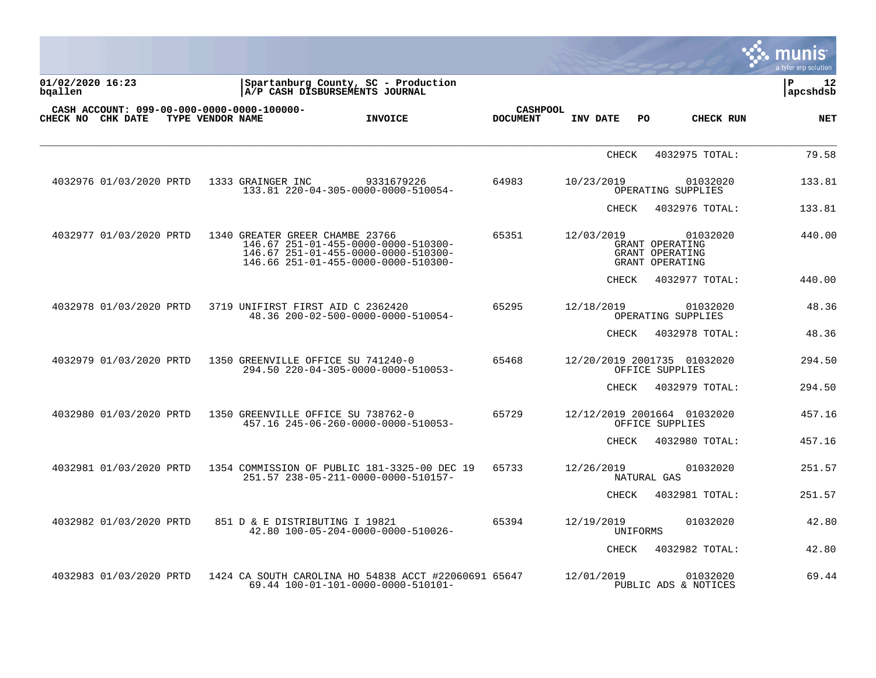|                             |                         |                  |                                            |                                                                                                                   |                                    |              |                                                                   | munis<br>a tyler erp solution  |
|-----------------------------|-------------------------|------------------|--------------------------------------------|-------------------------------------------------------------------------------------------------------------------|------------------------------------|--------------|-------------------------------------------------------------------|--------------------------------|
| 01/02/2020 16:23<br>bqallen |                         |                  |                                            | Spartanburg County, SC - Production<br>A/P CASH DISBURSEMENTS JOURNAL                                             |                                    |              |                                                                   | $\mathbf{P}$<br>12<br>apcshdsb |
|                             | CHECK NO CHK DATE       | TYPE VENDOR NAME | CASH ACCOUNT: 099-00-000-0000-0000-100000- | <b>INVOICE</b>                                                                                                    | <b>CASHPOOL</b><br><b>DOCUMENT</b> | INV DATE     | PO.<br>CHECK RUN                                                  | <b>NET</b>                     |
|                             |                         |                  |                                            |                                                                                                                   |                                    | CHECK        | 4032975 TOTAL:                                                    | 79.58                          |
|                             | 4032976 01/03/2020 PRTD |                  | 1333 GRAINGER INC                          | 9331679226<br>133.81 220-04-305-0000-0000-510054-                                                                 | 64983                              | 10/23/2019   | 01032020<br>OPERATING SUPPLIES                                    | 133.81                         |
|                             |                         |                  |                                            |                                                                                                                   |                                    | CHECK        | 4032976 TOTAL:                                                    | 133.81                         |
|                             | 4032977 01/03/2020 PRTD |                  | 1340 GREATER GREER CHAMBE 23766            | 146.67 251-01-455-0000-0000-510300-<br>146.67 251-01-455-0000-0000-510300-<br>146.66 251-01-455-0000-0000-510300- | 65351                              | 12/03/2019   | 01032020<br>GRANT OPERATING<br>GRANT OPERATING<br>GRANT OPERATING | 440.00                         |
|                             |                         |                  |                                            |                                                                                                                   |                                    | CHECK        | 4032977 TOTAL:                                                    | 440.00                         |
|                             | 4032978 01/03/2020 PRTD |                  | 3719 UNIFIRST FIRST AID C 2362420          | 48.36 200-02-500-0000-0000-510054-                                                                                | 65295                              | 12/18/2019   | 01032020<br>OPERATING SUPPLIES                                    | 48.36                          |
|                             |                         |                  |                                            |                                                                                                                   |                                    | CHECK        | 4032978 TOTAL:                                                    | 48.36                          |
|                             | 4032979 01/03/2020 PRTD |                  | 1350 GREENVILLE OFFICE SU 741240-0         | 294.50 220-04-305-0000-0000-510053-                                                                               | 65468                              |              | 12/20/2019 2001735 01032020<br>OFFICE SUPPLIES                    | 294.50                         |
|                             |                         |                  |                                            |                                                                                                                   |                                    | CHECK        | 4032979 TOTAL:                                                    | 294.50                         |
|                             | 4032980 01/03/2020 PRTD |                  | 1350 GREENVILLE OFFICE SU 738762-0         | 457.16 245-06-260-0000-0000-510053-                                                                               | 65729                              |              | 12/12/2019 2001664 01032020<br>OFFICE SUPPLIES                    | 457.16                         |
|                             |                         |                  |                                            |                                                                                                                   |                                    | CHECK        | 4032980 TOTAL:                                                    | 457.16                         |
|                             | 4032981 01/03/2020 PRTD |                  |                                            | 1354 COMMISSION OF PUBLIC 181-3325-00 DEC 19<br>251.57 238-05-211-0000-0000-510157-                               | 65733                              | 12/26/2019   | 01032020<br>NATURAL GAS                                           | 251.57                         |
|                             |                         |                  |                                            |                                                                                                                   |                                    | CHECK        | 4032981 TOTAL:                                                    | 251.57                         |
|                             | 4032982 01/03/2020 PRTD |                  | 851 D & E DISTRIBUTING I 19821             | 42.80 100-05-204-0000-0000-510026-                                                                                | 65394                              | 12/19/2019   | 01032020<br>UNIFORMS                                              | 42.80                          |
|                             |                         |                  |                                            |                                                                                                                   |                                    | <b>CHECK</b> | 4032982 TOTAL:                                                    | 42.80                          |
|                             | 4032983 01/03/2020 PRTD |                  |                                            | 1424 CA SOUTH CAROLINA HO 54838 ACCT #22060691 65647<br>69.44 100-01-101-0000-0000-510101-                        |                                    | 12/01/2019   | 01032020<br>PUBLIC ADS & NOTICES                                  | 69.44                          |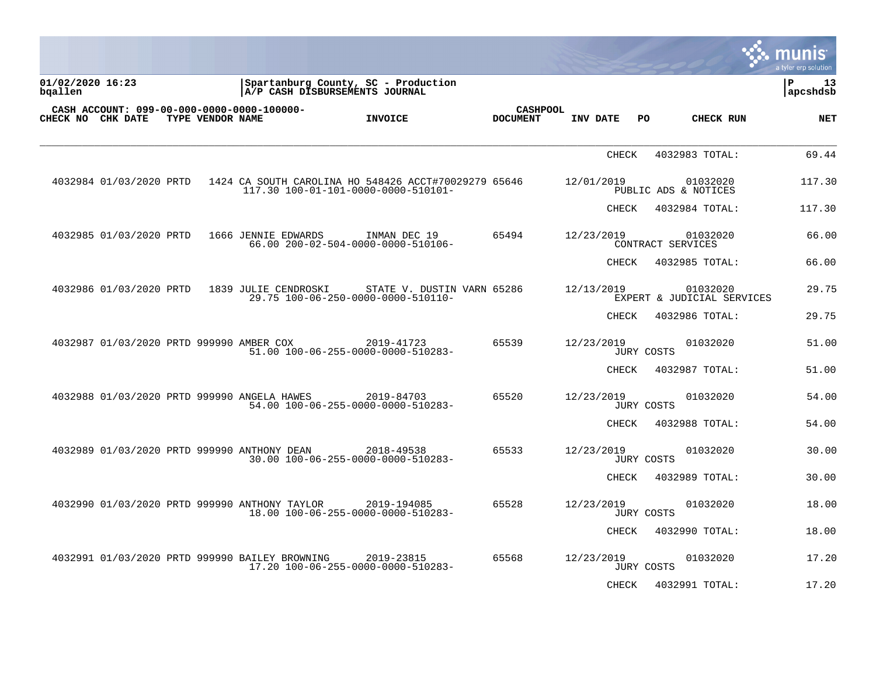|                                                                 |                  |                      |                                                                                             |                                    |                          |                                        | munis<br>a tyler erp solution |
|-----------------------------------------------------------------|------------------|----------------------|---------------------------------------------------------------------------------------------|------------------------------------|--------------------------|----------------------------------------|-------------------------------|
| 01/02/2020 16:23<br>bgallen                                     |                  |                      | Spartanburg County, SC - Production<br>A/P CASH DISBURSEMENTS JOURNAL                       |                                    |                          |                                        | l P<br>13<br> apcshdsb        |
| CASH ACCOUNT: 099-00-000-0000-0000-100000-<br>CHECK NO CHK DATE | TYPE VENDOR NAME |                      | <b>INVOICE</b>                                                                              | <b>CASHPOOL</b><br><b>DOCUMENT</b> | INV DATE<br>PO.          | CHECK RUN                              | <b>NET</b>                    |
|                                                                 |                  |                      |                                                                                             |                                    | <b>CHECK</b>             | 4032983 TOTAL:                         | 69.44                         |
| 4032984 01/03/2020 PRTD                                         |                  |                      | 1424 CA SOUTH CAROLINA HO 548426 ACCT#70029279 65646<br>117.30 100-01-101-0000-0000-510101- |                                    | 12/01/2019               | 01032020<br>PUBLIC ADS & NOTICES       | 117.30                        |
|                                                                 |                  |                      |                                                                                             |                                    | CHECK                    | 4032984 TOTAL:                         | 117.30                        |
| 4032985 01/03/2020 PRTD                                         |                  | 1666 JENNIE EDWARDS  | INMAN DEC 19<br>66.00 200-02-504-0000-0000-510106-                                          | 65494                              | 12/23/2019               | 01032020<br>CONTRACT SERVICES          | 66.00                         |
|                                                                 |                  |                      |                                                                                             |                                    | CHECK                    | 4032985 TOTAL:                         | 66.00                         |
| 4032986 01/03/2020 PRTD                                         |                  | 1839 JULIE CENDROSKI | STATE V. DUSTIN VARN 65286<br>29.75 100-06-250-0000-0000-510110-                            |                                    | 12/13/2019               | 01032020<br>EXPERT & JUDICIAL SERVICES | 29.75                         |
|                                                                 |                  |                      |                                                                                             |                                    | CHECK                    | 4032986 TOTAL:                         | 29.75                         |
| 4032987 01/03/2020 PRTD 999990 AMBER COX                        |                  |                      | 2019-41723<br>51.00 100-06-255-0000-0000-510283-                                            | 65539                              | 12/23/2019<br>JURY COSTS | 01032020                               | 51.00                         |
|                                                                 |                  |                      |                                                                                             |                                    | CHECK                    | 4032987 TOTAL:                         | 51.00                         |
| 4032988 01/03/2020 PRTD 999990 ANGELA HAWES                     |                  |                      | 2019-84703<br>54.00 100-06-255-0000-0000-510283-                                            | 65520                              | 12/23/2019<br>JURY COSTS | 01032020                               | 54.00                         |
|                                                                 |                  |                      |                                                                                             |                                    | CHECK                    | 4032988 TOTAL:                         | 54.00                         |
| 4032989 01/03/2020 PRTD 999990 ANTHONY DEAN                     |                  |                      | 2018-49538<br>30.00 100-06-255-0000-0000-510283-                                            | 65533                              | 12/23/2019<br>JURY COSTS | 01032020                               | 30.00                         |
|                                                                 |                  |                      |                                                                                             |                                    | CHECK                    | 4032989 TOTAL:                         | 30.00                         |
| 4032990 01/03/2020 PRTD 999990 ANTHONY TAYLOR                   |                  |                      | 2019-194085<br>18.00 100-06-255-0000-0000-510283-                                           | 65528                              | 12/23/2019<br>JURY COSTS | 01032020                               | 18.00                         |
|                                                                 |                  |                      |                                                                                             |                                    | CHECK                    | 4032990 TOTAL:                         | 18.00                         |
| 4032991 01/03/2020 PRTD 999990 BAILEY BROWNING                  |                  |                      | 2019-23815<br>17.20 100-06-255-0000-0000-510283-                                            | 65568                              | 12/23/2019<br>JURY COSTS | 01032020                               | 17.20                         |
|                                                                 |                  |                      |                                                                                             |                                    | <b>CHECK</b>             | 4032991 TOTAL:                         | 17.20                         |

a sa mga magaalang na mga magaalang ng mga magaalang ng mga magaalang ng magaalang ng magaalang ng magaalang n

the contract of the contract of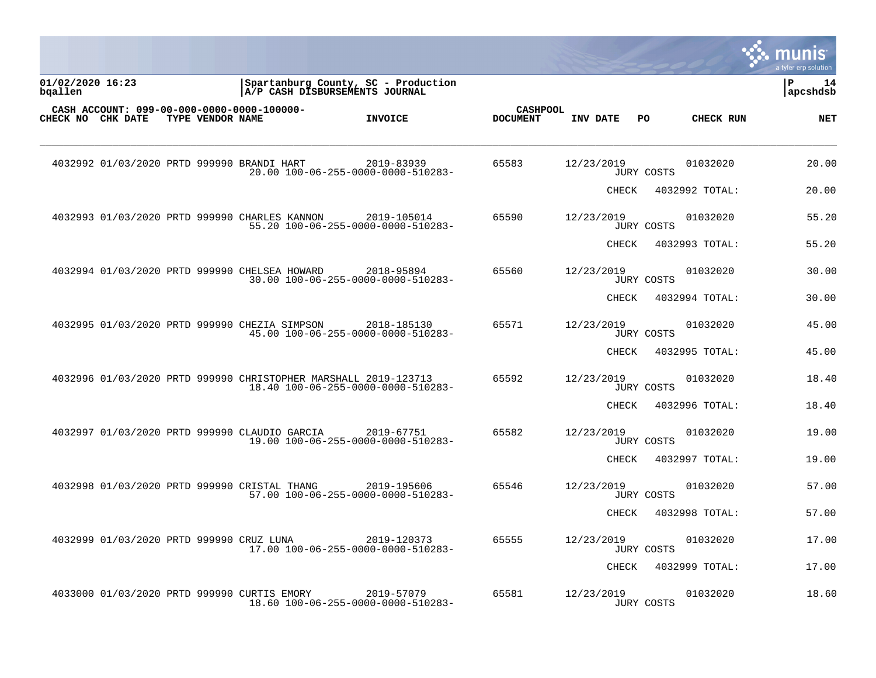|                             |                                          |                  |                                                                 |                                                                       |                                    |            |       |            |                | a tyler erp solution  |
|-----------------------------|------------------------------------------|------------------|-----------------------------------------------------------------|-----------------------------------------------------------------------|------------------------------------|------------|-------|------------|----------------|-----------------------|
| 01/02/2020 16:23<br>bgallen |                                          |                  |                                                                 | Spartanburg County, SC - Production<br>A/P CASH DISBURSEMENTS JOURNAL |                                    |            |       |            |                | l P<br>14<br>apcshdsb |
| CHECK NO CHK DATE           |                                          | TYPE VENDOR NAME | CASH ACCOUNT: 099-00-000-0000-0000-100000-                      | <b>INVOICE</b>                                                        | <b>CASHPOOL</b><br><b>DOCUMENT</b> | INV DATE   |       | PO         | CHECK RUN      | <b>NET</b>            |
|                             |                                          |                  | 4032992 01/03/2020 PRTD 999990 BRANDI HART                      | 2019-83939<br>20.00 100-06-255-0000-0000-510283-                      | 65583                              | 12/23/2019 |       | JURY COSTS | 01032020       | 20.00                 |
|                             |                                          |                  |                                                                 |                                                                       |                                    |            | CHECK |            | 4032992 TOTAL: | 20.00                 |
|                             |                                          |                  | 4032993 01/03/2020 PRTD 999990 CHARLES KANNON                   | 2019-105014<br>55.20 100-06-255-0000-0000-510283-                     | 65590                              | 12/23/2019 |       | JURY COSTS | 01032020       | 55.20                 |
|                             |                                          |                  |                                                                 |                                                                       |                                    |            | CHECK |            | 4032993 TOTAL: | 55.20                 |
|                             |                                          |                  | 4032994 01/03/2020 PRTD 999990 CHELSEA HOWARD                   | 2018-95894<br>30.00 100-06-255-0000-0000-510283-                      | 65560                              | 12/23/2019 |       | JURY COSTS | 01032020       | 30.00                 |
|                             |                                          |                  |                                                                 |                                                                       |                                    |            | CHECK |            | 4032994 TOTAL: | 30.00                 |
|                             |                                          |                  | 4032995 01/03/2020 PRTD 999990 CHEZIA SIMPSON                   | 2018-185130<br>45.00 100-06-255-0000-0000-510283-                     | 65571                              | 12/23/2019 |       | JURY COSTS | 01032020       | 45.00                 |
|                             |                                          |                  |                                                                 |                                                                       |                                    |            | CHECK |            | 4032995 TOTAL: | 45.00                 |
|                             |                                          |                  | 4032996 01/03/2020 PRTD 999990 CHRISTOPHER MARSHALL 2019-123713 | 18.40 100-06-255-0000-0000-510283-                                    | 65592                              | 12/23/2019 |       | JURY COSTS | 01032020       | 18.40                 |
|                             |                                          |                  |                                                                 |                                                                       |                                    |            | CHECK |            | 4032996 TOTAL: | 18.40                 |
|                             |                                          |                  | 4032997 01/03/2020 PRTD 999990 CLAUDIO GARCIA                   | 2019-67751<br>19.00 100-06-255-0000-0000-510283-                      | 65582                              | 12/23/2019 |       | JURY COSTS | 01032020       | 19.00                 |
|                             |                                          |                  |                                                                 |                                                                       |                                    |            | CHECK |            | 4032997 TOTAL: | 19.00                 |
|                             |                                          |                  | 4032998 01/03/2020 PRTD 999990 CRISTAL THANG                    | 2019-195606<br>57.00 100-06-255-0000-0000-510283-                     | 65546                              | 12/23/2019 |       | JURY COSTS | 01032020       | 57.00                 |
|                             |                                          |                  |                                                                 |                                                                       |                                    |            | CHECK |            | 4032998 TOTAL: | 57.00                 |
|                             | 4032999 01/03/2020 PRTD 999990 CRUZ LUNA |                  |                                                                 | 2019-120373<br>17.00 100-06-255-0000-0000-510283-                     | 65555                              | 12/23/2019 |       | JURY COSTS | 01032020       | 17.00                 |
|                             |                                          |                  |                                                                 |                                                                       |                                    |            | CHECK |            | 4032999 TOTAL: | 17.00                 |
|                             |                                          |                  | 4033000 01/03/2020 PRTD 999990 CURTIS EMORY                     | 2019-57079<br>18.60 100-06-255-0000-0000-510283-                      | 65581                              | 12/23/2019 |       | JURY COSTS | 01032020       | 18.60                 |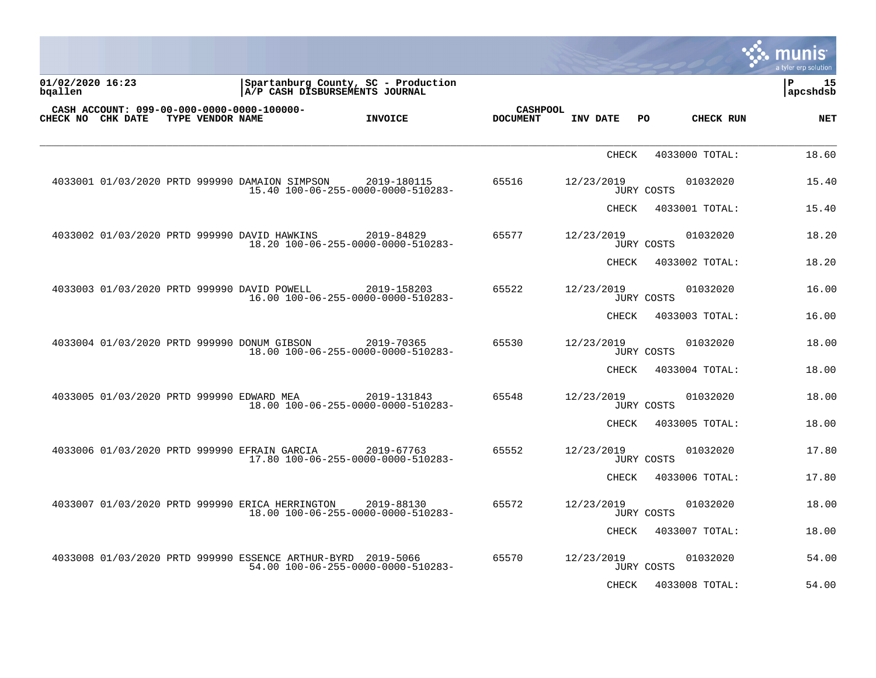|                             |  |                  |                                                 |                                                                                                    |                                    |              |                   |                | <b>Imunis</b><br>a tyler erp solution |
|-----------------------------|--|------------------|-------------------------------------------------|----------------------------------------------------------------------------------------------------|------------------------------------|--------------|-------------------|----------------|---------------------------------------|
| 01/02/2020 16:23<br>bqallen |  |                  |                                                 | Spartanburg County, SC - Production<br>A/P CASH DISBURSEMENTS JOURNAL                              |                                    |              |                   |                | 15<br>P<br> apcshdsb                  |
| <b>CHECK NO CHK DATE</b>    |  | TYPE VENDOR NAME | CASH ACCOUNT: 099-00-000-0000-0000-100000-      | <b>INVOICE</b>                                                                                     | <b>CASHPOOL</b><br><b>DOCUMENT</b> | INV DATE     | PO.               | CHECK RUN      | <b>NET</b>                            |
|                             |  |                  |                                                 |                                                                                                    |                                    | <b>CHECK</b> |                   | 4033000 TOTAL: | 18.60                                 |
|                             |  |                  | 4033001 01/03/2020 PRTD 999990 DAMAION SIMPSON  | 2019-180115<br>15.40 100-06-255-0000-0000-510283-                                                  | 65516                              | 12/23/2019   | JURY COSTS        | 01032020       | 15.40                                 |
|                             |  |                  |                                                 |                                                                                                    |                                    | CHECK        |                   | 4033001 TOTAL: | 15.40                                 |
|                             |  |                  | 4033002 01/03/2020 PRTD 999990 DAVID HAWKINS    | 2019-84829<br>18.20 100-06-255-0000-0000-510283-                                                   | 65577                              | 12/23/2019   | <b>JURY COSTS</b> | 01032020       | 18.20                                 |
|                             |  |                  |                                                 |                                                                                                    |                                    | CHECK        |                   | 4033002 TOTAL: | 18.20                                 |
|                             |  |                  | 4033003 01/03/2020 PRTD 999990 DAVID POWELL     | 2019-158203<br>16.00 100-06-255-0000-0000-510283-                                                  | 65522                              | 12/23/2019   | JURY COSTS        | 01032020       | 16.00                                 |
|                             |  |                  |                                                 |                                                                                                    |                                    | CHECK        |                   | 4033003 TOTAL: | 16.00                                 |
|                             |  |                  | 4033004 01/03/2020 PRTD 999990 DONUM GIBSON     | 2019-70365<br>18.00 100-06-255-0000-0000-510283-                                                   | 65530                              | 12/23/2019   | <b>JURY COSTS</b> | 01032020       | 18.00                                 |
|                             |  |                  |                                                 |                                                                                                    |                                    | CHECK        |                   | 4033004 TOTAL: | 18.00                                 |
|                             |  |                  | 4033005 01/03/2020 PRTD 999990 EDWARD MEA       | 2019-131843<br>18.00 100-06-255-0000-0000-510283-                                                  | 65548                              | 12/23/2019   | <b>JURY COSTS</b> | 01032020       | 18.00                                 |
|                             |  |                  |                                                 |                                                                                                    |                                    | CHECK        |                   | 4033005 TOTAL: | 18.00                                 |
|                             |  |                  | 4033006 01/03/2020 PRTD 999990 EFRAIN GARCIA    | 2019-67763<br>17.80 100-06-255-0000-0000-510283-                                                   | 65552                              | 12/23/2019   | <b>JURY COSTS</b> | 01032020       | 17.80                                 |
|                             |  |                  |                                                 |                                                                                                    |                                    | CHECK        |                   | 4033006 TOTAL: | 17.80                                 |
|                             |  |                  | 4033007 01/03/2020 PRTD 999990 ERICA HERRINGTON | 2019-88130<br>18.00 100-06-255-0000-0000-510283-                                                   | 65572                              | 12/23/2019   | <b>JURY COSTS</b> | 01032020       | 18.00                                 |
|                             |  |                  |                                                 |                                                                                                    |                                    | CHECK        |                   | 4033007 TOTAL: | 18.00                                 |
|                             |  |                  |                                                 | 4033008 01/03/2020 PRTD 999990 ESSENCE ARTHUR-BYRD 2019-5066<br>54.00 100-06-255-0000-0000-510283- | 65570                              | 12/23/2019   | JURY COSTS        | 01032020       | 54.00                                 |
|                             |  |                  |                                                 |                                                                                                    |                                    | CHECK        |                   | 4033008 TOTAL: | 54.00                                 |

 $\mathcal{L}$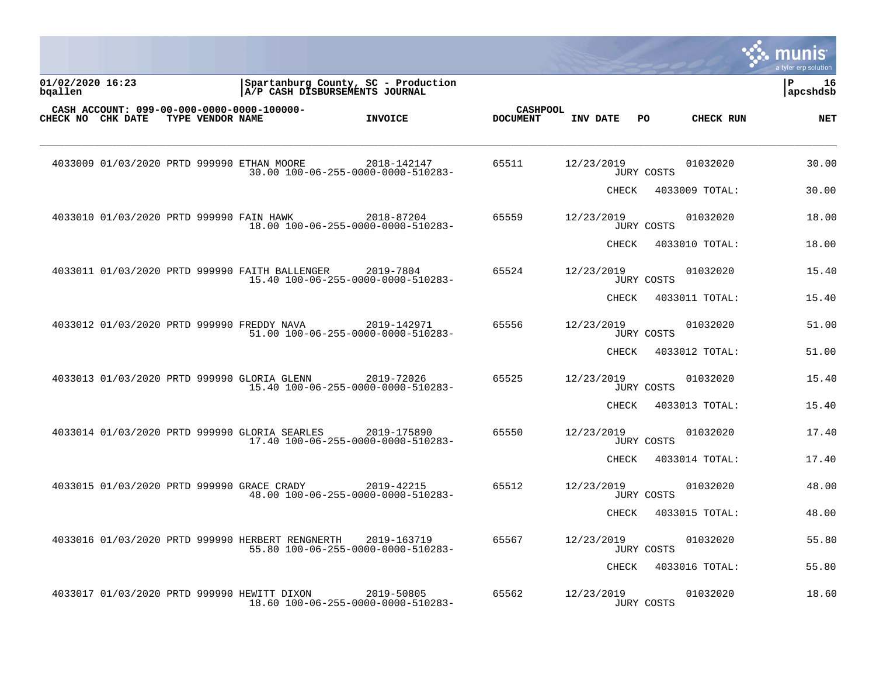|                             |  |                  |                                                  |                                                                       |                                    |            |       |            |                | a tyler erp solution  |
|-----------------------------|--|------------------|--------------------------------------------------|-----------------------------------------------------------------------|------------------------------------|------------|-------|------------|----------------|-----------------------|
| 01/02/2020 16:23<br>bgallen |  |                  |                                                  | Spartanburg County, SC - Production<br>A/P CASH DISBURSEMENTS JOURNAL |                                    |            |       |            |                | l P<br>16<br>apcshdsb |
| CHECK NO CHK DATE           |  | TYPE VENDOR NAME | CASH ACCOUNT: 099-00-000-0000-0000-100000-       | <b>INVOICE</b>                                                        | <b>CASHPOOL</b><br><b>DOCUMENT</b> | INV DATE   |       | PO.        | CHECK RUN      | <b>NET</b>            |
|                             |  |                  | 4033009 01/03/2020 PRTD 999990 ETHAN MOORE       | 2018-142147<br>30.00 100-06-255-0000-0000-510283-                     | 65511                              | 12/23/2019 |       | JURY COSTS | 01032020       | 30.00                 |
|                             |  |                  |                                                  |                                                                       |                                    |            | CHECK |            | 4033009 TOTAL: | 30.00                 |
|                             |  |                  | 4033010 01/03/2020 PRTD 999990 FAIN HAWK         | 2018-87204<br>18.00 100-06-255-0000-0000-510283-                      | 65559                              | 12/23/2019 |       | JURY COSTS | 01032020       | 18.00                 |
|                             |  |                  |                                                  |                                                                       |                                    |            | CHECK |            | 4033010 TOTAL: | 18.00                 |
|                             |  |                  | 4033011 01/03/2020 PRTD 999990 FAITH BALLENGER   | 2019-7804<br>15.40 100-06-255-0000-0000-510283-                       | 65524                              | 12/23/2019 |       | JURY COSTS | 01032020       | 15.40                 |
|                             |  |                  |                                                  |                                                                       |                                    |            | CHECK |            | 4033011 TOTAL: | 15.40                 |
|                             |  |                  | 4033012 01/03/2020 PRTD 999990 FREDDY NAVA       | 2019-142971<br>51.00 100-06-255-0000-0000-510283-                     | 65556                              | 12/23/2019 |       | JURY COSTS | 01032020       | 51.00                 |
|                             |  |                  |                                                  |                                                                       |                                    |            | CHECK |            | 4033012 TOTAL: | 51.00                 |
|                             |  |                  | 4033013 01/03/2020 PRTD 999990 GLORIA GLENN      | 2019-72026<br>15.40 100-06-255-0000-0000-510283-                      | 65525                              | 12/23/2019 |       | JURY COSTS | 01032020       | 15.40                 |
|                             |  |                  |                                                  |                                                                       |                                    |            | CHECK |            | 4033013 TOTAL: | 15.40                 |
|                             |  |                  | 4033014 01/03/2020 PRTD 999990 GLORIA SEARLES    | 2019-175890<br>17.40 100-06-255-0000-0000-510283-                     | 65550                              | 12/23/2019 |       | JURY COSTS | 01032020       | 17.40                 |
|                             |  |                  |                                                  |                                                                       |                                    |            | CHECK |            | 4033014 TOTAL: | 17.40                 |
|                             |  |                  | 4033015 01/03/2020 PRTD 999990 GRACE CRADY       | 2019-42215<br>48.00 100-06-255-0000-0000-510283-                      | 65512                              | 12/23/2019 |       | JURY COSTS | 01032020       | 48.00                 |
|                             |  |                  |                                                  |                                                                       |                                    |            | CHECK |            | 4033015 TOTAL: | 48.00                 |
|                             |  |                  | 4033016 01/03/2020 PRTD 999990 HERBERT RENGNERTH | 2019-163719<br>55.80 100-06-255-0000-0000-510283-                     | 65567                              | 12/23/2019 |       | JURY COSTS | 01032020       | 55.80                 |
|                             |  |                  |                                                  |                                                                       |                                    |            | CHECK |            | 4033016 TOTAL: | 55.80                 |
|                             |  |                  | 4033017 01/03/2020 PRTD 999990 HEWITT DIXON      | 2019-50805<br>18.60 100-06-255-0000-0000-510283-                      | 65562                              | 12/23/2019 |       | JURY COSTS | 01032020       | 18.60                 |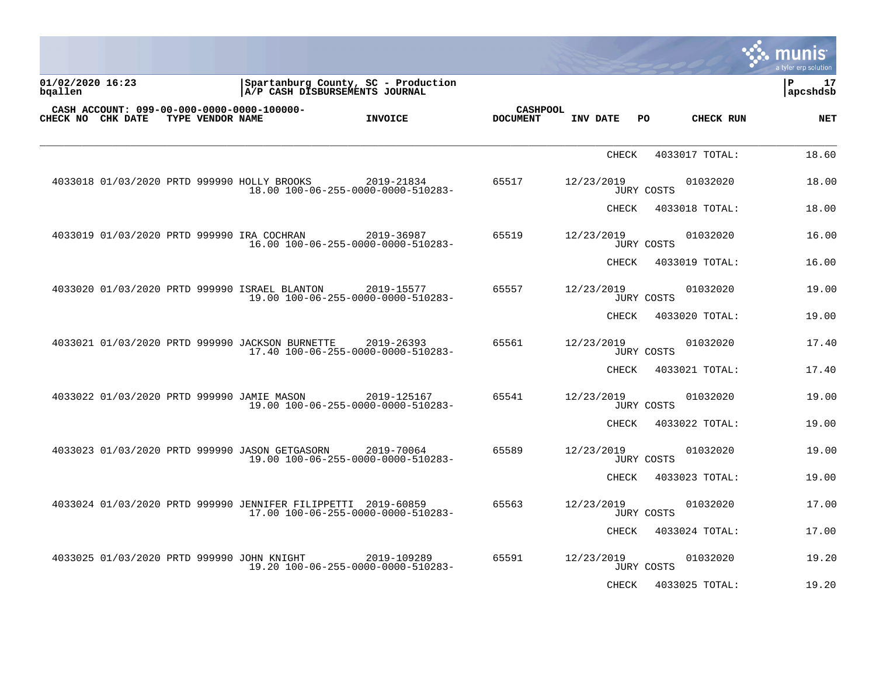| <u>munis</u><br>a tyler erp solution |                |                   |              |                                    |                                                                       |                                                               |                  |                             |
|--------------------------------------|----------------|-------------------|--------------|------------------------------------|-----------------------------------------------------------------------|---------------------------------------------------------------|------------------|-----------------------------|
| l P<br>17<br>apcshdsb                |                |                   |              |                                    | Spartanburg County, SC - Production<br>A/P CASH DISBURSEMENTS JOURNAL |                                                               |                  | 01/02/2020 16:23<br>bqallen |
| <b>NET</b>                           | CHECK RUN      | PO.               | INV DATE     | <b>CASHPOOL</b><br><b>DOCUMENT</b> | <b>INVOICE</b>                                                        | CASH ACCOUNT: 099-00-000-0000-0000-100000-                    | TYPE VENDOR NAME | <b>CHECK NO CHK DATE</b>    |
| 18.60                                | 4033017 TOTAL: |                   | <b>CHECK</b> |                                    |                                                                       |                                                               |                  |                             |
| 18.00                                | 01032020       | JURY COSTS        | 12/23/2019   | 65517                              | 2019-21834<br>18.00 100-06-255-0000-0000-510283-                      | 4033018 01/03/2020 PRTD 999990 HOLLY BROOKS                   |                  |                             |
| 18.00                                | 4033018 TOTAL: |                   | CHECK        |                                    |                                                                       |                                                               |                  |                             |
| 16.00                                | 01032020       | <b>JURY COSTS</b> | 12/23/2019   | 65519                              | 2019-36987<br>16.00 100-06-255-0000-0000-510283-                      | 4033019 01/03/2020 PRTD 999990 IRA COCHRAN                    |                  |                             |
| 16.00                                | 4033019 TOTAL: |                   | CHECK        |                                    |                                                                       |                                                               |                  |                             |
| 19.00                                | 01032020       | JURY COSTS        | 12/23/2019   | 65557                              | 2019-15577<br>19.00 100-06-255-0000-0000-510283-                      | 4033020 01/03/2020 PRTD 999990 ISRAEL BLANTON                 |                  |                             |
| 19.00                                | 4033020 TOTAL: |                   | CHECK        |                                    |                                                                       |                                                               |                  |                             |
| 17.40                                | 01032020       | JURY COSTS        | 12/23/2019   | 65561                              | 2019-26393<br>17.40 100-06-255-0000-0000-510283-                      | 4033021 01/03/2020 PRTD 999990 JACKSON BURNETTE               |                  |                             |
| 17.40                                | 4033021 TOTAL: |                   | CHECK        |                                    |                                                                       |                                                               |                  |                             |
| 19.00                                | 01032020       | JURY COSTS        | 12/23/2019   | 65541                              | 2019-125167<br>19.00 100-06-255-0000-0000-510283-                     | 4033022 01/03/2020 PRTD 999990 JAMIE MASON                    |                  |                             |
| 19.00                                | 4033022 TOTAL: |                   | CHECK        |                                    |                                                                       |                                                               |                  |                             |
| 19.00                                | 01032020       | JURY COSTS        | 12/23/2019   | 65589                              | 2019-70064<br>19.00 100-06-255-0000-0000-510283-                      | 4033023 01/03/2020 PRTD 999990 JASON GETGASORN                |                  |                             |
| 19.00                                | 4033023 TOTAL: |                   | CHECK        |                                    |                                                                       |                                                               |                  |                             |
| 17.00                                | 01032020       | JURY COSTS        | 12/23/2019   | 65563                              | 17.00 100-06-255-0000-0000-510283-                                    | 4033024 01/03/2020 PRTD 999990 JENNIFER FILIPPETTI 2019-60859 |                  |                             |
| 17.00                                | 4033024 TOTAL: |                   | CHECK        |                                    |                                                                       |                                                               |                  |                             |
| 19.20                                | 01032020       | JURY COSTS        | 12/23/2019   | 65591                              | 2019-109289<br>19.20 100-06-255-0000-0000-510283-                     | 4033025 01/03/2020 PRTD 999990 JOHN KNIGHT                    |                  |                             |
| 19.20                                | 4033025 TOTAL: |                   | CHECK        |                                    |                                                                       |                                                               |                  |                             |

 $\mathcal{L}$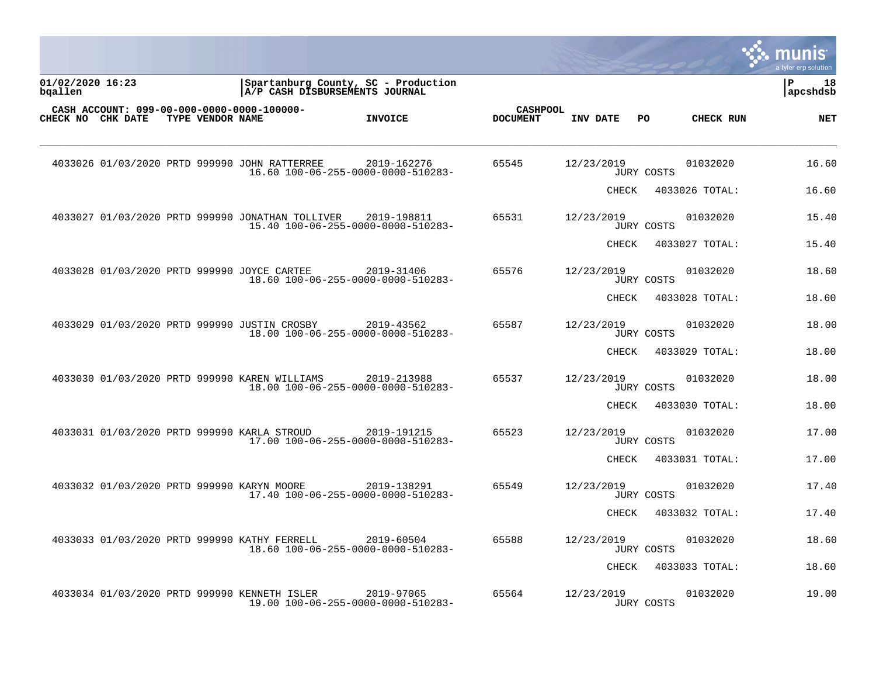|                             |                  |                                                                                        |                |                                    |            |       |                   |                | munis<br>a tyler erp solution |
|-----------------------------|------------------|----------------------------------------------------------------------------------------|----------------|------------------------------------|------------|-------|-------------------|----------------|-------------------------------|
| 01/02/2020 16:23<br>bgallen |                  | Spartanburg County, SC - Production<br>A/P CASH DISBURSEMENTS JOURNAL                  |                |                                    |            |       |                   |                | l P<br>18<br> apcshdsb        |
| CHECK NO CHK DATE           | TYPE VENDOR NAME | CASH ACCOUNT: 099-00-000-0000-0000-100000-                                             | <b>INVOICE</b> | <b>CASHPOOL</b><br><b>DOCUMENT</b> | INV DATE   |       | PO                | CHECK RUN      | <b>NET</b>                    |
|                             |                  | 4033026 01/03/2020 PRTD 999990 JOHN RATTERREE<br>16.60 100-06-255-0000-0000-510283-    | 2019-162276    | 65545                              | 12/23/2019 |       | JURY COSTS        | 01032020       | 16.60                         |
|                             |                  |                                                                                        |                |                                    |            | CHECK |                   | 4033026 TOTAL: | 16.60                         |
|                             |                  | 4033027 01/03/2020 PRTD 999990 JONATHAN TOLLIVER<br>15.40 100-06-255-0000-0000-510283- | 2019-198811    | 65531                              | 12/23/2019 |       | JURY COSTS        | 01032020       | 15.40                         |
|                             |                  |                                                                                        |                |                                    |            | CHECK |                   | 4033027 TOTAL: | 15.40                         |
|                             |                  | 4033028 01/03/2020 PRTD 999990 JOYCE CARTEE<br>18.60 100-06-255-0000-0000-510283-      | 2019-31406     | 65576                              | 12/23/2019 |       | <b>JURY COSTS</b> | 01032020       | 18.60                         |
|                             |                  |                                                                                        |                |                                    |            | CHECK |                   | 4033028 TOTAL: | 18.60                         |
|                             |                  | 4033029 01/03/2020 PRTD 999990 JUSTIN CROSBY<br>18.00 100-06-255-0000-0000-510283-     | 2019-43562     | 65587                              | 12/23/2019 |       | JURY COSTS        | 01032020       | 18.00                         |
|                             |                  |                                                                                        |                |                                    |            | CHECK |                   | 4033029 TOTAL: | 18.00                         |
|                             |                  | 4033030 01/03/2020 PRTD 999990 KAREN WILLIAMS<br>18.00 100-06-255-0000-0000-510283-    | 2019-213988    | 65537                              | 12/23/2019 |       | JURY COSTS        | 01032020       | 18.00                         |
|                             |                  |                                                                                        |                |                                    |            | CHECK |                   | 4033030 TOTAL: | 18.00                         |
|                             |                  | 4033031 01/03/2020 PRTD 999990 KARLA STROUD<br>17.00 100-06-255-0000-0000-510283-      | 2019-191215    | 65523                              | 12/23/2019 |       | <b>JURY COSTS</b> | 01032020       | 17.00                         |
|                             |                  |                                                                                        |                |                                    |            | CHECK |                   | 4033031 TOTAL: | 17.00                         |
|                             |                  | 4033032 01/03/2020 PRTD 999990 KARYN MOORE<br>17.40 100-06-255-0000-0000-510283-       | 2019-138291    | 65549                              | 12/23/2019 |       | JURY COSTS        | 01032020       | 17.40                         |
|                             |                  |                                                                                        |                |                                    |            | CHECK |                   | 4033032 TOTAL: | 17.40                         |
|                             |                  | 4033033 01/03/2020 PRTD 999990 KATHY FERRELL<br>18.60 100-06-255-0000-0000-510283-     | 2019-60504     | 65588                              | 12/23/2019 |       | JURY COSTS        | 01032020       | 18.60                         |
|                             |                  |                                                                                        |                |                                    |            | CHECK |                   | 4033033 TOTAL: | 18.60                         |
|                             |                  | 4033034 01/03/2020 PRTD 999990 KENNETH ISLER<br>19.00 100-06-255-0000-0000-510283-     | 2019-97065     | 65564                              | 12/23/2019 |       | JURY COSTS        | 01032020       | 19.00                         |

a sa mga magaalang na mga magaalang ng mga magaalang ng mga magaalang ng magaalang ng magaalang ng magaalang n

the contract of the contract of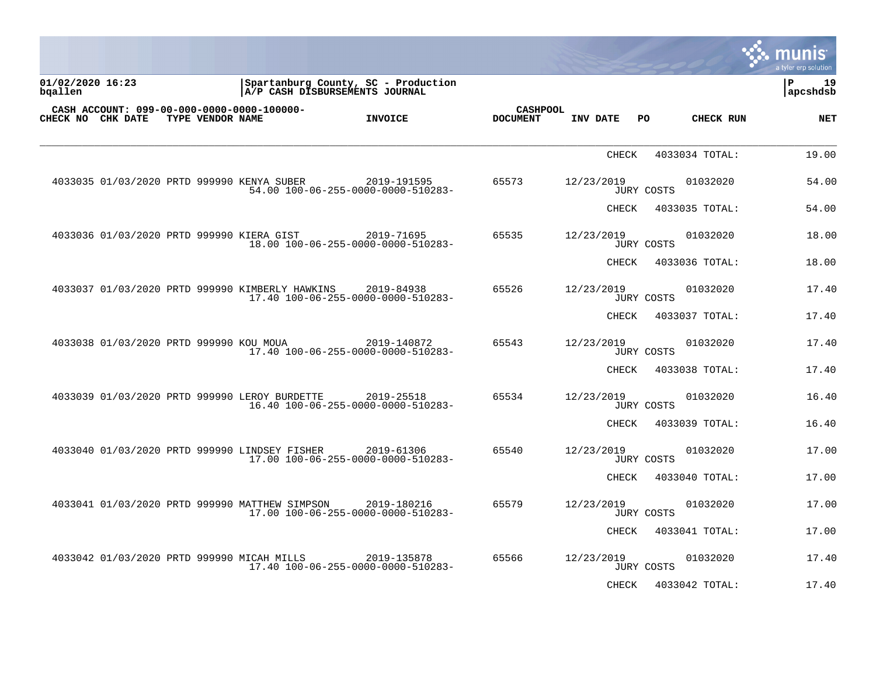| <b>s: munis</b><br>a tyler erp solution |                |                   |              |                                    |                                                   |                                                 |                  |                                            |                             |
|-----------------------------------------|----------------|-------------------|--------------|------------------------------------|---------------------------------------------------|-------------------------------------------------|------------------|--------------------------------------------|-----------------------------|
| l P<br>19<br> apcshdsb                  |                |                   |              |                                    | Spartanburg County, SC - Production               | A/P CASH DISBURSEMENTS JOURNAL                  |                  |                                            | 01/02/2020 16:23<br>bqallen |
| <b>NET</b>                              | CHECK RUN      | PO.               | INV DATE     | <b>CASHPOOL</b><br><b>DOCUMENT</b> | <b>INVOICE</b>                                    |                                                 | TYPE VENDOR NAME | CASH ACCOUNT: 099-00-000-0000-0000-100000- | CHECK NO CHK DATE           |
| 19.00                                   | 4033034 TOTAL: |                   | <b>CHECK</b> |                                    |                                                   |                                                 |                  |                                            |                             |
| 54.00                                   | 01032020       | JURY COSTS        | 12/23/2019   | 65573                              | 2019-191595<br>54.00 100-06-255-0000-0000-510283- | 4033035 01/03/2020 PRTD 999990 KENYA SUBER      |                  |                                            |                             |
| 54.00                                   | 4033035 TOTAL: |                   | CHECK        |                                    |                                                   |                                                 |                  |                                            |                             |
| 18.00                                   | 01032020       | JURY COSTS        | 12/23/2019   | 65535                              | 2019-71695<br>18.00 100-06-255-0000-0000-510283-  |                                                 |                  | 4033036 01/03/2020 PRTD 999990 KIERA GIST  |                             |
| 18.00                                   | 4033036 TOTAL: |                   | <b>CHECK</b> |                                    |                                                   |                                                 |                  |                                            |                             |
| 17.40                                   | 01032020       | JURY COSTS        | 12/23/2019   | 65526                              | 2019-84938<br>17.40 100-06-255-0000-0000-510283-  | 4033037 01/03/2020 PRTD 999990 KIMBERLY HAWKINS |                  |                                            |                             |
| 17.40                                   | 4033037 TOTAL: |                   | CHECK        |                                    |                                                   |                                                 |                  |                                            |                             |
| 17.40                                   | 01032020       | JURY COSTS        | 12/23/2019   | 65543                              | 2019-140872<br>17.40 100-06-255-0000-0000-510283- |                                                 |                  | 4033038 01/03/2020 PRTD 999990 KOU MOUA    |                             |
| 17.40                                   | 4033038 TOTAL: |                   | CHECK        |                                    |                                                   |                                                 |                  |                                            |                             |
| 16.40                                   | 01032020       | JURY COSTS        | 12/23/2019   | 65534                              | 2019-25518<br>16.40 100-06-255-0000-0000-510283-  | 4033039 01/03/2020 PRTD 999990 LEROY BURDETTE   |                  |                                            |                             |
| 16.40                                   | 4033039 TOTAL: |                   | CHECK        |                                    |                                                   |                                                 |                  |                                            |                             |
| 17.00                                   | 01032020       | JURY COSTS        | 12/23/2019   | 65540                              | 2019-61306<br>17.00 100-06-255-0000-0000-510283-  | 4033040 01/03/2020 PRTD 999990 LINDSEY FISHER   |                  |                                            |                             |
| 17.00                                   | 4033040 TOTAL: |                   | CHECK        |                                    |                                                   |                                                 |                  |                                            |                             |
| 17.00                                   | 01032020       | <b>JURY COSTS</b> | 12/23/2019   | 65579                              | 2019-180216<br>17.00 100-06-255-0000-0000-510283- | 4033041 01/03/2020 PRTD 999990 MATTHEW SIMPSON  |                  |                                            |                             |
| 17.00                                   | 4033041 TOTAL: |                   | CHECK        |                                    |                                                   |                                                 |                  |                                            |                             |
| 17.40                                   | 01032020       | JURY COSTS        | 12/23/2019   | 65566                              | 2019-135878<br>17.40 100-06-255-0000-0000-510283- |                                                 |                  | 4033042 01/03/2020 PRTD 999990 MICAH MILLS |                             |
| 17.40                                   | 4033042 TOTAL: |                   | CHECK        |                                    |                                                   |                                                 |                  |                                            |                             |

 $\mathcal{L}$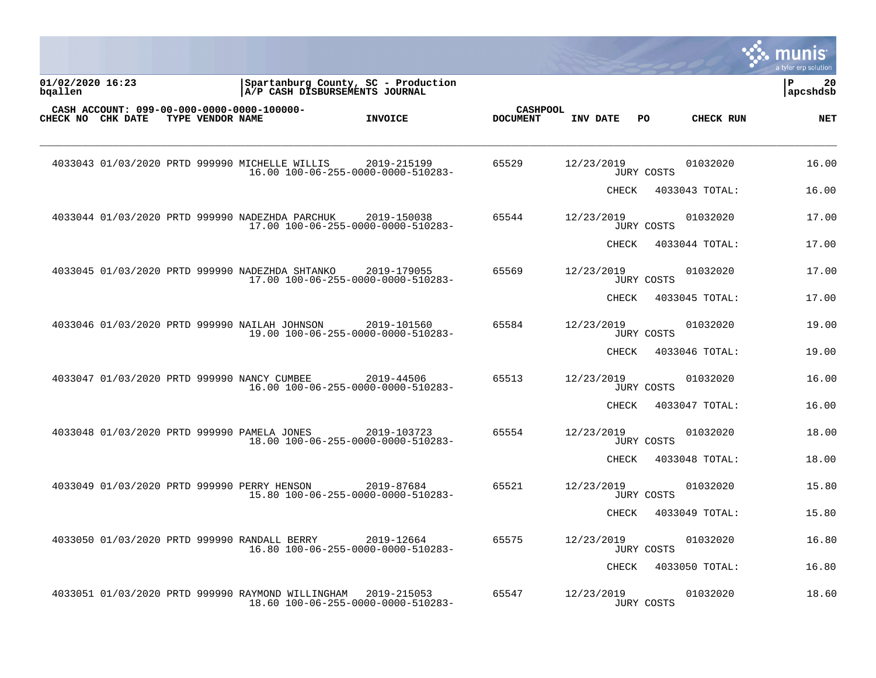|                             |                  |                                                                                         |                |                                    |            |                   |                | munis<br>a tyler erp solution |
|-----------------------------|------------------|-----------------------------------------------------------------------------------------|----------------|------------------------------------|------------|-------------------|----------------|-------------------------------|
| 01/02/2020 16:23<br>bqallen |                  | Spartanburg County, SC - Production<br>A/P CASH DISBURSEMENTS JOURNAL                   |                |                                    |            |                   |                | l P<br>20<br>apcshdsb         |
| CHECK NO CHK DATE           | TYPE VENDOR NAME | CASH ACCOUNT: 099-00-000-0000-0000-100000-                                              | <b>INVOICE</b> | <b>CASHPOOL</b><br><b>DOCUMENT</b> | INV DATE   | PO                | CHECK RUN      | <b>NET</b>                    |
|                             |                  | 4033043 01/03/2020 PRTD 999990 MICHELLE WILLIS<br>16.00 100-06-255-0000-0000-510283-    | 2019-215199    | 65529                              | 12/23/2019 | JURY COSTS        | 01032020       | 16.00                         |
|                             |                  |                                                                                         |                |                                    | CHECK      |                   | 4033043 TOTAL: | 16.00                         |
|                             |                  | 4033044 01/03/2020 PRTD 999990 NADEZHDA PARCHUK<br>17.00 100-06-255-0000-0000-510283-   | 2019-150038    | 65544                              | 12/23/2019 | JURY COSTS        | 01032020       | 17.00                         |
|                             |                  |                                                                                         |                |                                    | CHECK      |                   | 4033044 TOTAL: | 17.00                         |
|                             |                  | 4033045 01/03/2020 PRTD 999990 NADEZHDA SHTANKO<br>17.00 100-06-255-0000-0000-510283-   | 2019-179055    | 65569                              | 12/23/2019 | <b>JURY COSTS</b> | 01032020       | 17.00                         |
|                             |                  |                                                                                         |                |                                    | CHECK      |                   | 4033045 TOTAL: | 17.00                         |
|                             |                  | 4033046 01/03/2020 PRTD 999990 NAILAH JOHNSON<br>19.00 100-06-255-0000-0000-510283-     | 2019-101560    | 65584                              | 12/23/2019 | JURY COSTS        | 01032020       | 19.00                         |
|                             |                  |                                                                                         |                |                                    | CHECK      |                   | 4033046 TOTAL: | 19.00                         |
|                             |                  | 4033047 01/03/2020 PRTD 999990 NANCY CUMBEE<br>16.00 100-06-255-0000-0000-510283-       | 2019-44506     | 65513                              | 12/23/2019 | JURY COSTS        | 01032020       | 16.00                         |
|                             |                  |                                                                                         |                |                                    | CHECK      |                   | 4033047 TOTAL: | 16.00                         |
|                             |                  | 4033048 01/03/2020 PRTD 999990 PAMELA JONES<br>18.00 100-06-255-0000-0000-510283-       | 2019-103723    | 65554                              | 12/23/2019 | <b>JURY COSTS</b> | 01032020       | 18.00                         |
|                             |                  |                                                                                         |                |                                    | CHECK      |                   | 4033048 TOTAL: | 18.00                         |
|                             |                  | 4033049 01/03/2020 PRTD 999990 PERRY HENSON<br>15.80 100-06-255-0000-0000-510283-       | 2019-87684     | 65521                              | 12/23/2019 | JURY COSTS        | 01032020       | 15.80                         |
|                             |                  |                                                                                         |                |                                    | CHECK      |                   | 4033049 TOTAL: | 15.80                         |
|                             |                  | 4033050 01/03/2020 PRTD 999990 RANDALL BERRY<br>16.80 100-06-255-0000-0000-510283-      | 2019-12664     | 65575                              | 12/23/2019 | <b>JURY COSTS</b> | 01032020       | 16.80                         |
|                             |                  |                                                                                         |                |                                    | CHECK      |                   | 4033050 TOTAL: | 16.80                         |
|                             |                  | 4033051 01/03/2020 PRTD 999990 RAYMOND WILLINGHAM<br>18.60 100-06-255-0000-0000-510283- | 2019-215053    | 65547                              | 12/23/2019 | JURY COSTS        | 01032020       | 18.60                         |

a sa mga magaalang na mga magaalang ng mga magaalang ng mga magaalang ng magaalang ng magaalang ng magaalang n

the contract of the contract of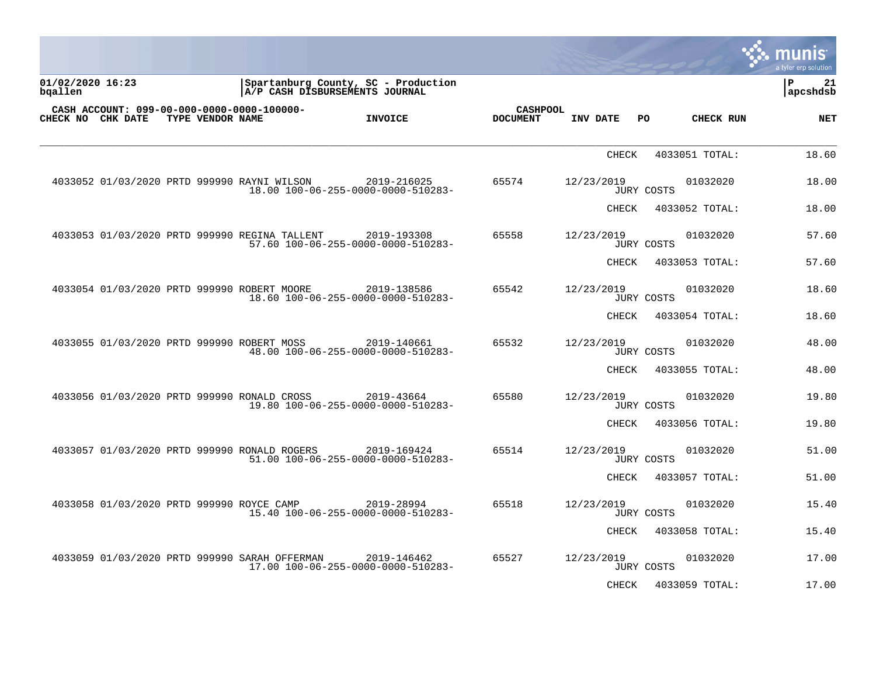|                             |  |                  |                                               |                                                                       |                                    |              |                   |                | <u>្លេះ munis</u><br>a tyler erp solution |
|-----------------------------|--|------------------|-----------------------------------------------|-----------------------------------------------------------------------|------------------------------------|--------------|-------------------|----------------|-------------------------------------------|
| 01/02/2020 16:23<br>bqallen |  |                  |                                               | Spartanburg County, SC - Production<br>A/P CASH DISBURSEMENTS JOURNAL |                                    |              |                   |                | l P<br>21<br>apcshdsb                     |
| CHECK NO CHK DATE           |  | TYPE VENDOR NAME | CASH ACCOUNT: 099-00-000-0000-0000-100000-    | <b>INVOICE</b>                                                        | <b>CASHPOOL</b><br><b>DOCUMENT</b> | INV DATE     | PO.               | CHECK RUN      | <b>NET</b>                                |
|                             |  |                  |                                               |                                                                       |                                    | <b>CHECK</b> |                   | 4033051 TOTAL: | 18.60                                     |
|                             |  |                  | 4033052 01/03/2020 PRTD 999990 RAYNI WILSON   | 2019-216025<br>18.00 100-06-255-0000-0000-510283-                     | 65574                              | 12/23/2019   | <b>JURY COSTS</b> | 01032020       | 18.00                                     |
|                             |  |                  |                                               |                                                                       |                                    | CHECK        |                   | 4033052 TOTAL: | 18.00                                     |
|                             |  |                  | 4033053 01/03/2020 PRTD 999990 REGINA TALLENT | 2019-193308<br>57.60 100-06-255-0000-0000-510283-                     | 65558                              | 12/23/2019   | <b>JURY COSTS</b> | 01032020       | 57.60                                     |
|                             |  |                  |                                               |                                                                       |                                    | CHECK        |                   | 4033053 TOTAL: | 57.60                                     |
|                             |  |                  | 4033054 01/03/2020 PRTD 999990 ROBERT MOORE   | 2019-138586<br>18.60 100-06-255-0000-0000-510283-                     | 65542                              | 12/23/2019   | JURY COSTS        | 01032020       | 18.60                                     |
|                             |  |                  |                                               |                                                                       |                                    | CHECK        |                   | 4033054 TOTAL: | 18.60                                     |
|                             |  |                  | 4033055 01/03/2020 PRTD 999990 ROBERT MOSS    | 2019-140661<br>48.00 100-06-255-0000-0000-510283-                     | 65532                              | 12/23/2019   | <b>JURY COSTS</b> | 01032020       | 48.00                                     |
|                             |  |                  |                                               |                                                                       |                                    | CHECK        |                   | 4033055 TOTAL: | 48.00                                     |
|                             |  |                  | 4033056 01/03/2020 PRTD 999990 RONALD CROSS   | 2019-43664<br>19.80 100-06-255-0000-0000-510283-                      | 65580                              | 12/23/2019   | JURY COSTS        | 01032020       | 19.80                                     |
|                             |  |                  |                                               |                                                                       |                                    | CHECK        |                   | 4033056 TOTAL: | 19.80                                     |
|                             |  |                  | 4033057 01/03/2020 PRTD 999990 RONALD ROGERS  | 2019-169424<br>51.00 100-06-255-0000-0000-510283-                     | 65514                              | 12/23/2019   | <b>JURY COSTS</b> | 01032020       | 51.00                                     |
|                             |  |                  |                                               |                                                                       |                                    | CHECK        |                   | 4033057 TOTAL: | 51.00                                     |
|                             |  |                  | 4033058 01/03/2020 PRTD 999990 ROYCE CAMP     | 2019-28994<br>15.40 100-06-255-0000-0000-510283-                      | 65518                              | 12/23/2019   | JURY COSTS        | 01032020       | 15.40                                     |
|                             |  |                  |                                               |                                                                       |                                    | CHECK        |                   | 4033058 TOTAL: | 15.40                                     |
|                             |  |                  | 4033059 01/03/2020 PRTD 999990 SARAH OFFERMAN | 2019-146462<br>17.00 100-06-255-0000-0000-510283-                     | 65527                              | 12/23/2019   | <b>JURY COSTS</b> | 01032020       | 17.00                                     |
|                             |  |                  |                                               |                                                                       |                                    | CHECK        |                   | 4033059 TOTAL: | 17.00                                     |

 $\mathcal{L}$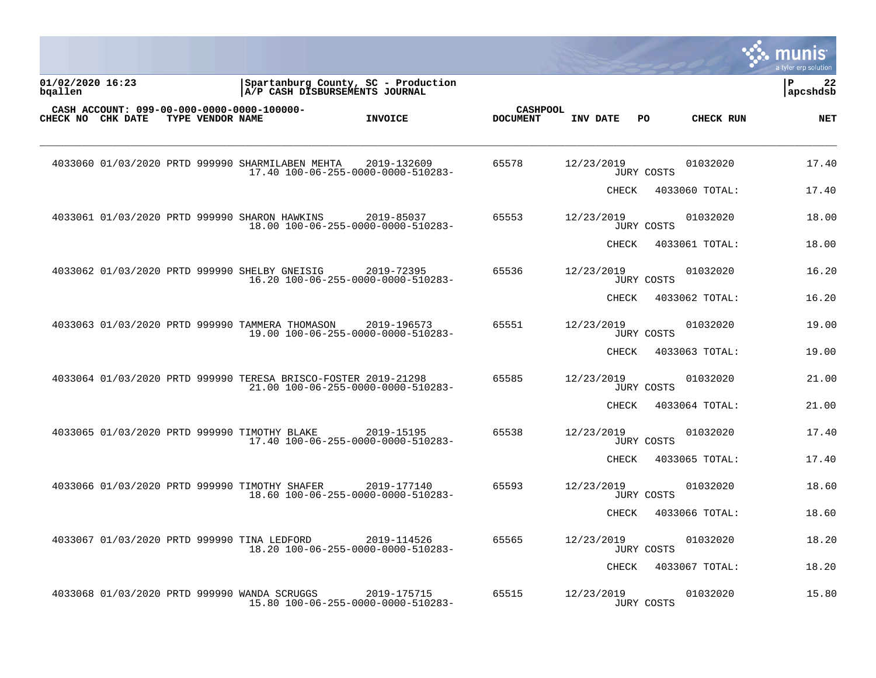|                             |                  |                                                                |                                                   |                                    |              |                   |                | munis<br>a tyler erp solution |
|-----------------------------|------------------|----------------------------------------------------------------|---------------------------------------------------|------------------------------------|--------------|-------------------|----------------|-------------------------------|
| 01/02/2020 16:23<br>bgallen |                  | A/P CASH DISBURSEMENTS JOURNAL                                 | Spartanburg County, SC - Production               |                                    |              |                   |                | ∣P<br>22<br>apcshdsb          |
| CHECK NO CHK DATE           | TYPE VENDOR NAME | CASH ACCOUNT: 099-00-000-0000-0000-100000-                     | <b>INVOICE</b>                                    | <b>CASHPOOL</b><br><b>DOCUMENT</b> | INV DATE     | PO                | CHECK RUN      | <b>NET</b>                    |
|                             |                  | 4033060 01/03/2020 PRTD 999990 SHARMILABEN MEHTA               | 2019-132609<br>17.40 100-06-255-0000-0000-510283- | 65578                              | 12/23/2019   | JURY COSTS        | 01032020       | 17.40                         |
|                             |                  |                                                                |                                                   |                                    | CHECK        |                   | 4033060 TOTAL: | 17.40                         |
|                             |                  | 4033061 01/03/2020 PRTD 999990 SHARON HAWKINS                  | 2019-85037<br>18.00 100-06-255-0000-0000-510283-  | 65553                              | 12/23/2019   | JURY COSTS        | 01032020       | 18.00                         |
|                             |                  |                                                                |                                                   |                                    | <b>CHECK</b> |                   | 4033061 TOTAL: | 18.00                         |
|                             |                  | 4033062 01/03/2020 PRTD 999990 SHELBY GNEISIG                  | 2019-72395<br>16.20 100-06-255-0000-0000-510283-  | 65536                              | 12/23/2019   | <b>JURY COSTS</b> | 01032020       | 16.20                         |
|                             |                  |                                                                |                                                   |                                    | CHECK        |                   | 4033062 TOTAL: | 16.20                         |
|                             |                  | 4033063 01/03/2020 PRTD 999990 TAMMERA THOMASON                | 2019-196573<br>19.00 100-06-255-0000-0000-510283- | 65551                              | 12/23/2019   | <b>JURY COSTS</b> | 01032020       | 19.00                         |
|                             |                  |                                                                |                                                   |                                    | CHECK        |                   | 4033063 TOTAL: | 19.00                         |
|                             |                  | 4033064 01/03/2020 PRTD 999990 TERESA BRISCO-FOSTER 2019-21298 | 21.00 100-06-255-0000-0000-510283-                | 65585                              | 12/23/2019   | JURY COSTS        | 01032020       | 21.00                         |
|                             |                  |                                                                |                                                   |                                    | CHECK        |                   | 4033064 TOTAL: | 21.00                         |
|                             |                  | 4033065 01/03/2020 PRTD 999990 TIMOTHY BLAKE                   | 2019-15195<br>17.40 100-06-255-0000-0000-510283-  | 65538                              | 12/23/2019   | JURY COSTS        | 01032020       | 17.40                         |
|                             |                  |                                                                |                                                   |                                    | CHECK        |                   | 4033065 TOTAL: | 17.40                         |
|                             |                  | 4033066 01/03/2020 PRTD 999990 TIMOTHY SHAFER                  | 2019-177140<br>18.60 100-06-255-0000-0000-510283- | 65593                              | 12/23/2019   | <b>JURY COSTS</b> | 01032020       | 18.60                         |
|                             |                  |                                                                |                                                   |                                    | CHECK        |                   | 4033066 TOTAL: | 18.60                         |
|                             |                  | 4033067 01/03/2020 PRTD 999990 TINA LEDFORD                    | 2019-114526<br>18.20 100-06-255-0000-0000-510283- | 65565                              | 12/23/2019   | <b>JURY COSTS</b> | 01032020       | 18.20                         |
|                             |                  |                                                                |                                                   |                                    | CHECK        |                   | 4033067 TOTAL: | 18.20                         |
|                             |                  | 4033068 01/03/2020 PRTD 999990 WANDA SCRUGGS                   | 2019-175715<br>15.80 100-06-255-0000-0000-510283- | 65515                              | 12/23/2019   | <b>JURY COSTS</b> | 01032020       | 15.80                         |

a sa mga magaalang na mga magaalang ng mga magaalang ng mga magaalang ng magaalang ng magaalang ng magaalang n

the contract of the contract of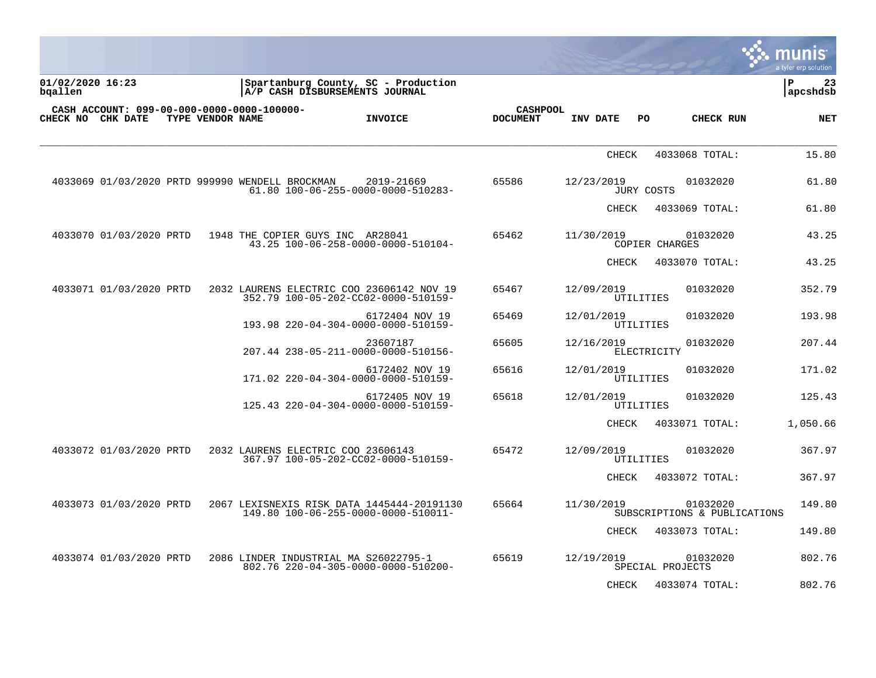| $\mathbb{R}$ munis   |
|----------------------|
| a tyler erp solution |

| 01/02/2020 16:23<br>bqallen |                         |                  | Spartanburg County, SC - Production<br> A/P CASH DISBURSEMENTS JOURNAL            |                                                  |                                    |              |                  |                                          | ∣P<br>23<br>apcshdsb |
|-----------------------------|-------------------------|------------------|-----------------------------------------------------------------------------------|--------------------------------------------------|------------------------------------|--------------|------------------|------------------------------------------|----------------------|
|                             | CHECK NO CHK DATE       | TYPE VENDOR NAME | CASH ACCOUNT: 099-00-000-0000-0000-100000-                                        | <b>INVOICE</b>                                   | <b>CASHPOOL</b><br><b>DOCUMENT</b> | INV DATE     | PO               | CHECK RUN                                | <b>NET</b>           |
|                             |                         |                  |                                                                                   |                                                  |                                    | <b>CHECK</b> |                  | 4033068 TOTAL:                           | 15.80                |
|                             |                         |                  | 4033069 01/03/2020 PRTD 999990 WENDELL BROCKMAN                                   | 2019-21669<br>61.80 100-06-255-0000-0000-510283- | 65586                              | 12/23/2019   | JURY COSTS       | 01032020                                 | 61.80                |
|                             |                         |                  |                                                                                   |                                                  |                                    | <b>CHECK</b> |                  | 4033069 TOTAL:                           | 61.80                |
|                             | 4033070 01/03/2020 PRTD |                  | 1948 THE COPIER GUYS INC AR28041                                                  | 43.25 100-06-258-0000-0000-510104-               | 65462                              | 11/30/2019   | COPIER CHARGES   | 01032020                                 | 43.25                |
|                             |                         |                  |                                                                                   |                                                  |                                    | CHECK        |                  | 4033070 TOTAL:                           | 43.25                |
|                             | 4033071 01/03/2020 PRTD |                  | 2032 LAURENS ELECTRIC COO 23606142 NOV 19<br>352.79 100-05-202-CC02-0000-510159-  |                                                  | 65467                              | 12/09/2019   | UTILITIES        | 01032020                                 | 352.79               |
|                             |                         |                  | 193.98 220-04-304-0000-0000-510159-                                               | 6172404 NOV 19                                   | 65469                              | 12/01/2019   | UTILITIES        | 01032020                                 | 193.98               |
|                             |                         |                  | 207.44 238-05-211-0000-0000-510156-                                               | 23607187                                         | 65605                              | 12/16/2019   | ELECTRICITY      | 01032020                                 | 207.44               |
|                             |                         |                  | 171.02 220-04-304-0000-0000-510159-                                               | 6172402 NOV 19                                   | 65616                              | 12/01/2019   | UTILITIES        | 01032020                                 | 171.02               |
|                             |                         |                  | 125.43 220-04-304-0000-0000-510159-                                               | 6172405 NOV 19                                   | 65618                              | 12/01/2019   | UTILITIES        | 01032020                                 | 125.43               |
|                             |                         |                  |                                                                                   |                                                  |                                    | <b>CHECK</b> |                  | 4033071 TOTAL:                           | 1,050.66             |
|                             | 4033072 01/03/2020 PRTD |                  | 2032 LAURENS ELECTRIC COO 23606143<br>367.97 100-05-202-CC02-0000-510159-         |                                                  | 65472                              | 12/09/2019   | UTILITIES        | 01032020                                 | 367.97               |
|                             |                         |                  |                                                                                   |                                                  |                                    | <b>CHECK</b> |                  | 4033072 TOTAL:                           | 367.97               |
|                             | 4033073 01/03/2020 PRTD |                  | 2067 LEXISNEXIS RISK DATA 1445444-20191130<br>149.80 100-06-255-0000-0000-510011- |                                                  | 65664                              | 11/30/2019   |                  | 01032020<br>SUBSCRIPTIONS & PUBLICATIONS | 149.80               |
|                             |                         |                  |                                                                                   |                                                  |                                    | CHECK        |                  | 4033073 TOTAL:                           | 149.80               |
|                             | 4033074 01/03/2020 PRTD |                  | 2086 LINDER INDUSTRIAL MA S26022795-1<br>802.76 220-04-305-0000-0000-510200-      |                                                  | 65619                              | 12/19/2019   | SPECIAL PROJECTS | 01032020                                 | 802.76               |
|                             |                         |                  |                                                                                   |                                                  |                                    | CHECK        |                  | 4033074 TOTAL:                           | 802.76               |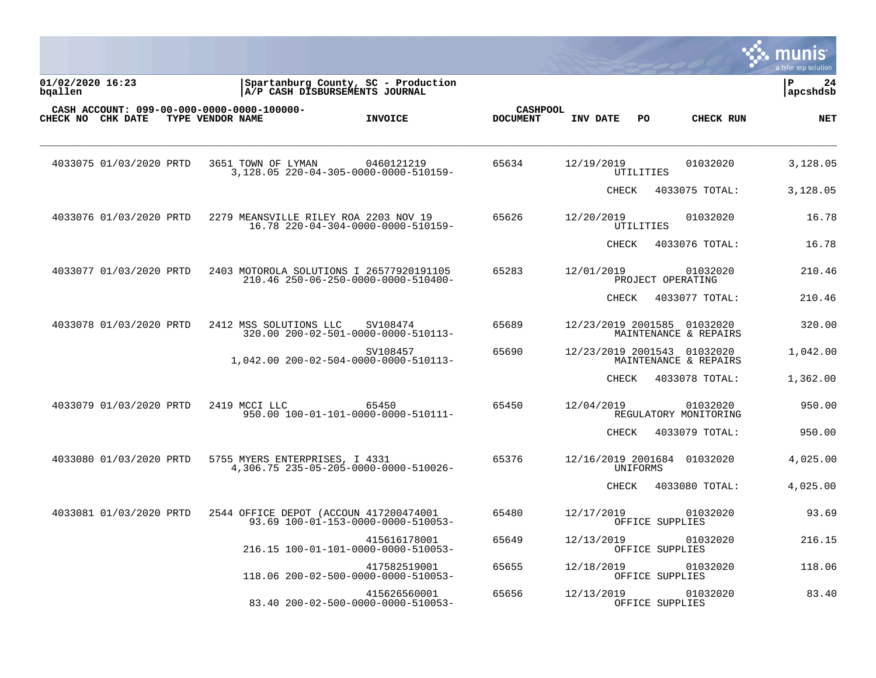|                             |                         |                                                                |                                                                       |                 |                 |                             |                   |                                   | munis<br>a tyler erp solution |
|-----------------------------|-------------------------|----------------------------------------------------------------|-----------------------------------------------------------------------|-----------------|-----------------|-----------------------------|-------------------|-----------------------------------|-------------------------------|
| 01/02/2020 16:23<br>bqallen |                         |                                                                | Spartanburg County, SC - Production<br>A/P CASH DISBURSEMENTS JOURNAL |                 |                 |                             |                   |                                   | P<br>24<br>apcshdsb           |
| CHECK NO CHK DATE           |                         | CASH ACCOUNT: 099-00-000-0000-0000-100000-<br>TYPE VENDOR NAME | <b>INVOICE</b>                                                        | <b>DOCUMENT</b> | <b>CASHPOOL</b> | INV DATE                    | PO                | CHECK RUN                         | <b>NET</b>                    |
|                             | 4033075 01/03/2020 PRTD | 3651 TOWN OF LYMAN                                             | 0460121219<br>3,128.05 220-04-305-0000-0000-510159-                   | 65634           |                 | 12/19/2019                  | UTILITIES         | 01032020                          | 3,128.05                      |
|                             |                         |                                                                |                                                                       |                 |                 | CHECK                       |                   | 4033075 TOTAL:                    | 3,128.05                      |
|                             | 4033076 01/03/2020 PRTD | 2279 MEANSVILLE RILEY ROA 2203 NOV 19                          | 16.78 220-04-304-0000-0000-510159-                                    | 65626           |                 | 12/20/2019                  | UTILITIES         | 01032020                          | 16.78                         |
|                             |                         |                                                                |                                                                       |                 |                 | <b>CHECK</b>                |                   | 4033076 TOTAL:                    | 16.78                         |
|                             | 4033077 01/03/2020 PRTD | 2403 MOTOROLA SOLUTIONS I 26577920191105                       | 210.46 250-06-250-0000-0000-510400-                                   | 65283           |                 | 12/01/2019                  | PROJECT OPERATING | 01032020                          | 210.46                        |
|                             |                         |                                                                |                                                                       |                 |                 | CHECK                       |                   | 4033077 TOTAL:                    | 210.46                        |
|                             | 4033078 01/03/2020 PRTD | 2412 MSS SOLUTIONS LLC                                         | SV108474<br>320.00 200-02-501-0000-0000-510113-                       | 65689           |                 | 12/23/2019 2001585          |                   | 01032020<br>MAINTENANCE & REPAIRS | 320.00                        |
|                             |                         |                                                                | SV108457<br>1,042.00 200-02-504-0000-0000-510113-                     | 65690           |                 | 12/23/2019 2001543          |                   | 01032020<br>MAINTENANCE & REPAIRS | 1,042.00                      |
|                             |                         |                                                                |                                                                       |                 |                 | CHECK                       |                   | 4033078 TOTAL:                    | 1,362.00                      |
|                             | 4033079 01/03/2020 PRTD | 2419 MCCI LLC                                                  | 65450<br>950.00 100-01-101-0000-0000-510111-                          | 65450           |                 | 12/04/2019                  |                   | 01032020<br>REGULATORY MONITORING | 950.00                        |
|                             |                         |                                                                |                                                                       |                 |                 | <b>CHECK</b>                |                   | 4033079 TOTAL:                    | 950.00                        |
|                             | 4033080 01/03/2020 PRTD | 5755 MYERS ENTERPRISES, I 4331                                 | 4,306.75 235-05-205-0000-0000-510026-                                 | 65376           |                 | 12/16/2019 2001684 01032020 | UNIFORMS          |                                   | 4,025.00                      |
|                             |                         |                                                                |                                                                       |                 |                 | <b>CHECK</b>                |                   | 4033080 TOTAL:                    | 4,025.00                      |
|                             | 4033081 01/03/2020 PRTD | 2544 OFFICE DEPOT (ACCOUN 417200474001                         | 93.69 100-01-153-0000-0000-510053-                                    | 65480           |                 | 12/17/2019                  | OFFICE SUPPLIES   | 01032020                          | 93.69                         |
|                             |                         |                                                                | 415616178001<br>216.15 100-01-101-0000-0000-510053-                   | 65649           |                 | 12/13/2019                  | OFFICE SUPPLIES   | 01032020                          | 216.15                        |
|                             |                         |                                                                | 417582519001<br>118.06 200-02-500-0000-0000-510053-                   | 65655           |                 | 12/18/2019                  | OFFICE SUPPLIES   | 01032020                          | 118.06                        |
|                             |                         |                                                                | 415626560001<br>83.40 200-02-500-0000-0000-510053-                    | 65656           |                 | 12/13/2019                  | OFFICE SUPPLIES   | 01032020                          | 83.40                         |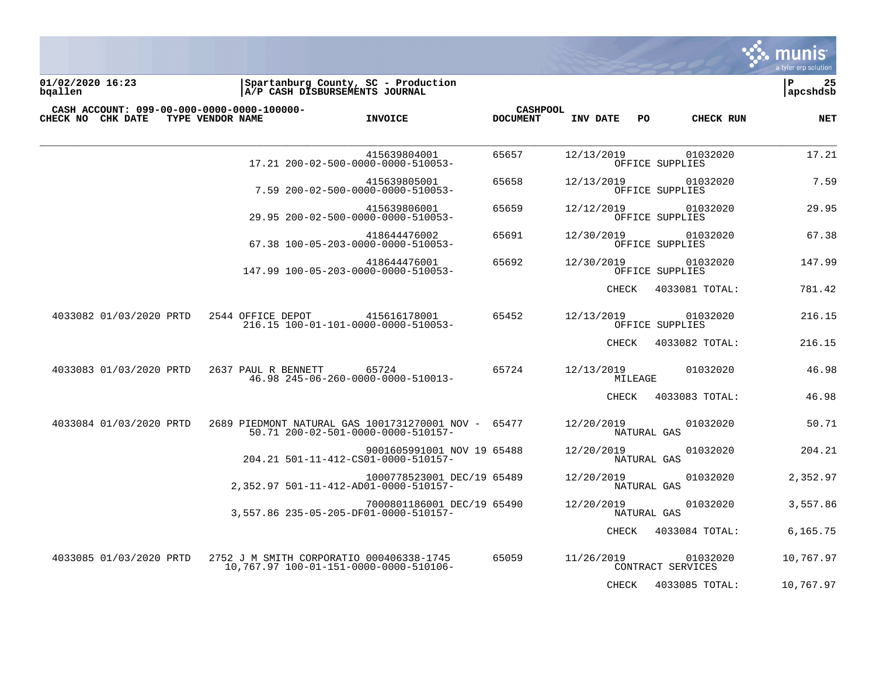

**01/02/2020 16:23 |Spartanburg County, SC - Production |P 25 bqallen |A/P CASH DISBURSEMENTS JOURNAL |apcshdsb**

| CASH ACCOUNT: 099-00-000-0000-0000-100000-<br>CHECK NO CHK DATE | TYPE VENDOR NAME                         | <b>INVOICE</b>                                                                      | <b>CASHPOOL</b><br><b>DOCUMENT</b> | INV DATE<br>PO.           | CHECK RUN                     | NET       |
|-----------------------------------------------------------------|------------------------------------------|-------------------------------------------------------------------------------------|------------------------------------|---------------------------|-------------------------------|-----------|
|                                                                 |                                          | 415639804001<br>17.21 200-02-500-0000-0000-510053-                                  | 65657                              | 12/13/2019                | 01032020<br>OFFICE SUPPLIES   | 17.21     |
|                                                                 |                                          | 415639805001<br>7.59 200-02-500-0000-0000-510053-                                   | 65658                              | 12/13/2019                | 01032020<br>OFFICE SUPPLIES   | 7.59      |
|                                                                 |                                          | 415639806001<br>29.95 200-02-500-0000-0000-510053-                                  | 65659                              | 12/12/2019                | 01032020<br>OFFICE SUPPLIES   | 29.95     |
|                                                                 |                                          | 418644476002<br>67.38 100-05-203-0000-0000-510053-                                  | 65691                              | 12/30/2019                | 01032020<br>OFFICE SUPPLIES   | 67.38     |
|                                                                 |                                          | 418644476001<br>147.99 100-05-203-0000-0000-510053-                                 | 65692                              | 12/30/2019                | 01032020<br>OFFICE SUPPLIES   | 147.99    |
|                                                                 |                                          |                                                                                     |                                    | CHECK                     | 4033081 TOTAL:                | 781.42    |
| 4033082 01/03/2020 PRTD                                         | 2544 OFFICE DEPOT                        | 415616178001<br>216.15 100-01-101-0000-0000-510053-                                 | 65452                              | 12/13/2019                | 01032020<br>OFFICE SUPPLIES   | 216.15    |
|                                                                 |                                          |                                                                                     |                                    | CHECK                     | 4033082 TOTAL:                | 216.15    |
| 4033083 01/03/2020 PRTD                                         | 2637 PAUL R BENNETT                      | 65724<br>46.98 245-06-260-0000-0000-510013-                                         | 65724                              | 12/13/2019<br>MILEAGE     | 01032020                      | 46.98     |
|                                                                 |                                          |                                                                                     |                                    | CHECK                     | 4033083 TOTAL:                | 46.98     |
| 4033084 01/03/2020 PRTD                                         |                                          | 2689 PIEDMONT NATURAL GAS 1001731270001 NOV -<br>50.71 200-02-501-0000-0000-510157- | 65477                              | 12/20/2019<br>NATURAL GAS | 01032020                      | 50.71     |
|                                                                 |                                          | 9001605991001 NOV 19 65488<br>204.21 501-11-412-CS01-0000-510157-                   |                                    | 12/20/2019<br>NATURAL GAS | 01032020                      | 204.21    |
|                                                                 |                                          | 1000778523001 DEC/19 65489<br>2,352.97 501-11-412-AD01-0000-510157-                 |                                    | 12/20/2019<br>NATURAL GAS | 01032020                      | 2,352.97  |
|                                                                 |                                          | 7000801186001 DEC/19 65490<br>3,557.86 235-05-205-DF01-0000-510157-                 |                                    | 12/20/2019<br>NATURAL GAS | 01032020                      | 3,557.86  |
|                                                                 |                                          |                                                                                     |                                    | CHECK                     | 4033084 TOTAL:                | 6,165.75  |
| 4033085 01/03/2020 PRTD                                         | 2752 J M SMITH CORPORATIO 000406338-1745 | 10.767.97 100-01-151-0000-0000-510106-                                              | 65059                              | 11/26/2019                | 01032020<br>CONTRACT SERVICES | 10,767.97 |
|                                                                 |                                          |                                                                                     |                                    | CHECK                     | 4033085 TOTAL:                | 10,767.97 |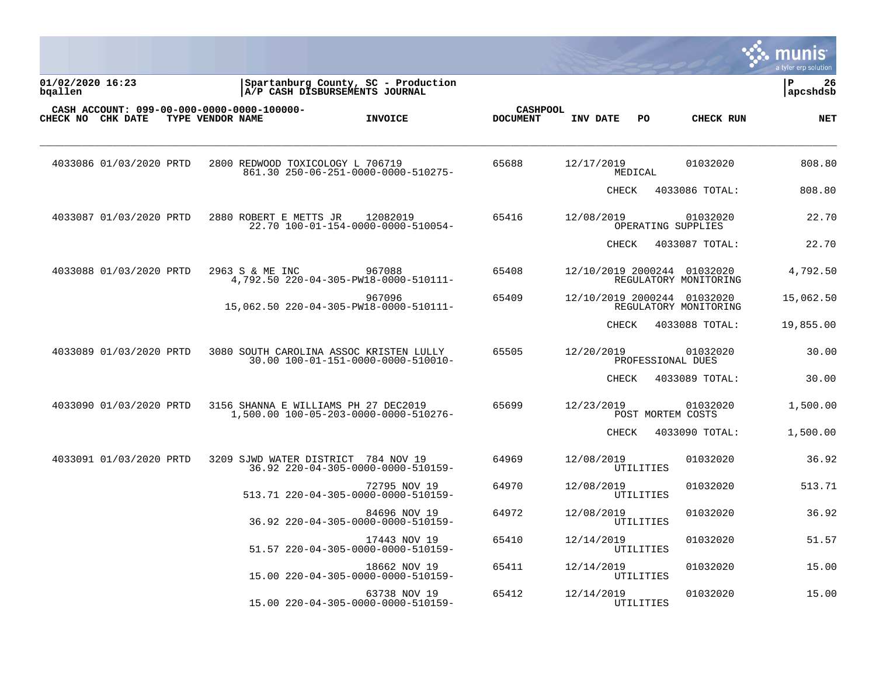|                             |                         |                                                                |                                                     |                                    |                             |           |                                | munis<br>a tyler erp solution |
|-----------------------------|-------------------------|----------------------------------------------------------------|-----------------------------------------------------|------------------------------------|-----------------------------|-----------|--------------------------------|-------------------------------|
| 01/02/2020 16:23<br>bqallen |                         | A/P CASH DISBURSEMENTS JOURNAL                                 | Spartanburg County, SC - Production                 |                                    |                             |           |                                | P<br>26<br>apcshdsb           |
| CHECK NO CHK DATE           |                         | CASH ACCOUNT: 099-00-000-0000-0000-100000-<br>TYPE VENDOR NAME | <b>INVOICE</b>                                      | <b>CASHPOOL</b><br><b>DOCUMENT</b> | INV DATE                    | PO        | CHECK RUN                      | <b>NET</b>                    |
|                             | 4033086 01/03/2020 PRTD | 2800 REDWOOD TOXICOLOGY L 706719                               | 861.30 250-06-251-0000-0000-510275-                 | 65688                              | 12/17/2019                  | MEDICAL   | 01032020                       | 808.80                        |
|                             |                         |                                                                |                                                     |                                    | CHECK                       |           | 4033086 TOTAL:                 | 808.80                        |
|                             | 4033087 01/03/2020 PRTD | 2880 ROBERT E METTS JR                                         | 12082019<br>22.70 100-01-154-0000-0000-510054-      | 65416                              | 12/08/2019                  |           | 01032020<br>OPERATING SUPPLIES | 22.70                         |
|                             |                         |                                                                |                                                     |                                    | CHECK                       |           | 4033087 TOTAL:                 | 22.70                         |
|                             | 4033088 01/03/2020 PRTD | 2963 S & ME INC                                                | 967088<br>4,792.50 220-04-305-PW18-0000-510111-     | 65408                              | 12/10/2019 2000244 01032020 |           | REGULATORY MONITORING          | 4,792.50                      |
|                             |                         |                                                                | 967096<br>15,062.50 220-04-305-PW18-0000-510111-    | 65409                              | 12/10/2019 2000244 01032020 |           | REGULATORY MONITORING          | 15,062.50                     |
|                             |                         |                                                                |                                                     |                                    | CHECK                       |           | 4033088 TOTAL:                 | 19,855.00                     |
|                             | 4033089 01/03/2020 PRTD | 3080 SOUTH CAROLINA ASSOC KRISTEN LULLY                        | 30.00 100-01-151-0000-0000-510010-                  | 65505                              | 12/20/2019                  |           | 01032020<br>PROFESSIONAL DUES  | 30.00                         |
|                             |                         |                                                                |                                                     |                                    | CHECK                       |           | 4033089 TOTAL:                 | 30.00                         |
|                             | 4033090 01/03/2020 PRTD | 3156 SHANNA E WILLIAMS PH 27 DEC2019                           | 1,500.00 100-05-203-0000-0000-510276-               | 65699                              | 12/23/2019                  |           | 01032020<br>POST MORTEM COSTS  | 1,500.00                      |
|                             |                         |                                                                |                                                     |                                    | <b>CHECK</b>                |           | 4033090 TOTAL:                 | 1,500.00                      |
|                             | 4033091 01/03/2020 PRTD | 3209 SJWD WATER DISTRICT 784 NOV 19                            | 36.92 220-04-305-0000-0000-510159-                  | 64969                              | 12/08/2019                  | UTILITIES | 01032020                       | 36.92                         |
|                             |                         |                                                                | 72795 NOV 19<br>513.71 220-04-305-0000-0000-510159- | 64970                              | 12/08/2019                  | UTILITIES | 01032020                       | 513.71                        |
|                             |                         |                                                                | 84696 NOV 19<br>36.92 220-04-305-0000-0000-510159-  | 64972                              | 12/08/2019                  | UTILITIES | 01032020                       | 36.92                         |
|                             |                         |                                                                | 17443 NOV 19<br>51.57 220-04-305-0000-0000-510159-  | 65410                              | 12/14/2019                  | UTILITIES | 01032020                       | 51.57                         |
|                             |                         |                                                                | 18662 NOV 19<br>15.00 220-04-305-0000-0000-510159-  | 65411                              | 12/14/2019                  | UTILITIES | 01032020                       | 15.00                         |
|                             |                         |                                                                | 63738 NOV 19<br>15.00 220-04-305-0000-0000-510159-  | 65412                              | 12/14/2019                  | UTILITIES | 01032020                       | 15.00                         |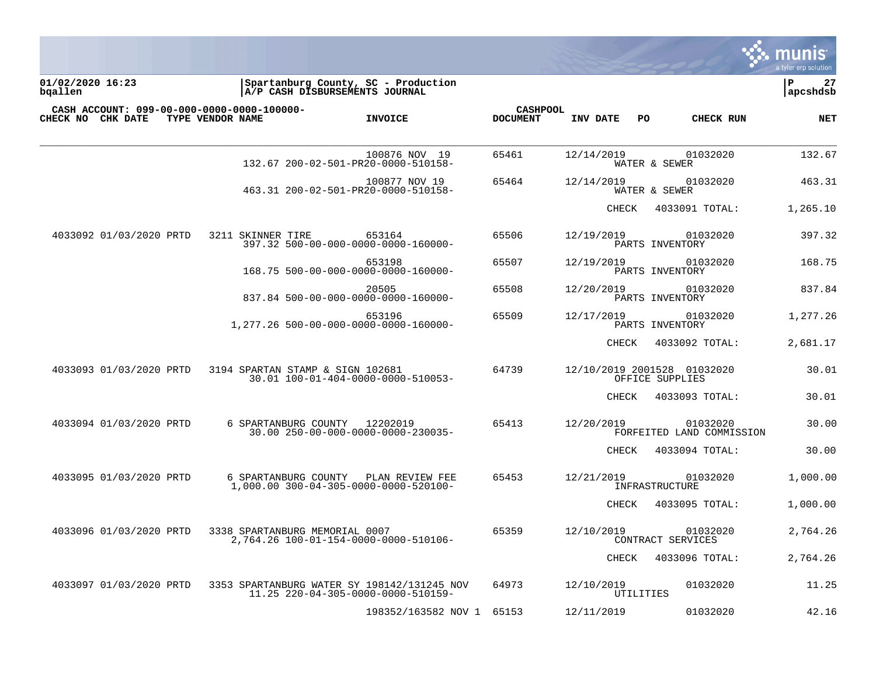

**01/02/2020 16:23 |Spartanburg County, SC - Production |P 27 bqallen |A/P CASH DISBURSEMENTS JOURNAL |apcshdsb**

| CASH ACCOUNT: 099-00-000-0000-0000-100000-<br>CHECK NO<br>CHK DATE | TYPE VENDOR NAME<br><b>INVOICE</b>                                                | <b>CASHPOOL</b><br><b>DOCUMENT</b> | INV DATE<br>PO<br><b>CHECK RUN</b>                  | NET      |
|--------------------------------------------------------------------|-----------------------------------------------------------------------------------|------------------------------------|-----------------------------------------------------|----------|
|                                                                    |                                                                                   |                                    |                                                     |          |
|                                                                    | 100876 NOV 19<br>132.67 200-02-501-PR20-0000-510158-                              | 65461                              | 12/14/2019<br>01032020<br>WATER & SEWER             | 132.67   |
|                                                                    | 100877 NOV 19<br>463.31 200-02-501-PR20-0000-510158-                              | 65464                              | 01032020<br>12/14/2019<br>WATER & SEWER             | 463.31   |
|                                                                    |                                                                                   |                                    | <b>CHECK</b><br>4033091 TOTAL:                      | 1,265.10 |
| 4033092 01/03/2020 PRTD                                            | 653164<br>3211 SKINNER TIRE<br>397.32 500-00-000-0000-0000-160000-                | 65506                              | 12/19/2019<br>01032020<br>PARTS INVENTORY           | 397.32   |
|                                                                    | 653198<br>168.75 500-00-000-0000-0000-160000-                                     | 65507                              | 01032020<br>12/19/2019<br>PARTS INVENTORY           | 168.75   |
|                                                                    | 20505<br>837.84 500-00-000-0000-0000-160000-                                      | 65508                              | 12/20/2019<br>01032020<br>PARTS INVENTORY           | 837.84   |
|                                                                    | 653196<br>1,277.26 500-00-000-0000-0000-160000-                                   | 65509                              | 12/17/2019<br>01032020<br>PARTS INVENTORY           | 1,277.26 |
|                                                                    |                                                                                   |                                    | CHECK<br>4033092 TOTAL:                             | 2,681.17 |
| 4033093 01/03/2020 PRTD                                            | 3194 SPARTAN STAMP & SIGN 102681<br>30.01 100-01-404-0000-0000-510053-            | 64739                              | 12/10/2019 2001528 01032020<br>OFFICE SUPPLIES      | 30.01    |
|                                                                    |                                                                                   |                                    | CHECK<br>4033093 TOTAL:                             | 30.01    |
| 4033094 01/03/2020 PRTD                                            | 12202019<br>6 SPARTANBURG COUNTY<br>30.00 250-00-000-0000-0000-230035-            | 65413                              | 12/20/2019<br>01032020<br>FORFEITED LAND COMMISSION | 30.00    |
|                                                                    |                                                                                   |                                    | 4033094 TOTAL:<br>CHECK                             | 30.00    |
| 4033095 01/03/2020 PRTD                                            | 6 SPARTANBURG COUNTY<br>PLAN REVIEW FEE<br>1,000.00 300-04-305-0000-0000-520100-  | 65453                              | 12/21/2019<br>01032020<br>INFRASTRUCTURE            | 1,000.00 |
|                                                                    |                                                                                   |                                    | <b>CHECK</b><br>4033095 TOTAL:                      | 1,000.00 |
| 4033096 01/03/2020 PRTD                                            | 3338 SPARTANBURG MEMORIAL 0007<br>2,764.26 100-01-154-0000-0000-510106-           | 65359                              | 12/10/2019<br>01032020<br>CONTRACT SERVICES         | 2,764.26 |
|                                                                    |                                                                                   |                                    | CHECK<br>4033096 TOTAL:                             | 2,764.26 |
| 4033097 01/03/2020 PRTD                                            | 3353 SPARTANBURG WATER SY 198142/131245 NOV<br>11.25 220-04-305-0000-0000-510159- | 64973                              | 12/10/2019<br>01032020<br>UTILITIES                 | 11.25    |
|                                                                    | 198352/163582 NOV 1                                                               | 65153                              | 12/11/2019<br>01032020                              | 42.16    |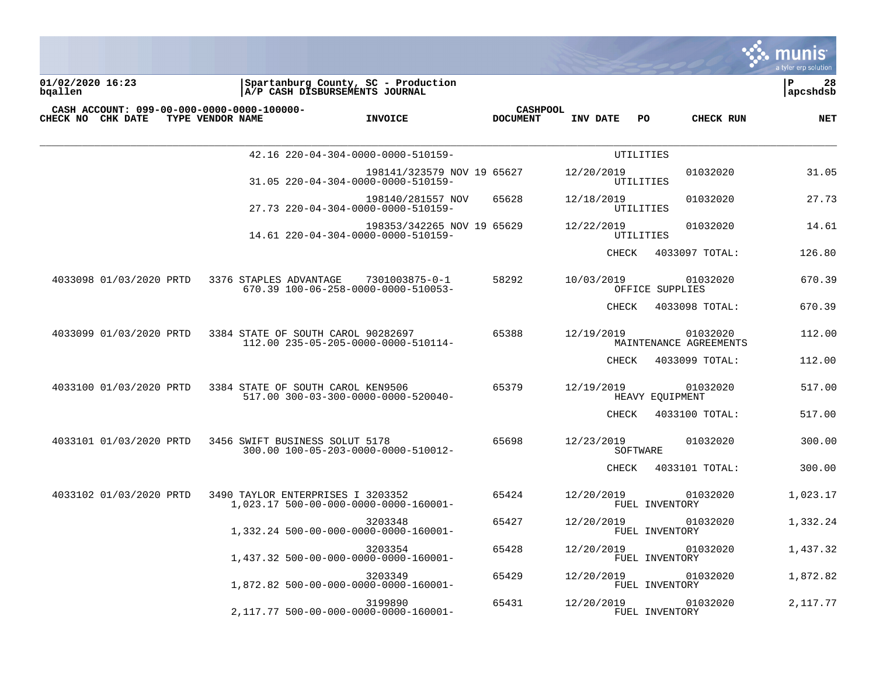

**01/02/2020 16:23 |Spartanburg County, SC - Production |P 28 bqallen |A/P CASH DISBURSEMENTS JOURNAL |apcshdsb**

| <b>CHECK NO CHK DATE</b> | CASH ACCOUNT: 099-00-000-0000-0000-100000-<br>TYPE VENDOR NAME | <b>INVOICE</b>                                                   | <b>CASHPOOL</b><br><b>DOCUMENT</b> | INV DATE               | PO.<br>CHECK RUN                   | NET      |
|--------------------------|----------------------------------------------------------------|------------------------------------------------------------------|------------------------------------|------------------------|------------------------------------|----------|
|                          |                                                                | 42.16 220-04-304-0000-0000-510159-                               |                                    |                        | UTILITIES                          |          |
|                          |                                                                | 198141/323579 NOV 19 65627<br>31.05 220-04-304-0000-0000-510159- |                                    | 12/20/2019             | 01032020<br>UTILITIES              | 31.05    |
|                          |                                                                | 198140/281557 NOV<br>27.73 220-04-304-0000-0000-510159-          | 65628                              | 12/18/2019             | 01032020<br>UTILITIES              | 27.73    |
|                          |                                                                | 198353/342265 NOV 19 65629<br>14.61 220-04-304-0000-0000-510159- |                                    | 12/22/2019             | 01032020<br>UTILITIES              | 14.61    |
|                          |                                                                |                                                                  |                                    | CHECK                  | 4033097 TOTAL:                     | 126.80   |
| 4033098 01/03/2020 PRTD  | 3376 STAPLES ADVANTAGE                                         | 7301003875-0-1<br>670.39 100-06-258-0000-0000-510053-            | 58292                              | 10/03/2019             | 01032020<br>OFFICE SUPPLIES        | 670.39   |
|                          |                                                                |                                                                  |                                    | CHECK                  | 4033098 TOTAL:                     | 670.39   |
| 4033099 01/03/2020 PRTD  | 3384 STATE OF SOUTH CAROL 90282697                             | 112.00 235-05-205-0000-0000-510114-                              | 65388                              | 12/19/2019             | 01032020<br>MAINTENANCE AGREEMENTS | 112.00   |
|                          |                                                                |                                                                  |                                    | CHECK                  | 4033099 TOTAL:                     | 112.00   |
| 4033100 01/03/2020 PRTD  | 3384 STATE OF SOUTH CAROL KEN9506                              | 517.00 300-03-300-0000-0000-520040-                              | 65379                              | 12/19/2019             | 01032020<br>HEAVY EOUIPMENT        | 517.00   |
|                          |                                                                |                                                                  |                                    | CHECK                  | 4033100 TOTAL:                     | 517.00   |
| 4033101 01/03/2020 PRTD  | 3456 SWIFT BUSINESS SOLUT 5178                                 | 300.00 100-05-203-0000-0000-510012-                              | 65698                              | 12/23/2019<br>SOFTWARE | 01032020                           | 300.00   |
|                          |                                                                |                                                                  |                                    | <b>CHECK</b>           | 4033101 TOTAL:                     | 300.00   |
| 4033102 01/03/2020 PRTD  | 3490 TAYLOR ENTERPRISES I 3203352                              | 1,023.17 500-00-000-0000-0000-160001-                            | 65424                              | 12/20/2019             | 01032020<br>FUEL INVENTORY         | 1,023.17 |
|                          |                                                                | 3203348<br>1,332.24 500-00-000-0000-0000-160001-                 | 65427                              | 12/20/2019             | 01032020<br>FUEL INVENTORY         | 1,332.24 |
|                          |                                                                | 3203354<br>1,437.32 500-00-000-0000-0000-160001-                 | 65428                              | 12/20/2019             | 01032020<br>FUEL INVENTORY         | 1,437.32 |
|                          |                                                                | 3203349<br>1,872.82 500-00-000-0000-0000-160001-                 | 65429                              | 12/20/2019             | 01032020<br>FUEL INVENTORY         | 1,872.82 |
|                          |                                                                | 3199890<br>2,117.77 500-00-000-0000-0000-160001-                 | 65431                              | 12/20/2019             | 01032020<br>FUEL INVENTORY         | 2,117.77 |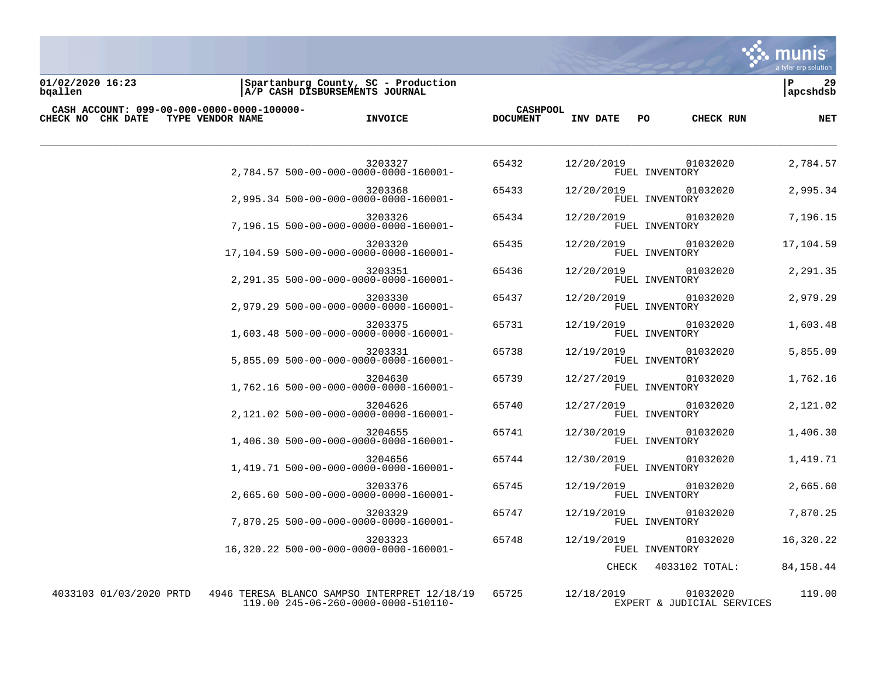

**01/02/2020 16:23 |Spartanburg County, SC - Production |P 29 bqallen |A/P CASH DISBURSEMENTS JOURNAL |apcshdsb**

| CASH ACCOUNT: 099-00-000-0000-0000-100000- |                  |                                                                                     | <b>CASHPOOL</b> |            |                                        |             |
|--------------------------------------------|------------------|-------------------------------------------------------------------------------------|-----------------|------------|----------------------------------------|-------------|
| <b>CHECK NO CHK DATE</b>                   | TYPE VENDOR NAME | <b>INVOICE</b>                                                                      | <b>DOCUMENT</b> | INV DATE   | PO<br>CHECK RUN                        | NET         |
|                                            |                  | 3203327<br>2.784.57 500-00-000-0000-0000-160001-                                    | 65432           | 12/20/2019 | 01032020<br>FUEL INVENTORY             | 2,784.57    |
|                                            |                  | 3203368<br>2,995.34 500-00-000-0000-0000-160001-                                    | 65433           | 12/20/2019 | 01032020<br>FUEL INVENTORY             | 2,995.34    |
|                                            |                  | 3203326<br>7,196.15 500-00-000-0000-0000-160001-                                    | 65434           | 12/20/2019 | 01032020<br>FUEL INVENTORY             | 7,196.15    |
|                                            |                  | 3203320<br>17,104.59 500-00-000-0000-0000-160001-                                   | 65435           | 12/20/2019 | 01032020<br>FUEL INVENTORY             | 17,104.59   |
|                                            |                  | 3203351<br>2,291.35 500-00-000-0000-0000-160001-                                    | 65436           | 12/20/2019 | 01032020<br>FUEL INVENTORY             | 2,291.35    |
|                                            |                  | 3203330<br>2,979.29 500-00-000-0000-0000-160001-                                    | 65437           | 12/20/2019 | 01032020<br>FUEL INVENTORY             | 2,979.29    |
|                                            |                  | 3203375<br>1,603.48 500-00-000-0000-0000-160001-                                    | 65731           | 12/19/2019 | 01032020<br>FUEL INVENTORY             | 1,603.48    |
|                                            |                  | 3203331<br>5,855.09 500-00-000-0000-0000-160001-                                    | 65738           | 12/19/2019 | 01032020<br>FUEL INVENTORY             | 5,855.09    |
|                                            |                  | 3204630<br>1,762.16 500-00-000-0000-0000-160001-                                    | 65739           | 12/27/2019 | 01032020<br>FUEL INVENTORY             | 1,762.16    |
|                                            |                  | 3204626<br>2,121.02 500-00-000-0000-0000-160001-                                    | 65740           | 12/27/2019 | 01032020<br>FUEL INVENTORY             | 2,121.02    |
|                                            |                  | 3204655<br>1,406.30 500-00-000-0000-0000-160001-                                    | 65741           | 12/30/2019 | 01032020<br>FUEL INVENTORY             | 1,406.30    |
|                                            |                  | 3204656<br>1,419.71 500-00-000-0000-0000-160001-                                    | 65744           | 12/30/2019 | 01032020<br>FUEL INVENTORY             | 1,419.71    |
|                                            |                  | 3203376<br>2,665.60 500-00-000-0000-0000-160001-                                    | 65745           | 12/19/2019 | 01032020<br>FUEL INVENTORY             | 2,665.60    |
|                                            |                  | 3203329<br>7.870.25 500-00-000-0000-0000-160001-                                    | 65747           | 12/19/2019 | 01032020<br>FUEL INVENTORY             | 7,870.25    |
|                                            |                  | 3203323<br>16,320.22 500-00-000-0000-0000-160001-                                   | 65748           | 12/19/2019 | 01032020<br>FUEL INVENTORY             | 16,320.22   |
|                                            |                  |                                                                                     |                 | CHECK      | 4033102 TOTAL:                         | 84, 158. 44 |
| 4033103 01/03/2020 PRTD                    |                  | 4946 TERESA BLANCO SAMPSO INTERPRET 12/18/19<br>119.00 245-06-260-0000-0000-510110- | 65725           | 12/18/2019 | 01032020<br>EXPERT & JUDICIAL SERVICES | 119.00      |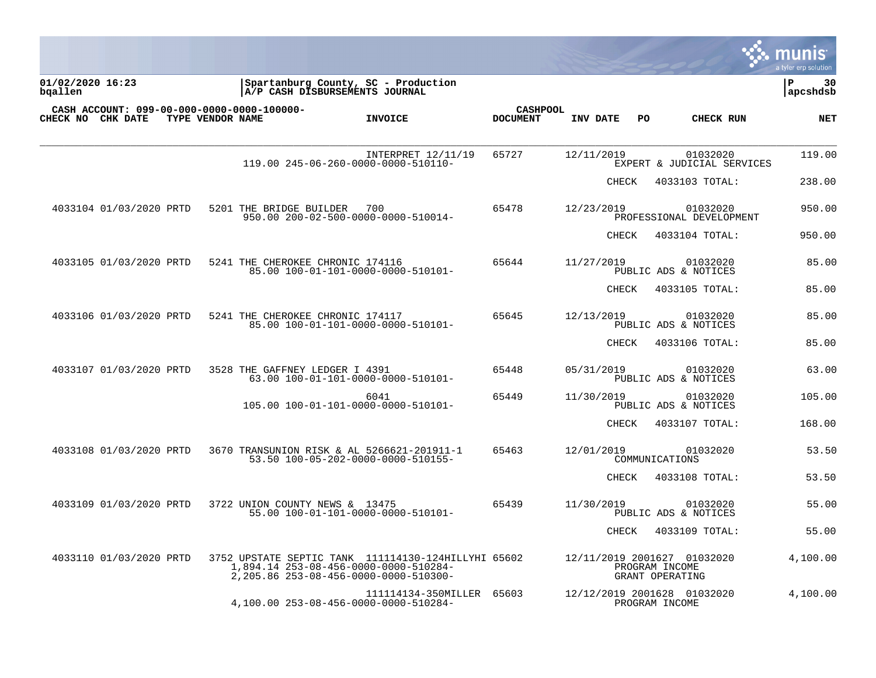|                             |                         |                  |                                            |                                                                                                                                       |                 |                 |              |     |                                                                  | munis<br>a tyler erp solution |
|-----------------------------|-------------------------|------------------|--------------------------------------------|---------------------------------------------------------------------------------------------------------------------------------------|-----------------|-----------------|--------------|-----|------------------------------------------------------------------|-------------------------------|
| 01/02/2020 16:23<br>bqallen |                         |                  | A/P CASH DISBURSEMENTS JOURNAL             | Spartanburg County, SC - Production                                                                                                   |                 |                 |              |     |                                                                  | P<br>30<br>apcshdsb           |
|                             | CHECK NO CHK DATE       | TYPE VENDOR NAME | CASH ACCOUNT: 099-00-000-0000-0000-100000- | <b>INVOICE</b>                                                                                                                        | <b>DOCUMENT</b> | <b>CASHPOOL</b> | INV DATE     | PO. | CHECK RUN                                                        | <b>NET</b>                    |
|                             |                         |                  |                                            | INTERPRET 12/11/19<br>119.00 245-06-260-0000-0000-510110-                                                                             | 65727           |                 | 12/11/2019   |     | 01032020<br>EXPERT & JUDICIAL SERVICES                           | 119.00                        |
|                             |                         |                  |                                            |                                                                                                                                       |                 |                 | <b>CHECK</b> |     | 4033103 TOTAL:                                                   | 238.00                        |
|                             | 4033104 01/03/2020 PRTD |                  | 5201 THE BRIDGE BUILDER                    | 700<br>950.00 200-02-500-0000-0000-510014-                                                                                            | 65478           |                 | 12/23/2019   |     | 01032020<br>PROFESSIONAL DEVELOPMENT                             | 950.00                        |
|                             |                         |                  |                                            |                                                                                                                                       |                 |                 | CHECK        |     | 4033104 TOTAL:                                                   | 950.00                        |
|                             | 4033105 01/03/2020 PRTD |                  | 5241 THE CHEROKEE CHRONIC 174116           | 85.00 100-01-101-0000-0000-510101-                                                                                                    | 65644           |                 | 11/27/2019   |     | 01032020<br>PUBLIC ADS & NOTICES                                 | 85.00                         |
|                             |                         |                  |                                            |                                                                                                                                       |                 |                 | CHECK        |     | 4033105 TOTAL:                                                   | 85.00                         |
|                             | 4033106 01/03/2020 PRTD |                  | 5241 THE CHEROKEE CHRONIC 174117           | 85.00 100-01-101-0000-0000-510101-                                                                                                    | 65645           |                 | 12/13/2019   |     | 01032020<br>PUBLIC ADS & NOTICES                                 | 85.00                         |
|                             |                         |                  |                                            |                                                                                                                                       |                 |                 | CHECK        |     | 4033106 TOTAL:                                                   | 85.00                         |
|                             | 4033107 01/03/2020 PRTD |                  | 3528 THE GAFFNEY LEDGER I 4391             | 63.00 100-01-101-0000-0000-510101-                                                                                                    | 65448           |                 | 05/31/2019   |     | 01032020<br>PUBLIC ADS & NOTICES                                 | 63.00                         |
|                             |                         |                  |                                            | 6041<br>105.00 100-01-101-0000-0000-510101-                                                                                           | 65449           |                 | 11/30/2019   |     | 01032020<br>PUBLIC ADS & NOTICES                                 | 105.00                        |
|                             |                         |                  |                                            |                                                                                                                                       |                 |                 | <b>CHECK</b> |     | 4033107 TOTAL:                                                   | 168.00                        |
|                             | 4033108 01/03/2020 PRTD |                  |                                            | 3670 TRANSUNION RISK & AL 5266621-201911-1<br>53.50 100-05-202-0000-0000-510155-                                                      | 65463           |                 | 12/01/2019   |     | 01032020<br>COMMUNICATIONS                                       | 53.50                         |
|                             |                         |                  |                                            |                                                                                                                                       |                 |                 | CHECK        |     | 4033108 TOTAL:                                                   | 53.50                         |
|                             | 4033109 01/03/2020 PRTD |                  | 3722 UNION COUNTY NEWS & 13475             | 55.00 100-01-101-0000-0000-510101-                                                                                                    | 65439           |                 | 11/30/2019   |     | 01032020<br>PUBLIC ADS & NOTICES                                 | 55.00                         |
|                             |                         |                  |                                            |                                                                                                                                       |                 |                 | CHECK        |     | 4033109 TOTAL:                                                   | 55.00                         |
|                             | 4033110 01/03/2020 PRTD |                  |                                            | 3752 UPSTATE SEPTIC TANK 111114130-124HILLYHI 65602<br>1,894.14 253-08-456-0000-0000-510284-<br>2,205.86 253-08-456-0000-0000-510300- |                 |                 |              |     | 12/11/2019 2001627 01032020<br>PROGRAM INCOME<br>GRANT OPERATING | 4,100.00                      |
|                             |                         |                  |                                            | 111114134-350MILLER<br>4,100.00 253-08-456-0000-0000-510284-                                                                          | 65603           |                 |              |     | 12/12/2019 2001628 01032020<br>PROGRAM INCOME                    | 4,100.00                      |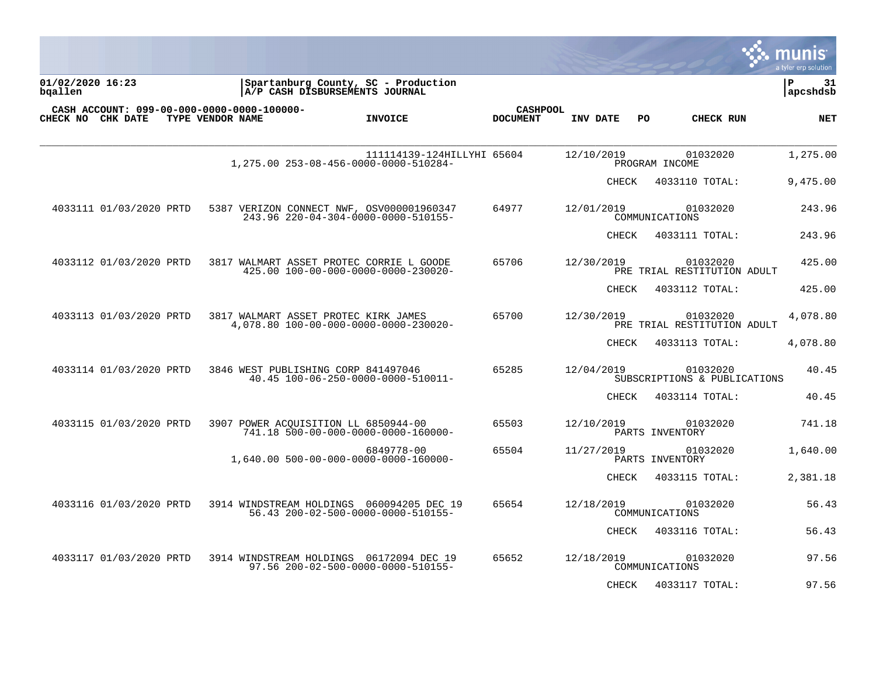|                                                                 |                  |                                                                                  |                                    |              |    |                                          | munis<br>a tyler erp solution |
|-----------------------------------------------------------------|------------------|----------------------------------------------------------------------------------|------------------------------------|--------------|----|------------------------------------------|-------------------------------|
| 01/02/2020 16:23<br>bqallen                                     |                  | Spartanburg County, SC - Production<br>A/P CASH DISBURSEMENTS JOURNAL            |                                    |              |    |                                          | ΙP<br>31<br>  apcshdsb        |
| CASH ACCOUNT: 099-00-000-0000-0000-100000-<br>CHECK NO CHK DATE | TYPE VENDOR NAME | <b>INVOICE</b>                                                                   | <b>CASHPOOL</b><br><b>DOCUMENT</b> | INV DATE     | PO | CHECK RUN                                | NET                           |
|                                                                 |                  | 111114139-124HILLYHI 65604<br>1,275.00 253-08-456-0000-0000-510284-              |                                    | 12/10/2019   |    | 01032020<br>PROGRAM INCOME               | 1,275.00                      |
|                                                                 |                  |                                                                                  |                                    | <b>CHECK</b> |    | 4033110 TOTAL:                           | 9,475.00                      |
| 4033111 01/03/2020 PRTD                                         |                  | 5387 VERIZON CONNECT NWF, OSV000001960347<br>243.96 220-04-304-0000-0000-510155- | 64977                              | 12/01/2019   |    | 01032020<br>COMMUNICATIONS               | 243.96                        |
|                                                                 |                  |                                                                                  |                                    | <b>CHECK</b> |    | 4033111 TOTAL:                           | 243.96                        |
| 4033112 01/03/2020 PRTD                                         |                  | 3817 WALMART ASSET PROTEC CORRIE L GOODE<br>425.00 100-00-000-0000-0000-230020-  | 65706                              | 12/30/2019   |    | 01032020<br>PRE TRIAL RESTITUTION ADULT  | 425.00                        |
|                                                                 |                  |                                                                                  |                                    | CHECK        |    | 4033112 TOTAL:                           | 425.00                        |
| 4033113 01/03/2020 PRTD                                         |                  | 3817 WALMART ASSET PROTEC KIRK JAMES<br>4,078.80 100-00-000-0000-0000-230020-    | 65700                              | 12/30/2019   |    | 01032020<br>PRE TRIAL RESTITUTION ADULT  | 4,078.80                      |
|                                                                 |                  |                                                                                  |                                    | CHECK        |    | 4033113 TOTAL:                           | 4,078.80                      |
| 4033114 01/03/2020 PRTD                                         |                  | 3846 WEST PUBLISHING CORP 841497046<br>40.45 100-06-250-0000-0000-510011-        | 65285                              | 12/04/2019   |    | 01032020<br>SUBSCRIPTIONS & PUBLICATIONS | 40.45                         |
|                                                                 |                  |                                                                                  |                                    | CHECK        |    | 4033114 TOTAL:                           | 40.45                         |
| 4033115 01/03/2020 PRTD                                         |                  | 3907 POWER ACOUISITION LL 6850944-00<br>741.18 500-00-000-0000-0000-160000-      | 65503                              | 12/10/2019   |    | 01032020<br>PARTS INVENTORY              | 741.18                        |
|                                                                 |                  | 6849778-00<br>1,640.00 500-00-000-0000-0000-160000-                              | 65504                              | 11/27/2019   |    | 01032020<br>PARTS INVENTORY              | 1,640.00                      |
|                                                                 |                  |                                                                                  |                                    | CHECK        |    | 4033115 TOTAL:                           | 2,381.18                      |
| 4033116 01/03/2020 PRTD                                         |                  | 3914 WINDSTREAM HOLDINGS 060094205 DEC 19<br>56.43 200-02-500-0000-0000-510155-  | 65654                              | 12/18/2019   |    | 01032020<br>COMMUNICATIONS               | 56.43                         |
|                                                                 |                  |                                                                                  |                                    | CHECK        |    | 4033116 TOTAL:                           | 56.43                         |
| 4033117 01/03/2020 PRTD                                         |                  | 3914 WINDSTREAM HOLDINGS 06172094 DEC 19<br>97.56 200-02-500-0000-0000-510155-   | 65652                              | 12/18/2019   |    | 01032020<br>COMMUNICATIONS               | 97.56                         |
|                                                                 |                  |                                                                                  |                                    | <b>CHECK</b> |    | 4033117 TOTAL:                           | 97.56                         |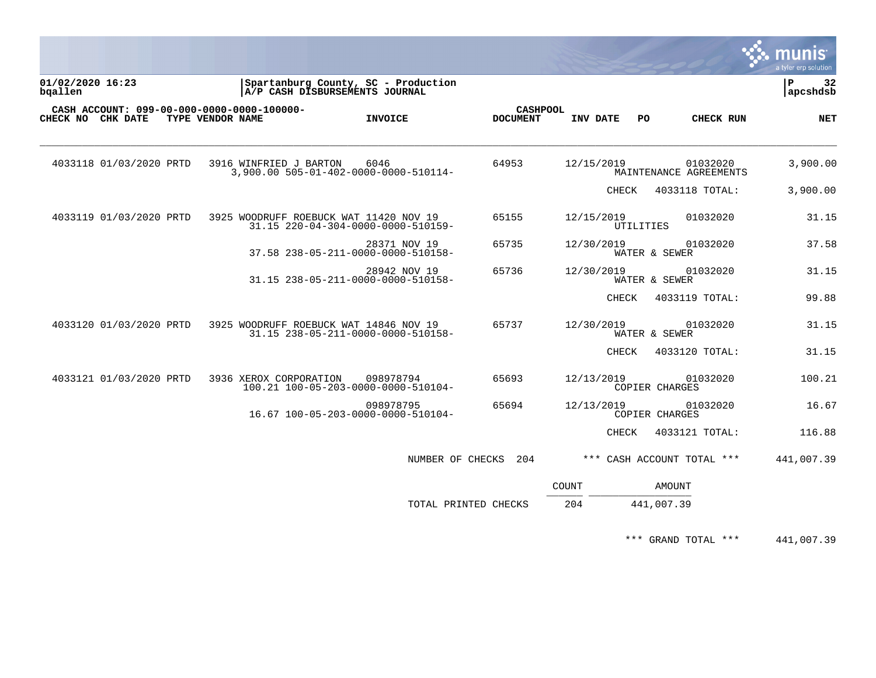|                                                                 |                                        |                                                                       |                                    |              |           |                                    | <b>S.S. MUNIS</b><br>a tyler erp solution |
|-----------------------------------------------------------------|----------------------------------------|-----------------------------------------------------------------------|------------------------------------|--------------|-----------|------------------------------------|-------------------------------------------|
| 01/02/2020 16:23<br>bgallen                                     |                                        | Spartanburg County, SC - Production<br>A/P CASH DISBURSEMENTS JOURNAL |                                    |              |           |                                    | $\mathbf P$<br>32<br>apcshdsb             |
| CASH ACCOUNT: 099-00-000-0000-0000-100000-<br>CHECK NO CHK DATE | TYPE VENDOR NAME                       | <b>INVOICE</b>                                                        | <b>CASHPOOL</b><br><b>DOCUMENT</b> | INV DATE     | PO.       | <b>CHECK RUN</b>                   | <b>NET</b>                                |
| 4033118 01/03/2020 PRTD                                         | 3916 WINFRIED J BARTON                 | 6046<br>3,900.00 505-01-402-0000-0000-510114-                         | 64953                              | 12/15/2019   |           | 01032020<br>MAINTENANCE AGREEMENTS | 3,900.00                                  |
|                                                                 |                                        |                                                                       |                                    |              | CHECK     | 4033118 TOTAL:                     | 3,900.00                                  |
| 4033119 01/03/2020 PRTD                                         | 3925 WOODRUFF ROEBUCK WAT 11420 NOV 19 | 31.15 220-04-304-0000-0000-510159-                                    | 65155                              | 12/15/2019   | UTILITIES | 01032020                           | 31.15                                     |
|                                                                 |                                        | 28371 NOV 19<br>37.58 238-05-211-0000-0000-510158-                    | 65735                              | 12/30/2019   |           | 01032020<br>WATER & SEWER          | 37.58                                     |
|                                                                 |                                        | 28942 NOV 19<br>31.15 238-05-211-0000-0000-510158-                    | 65736                              | 12/30/2019   |           | 01032020<br>WATER & SEWER          | 31.15                                     |
|                                                                 |                                        |                                                                       |                                    |              | CHECK     | 4033119 TOTAL:                     | 99.88                                     |
| 4033120 01/03/2020 PRTD                                         | 3925 WOODRUFF ROEBUCK WAT 14846 NOV 19 | 31.15 238-05-211-0000-0000-510158-                                    | 65737                              | 12/30/2019   |           | 01032020<br>WATER & SEWER          | 31.15                                     |
|                                                                 |                                        |                                                                       |                                    |              | CHECK     | 4033120 TOTAL:                     | 31.15                                     |
| 4033121 01/03/2020 PRTD                                         | 3936 XEROX CORPORATION                 | 098978794<br>100.21 100-05-203-0000-0000-510104-                      | 65693                              | 12/13/2019   |           | 01032020<br>COPIER CHARGES         | 100.21                                    |
|                                                                 |                                        | 098978795<br>16.67 100-05-203-0000-0000-510104-                       | 65694                              | 12/13/2019   |           | 01032020<br>COPIER CHARGES         | 16.67                                     |
|                                                                 |                                        |                                                                       |                                    |              | CHECK     | 4033121 TOTAL:                     | 116.88                                    |
|                                                                 |                                        |                                                                       | NUMBER OF CHECKS 204               |              |           | *** CASH ACCOUNT TOTAL ***         | 441,007.39                                |
|                                                                 |                                        |                                                                       |                                    | <b>COUNT</b> |           | <b>AMOUNT</b>                      |                                           |
|                                                                 |                                        |                                                                       | TOTAL PRINTED CHECKS               | 204          |           | 441,007.39                         |                                           |

\*\*\* GRAND TOTAL \*\*\* 441,007.39

 $\mathcal{L}$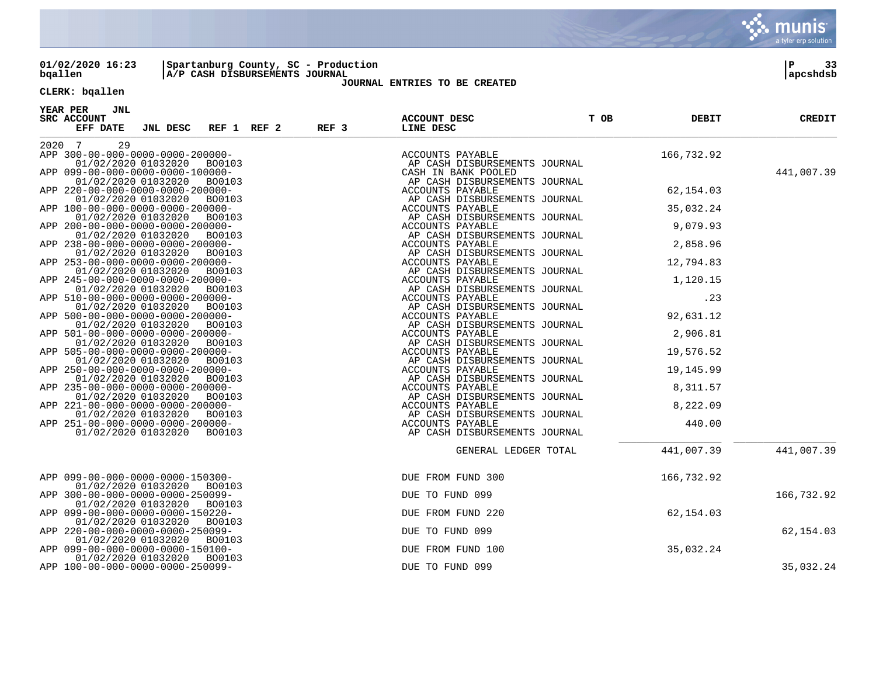

**01/02/2020 16:23 |Spartanburg County, SC - Production |P 33 bqallen |A/P CASH DISBURSEMENTS JOURNAL |apcshdsb**

## **JOURNAL ENTRIES TO BE CREATED**

# **CLERK: bqallen**

| YEAR PER<br>JNL<br>SRC ACCOUNT<br>JNL DESC REF 1 REF 2 REF 3<br>EFF DATE | T OB<br>ACCOUNT DESC<br>LINE DESC                                                                                                                                                                                                           | <b>DEBIT</b> | <b>CREDIT</b> |
|--------------------------------------------------------------------------|---------------------------------------------------------------------------------------------------------------------------------------------------------------------------------------------------------------------------------------------|--------------|---------------|
|                                                                          |                                                                                                                                                                                                                                             |              |               |
| 29<br>2020 7                                                             |                                                                                                                                                                                                                                             |              |               |
| APP 300-00-000-0000-0000-200000-                                         |                                                                                                                                                                                                                                             |              |               |
| 01/02/2020 01032020<br>BO0103                                            |                                                                                                                                                                                                                                             |              |               |
| APP 099-00-000-0000-0000-100000-                                         |                                                                                                                                                                                                                                             |              | 441,007.39    |
| 01/02/2020 01032020<br>BO0103                                            |                                                                                                                                                                                                                                             |              |               |
| APP 220-00-000-0000-0000-200000-                                         |                                                                                                                                                                                                                                             |              |               |
| 01/02/2020 01032020<br>BO0103                                            |                                                                                                                                                                                                                                             |              |               |
| APP 100-00-000-0000-0000-200000-                                         |                                                                                                                                                                                                                                             |              |               |
| 01/02/2020 01032020<br>B00103                                            |                                                                                                                                                                                                                                             |              |               |
| APP 200-00-000-0000-0000-200000-                                         |                                                                                                                                                                                                                                             |              |               |
| 01/02/2020 01032020<br>BO0103<br>APP 238-00-000-0000-0000-200000-        |                                                                                                                                                                                                                                             |              |               |
| 01/02/2020 01032020<br>BO0103                                            |                                                                                                                                                                                                                                             |              |               |
| APP 253-00-000-0000-0000-200000-                                         |                                                                                                                                                                                                                                             |              |               |
| 01/02/2020 01032020<br>BO0103                                            |                                                                                                                                                                                                                                             |              |               |
| APP 245-00-000-0000-0000-200000-                                         |                                                                                                                                                                                                                                             |              |               |
| 01/02/2020 01032020<br>BO0103                                            |                                                                                                                                                                                                                                             |              |               |
| APP 510-00-000-0000-0000-200000-                                         |                                                                                                                                                                                                                                             |              |               |
| 01/02/2020 01032020<br>BO0103                                            |                                                                                                                                                                                                                                             |              |               |
| APP 500-00-000-0000-0000-200000-                                         |                                                                                                                                                                                                                                             |              |               |
| 01/02/2020 01032020<br>BO0103                                            |                                                                                                                                                                                                                                             |              |               |
| APP 501-00-000-0000-0000-200000-                                         |                                                                                                                                                                                                                                             |              |               |
| 01/02/2020 01032020<br>BO0103                                            |                                                                                                                                                                                                                                             |              |               |
| APP 505-00-000-0000-0000-200000-                                         |                                                                                                                                                                                                                                             |              |               |
| 01/02/2020 01032020<br>BO0103                                            |                                                                                                                                                                                                                                             |              |               |
| APP 250-00-000-0000-0000-200000-                                         |                                                                                                                                                                                                                                             |              |               |
| 01/02/2020 01032020<br>BO0103                                            |                                                                                                                                                                                                                                             |              |               |
| APP 235-00-000-0000-0000-200000-                                         |                                                                                                                                                                                                                                             |              |               |
| 01/02/2020 01032020<br>BO0103                                            |                                                                                                                                                                                                                                             |              |               |
| APP 221-00-000-0000-0000-200000-                                         |                                                                                                                                                                                                                                             |              |               |
| 01/02/2020 01032020<br>BO0103                                            |                                                                                                                                                                                                                                             |              |               |
| APP 251-00-000-0000-0000-200000-                                         |                                                                                                                                                                                                                                             |              |               |
| 01/02/2020 01032020<br>BO0103                                            |                                                                                                                                                                                                                                             |              |               |
|                                                                          |                                                                                                                                                                                                                                             |              | 441,007.39    |
|                                                                          | AGE AND MONOGRAPHIES SOURALL (19.32.92)<br>ACCOUNTS PAYABLE MENTS JOURNAL<br>ACCOUNTS PAYABLE MENTS JOURNAL<br>ACCOUNTS PAYABLE MENTS JOURNAL<br>ACCOUNTS PAYABLE MENTS JOURNAL<br>ACCOUNTS PAYABLE<br>ACCOUNTS PAYABLE<br>ACCOUNTS PAYABLE |              |               |
| APP 099-00-000-0000-0000-150300-                                         | DUE FROM FUND 300                                                                                                                                                                                                                           | 166,732.92   |               |
| 01/02/2020 01032020<br>BO0103                                            |                                                                                                                                                                                                                                             |              |               |
| APP 300-00-000-0000-0000-250099-                                         | DUE TO FUND 099                                                                                                                                                                                                                             |              | 166,732.92    |
| 01/02/2020 01032020<br>BO0103                                            |                                                                                                                                                                                                                                             |              |               |
| APP 099-00-000-0000-0000-150220-                                         | DUE FROM FUND 220                                                                                                                                                                                                                           | 62,154.03    |               |
| 01/02/2020 01032020<br>BO0103                                            |                                                                                                                                                                                                                                             |              |               |
| APP 220-00-000-0000-0000-250099-                                         | DUE TO FUND 099                                                                                                                                                                                                                             |              | 62,154.03     |
| 01/02/2020 01032020<br>BO0103                                            |                                                                                                                                                                                                                                             |              |               |
| APP 099-00-000-0000-0000-150100-                                         | DUE FROM FUND 100                                                                                                                                                                                                                           | 35,032.24    |               |
| 01/02/2020 01032020<br>BO0103                                            |                                                                                                                                                                                                                                             |              |               |
| APP 100-00-000-0000-0000-250099-                                         | DUE TO FUND 099                                                                                                                                                                                                                             |              | 35,032.24     |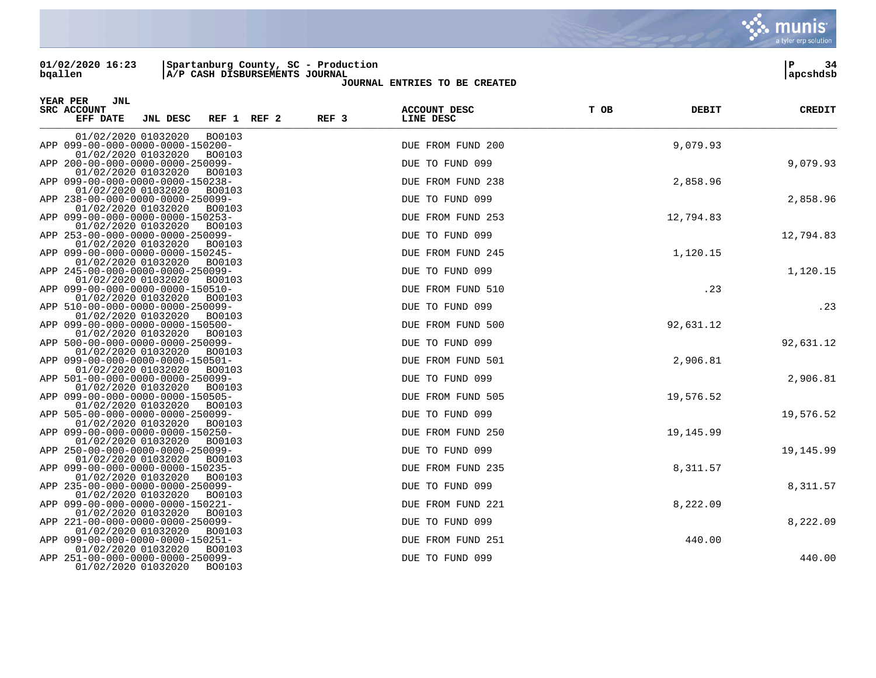**01/02/2020 16:23 |Spartanburg County, SC - Production |P 34 bqallen |A/P CASH DISBURSEMENTS JOURNAL |apcshdsb**

| YEAR PER<br>JNL<br>SRC ACCOUNT<br>EFF DATE | JNL DESC                                                    | REF 1 REF 2 | REF <sub>3</sub> | <b>ACCOUNT DESC</b><br>LINE DESC | T OB | DEBIT     | <b>CREDIT</b> |
|--------------------------------------------|-------------------------------------------------------------|-------------|------------------|----------------------------------|------|-----------|---------------|
| 01/02/2020 01032020                        | BO0103                                                      |             |                  |                                  |      |           |               |
| 01/02/2020 01032020                        | APP 099-00-000-0000-0000-150200-<br><b>BO0103</b>           |             |                  | DUE FROM FUND 200                |      | 9,079.93  |               |
|                                            | APP 200-00-000-0000-0000-250099-                            |             |                  | DUE TO FUND 099                  |      |           | 9,079.93      |
| 01/02/2020 01032020                        | <b>BO0103</b><br>APP 099-00-000-0000-0000-150238-           |             |                  | DUE FROM FUND 238                |      | 2,858.96  |               |
| 01/02/2020 01032020                        | <b>BO0103</b><br>APP 238-00-000-0000-0000-250099-           |             |                  | DUE TO FUND 099                  |      |           | 2,858.96      |
| 01/02/2020 01032020                        | <b>BO0103</b>                                               |             |                  |                                  |      |           |               |
| 01/02/2020 01032020                        | APP 099-00-000-0000-0000-150253-                            |             |                  | DUE FROM FUND 253                |      | 12,794.83 |               |
| 01/02/2020 01032020                        | BO0103<br>APP 253-00-000-0000-0000-250099-<br>BO0103        |             |                  | DUE TO FUND 099                  |      |           | 12,794.83     |
| 01/02/2020 01032020                        | APP 099-00-000-0000-0000-150245-<br>BO0103                  |             |                  | DUE FROM FUND 245                |      | 1,120.15  |               |
|                                            | APP 245-00-000-0000-0000-250099-                            |             |                  | DUE TO FUND 099                  |      |           | 1,120.15      |
| 01/02/2020 01032020                        | BO0103<br>APP 099-00-000-0000-0000-150510-                  |             |                  | DUE FROM FUND 510                |      | .23       |               |
| 01/02/2020 01032020                        | BO0103<br>APP 510-00-000-0000-0000-250099-                  |             |                  | DUE TO FUND 099                  |      |           | .23           |
| 01/02/2020 01032020                        | BO0103<br>APP 099-00-000-0000-0000-150500-                  |             |                  | DUE FROM FUND 500                |      | 92,631.12 |               |
| 01/02/2020 01032020                        | BO0103<br>APP 500-00-000-0000-0000-250099-                  |             |                  | DUE TO FUND 099                  |      |           | 92,631.12     |
| 01/02/2020 01032020                        | BO0103                                                      |             |                  |                                  |      |           |               |
| 01/02/2020 01032020                        | APP 099-00-000-0000-0000-150501-<br>BO0103                  |             |                  | DUE FROM FUND 501                |      | 2,906.81  |               |
|                                            | APP 501-00-000-0000-0000-250099-                            |             |                  | DUE TO FUND 099                  |      |           | 2,906.81      |
| 01/02/2020 01032020                        | BO0103<br>APP 099-00-000-0000-0000-150505-                  |             |                  | DUE FROM FUND 505                |      | 19,576.52 |               |
| 01/02/2020 01032020                        | BO0103                                                      |             |                  |                                  |      |           |               |
| 01/02/2020 01032020                        | APP 505-00-000-0000-0000-250099-<br>BO0103                  |             |                  | DUE TO FUND 099                  |      |           | 19,576.52     |
| 01/02/2020 01032020                        | APP 099-00-000-0000-0000-150250-<br>BO0103                  |             |                  | DUE FROM FUND 250                |      | 19,145.99 |               |
|                                            | APP 250-00-000-0000-0000-250099-                            |             |                  | DUE TO FUND 099                  |      |           | 19,145.99     |
| 01/02/2020 01032020                        | <b>BO0103</b><br>APP 099-00-000-0000-0000-150235-           |             |                  | DUE FROM FUND 235                |      | 8,311.57  |               |
| 01/02/2020 01032020                        | BO0103                                                      |             |                  |                                  |      |           |               |
| 01/02/2020 01032020                        | APP 235-00-000-0000-0000-250099-<br><b>BO0103</b>           |             |                  | DUE TO FUND 099                  |      |           | 8,311.57      |
| 01/02/2020 01032020                        | APP 099-00-000-0000-0000-150221-<br><b>BO0103</b>           |             |                  | DUE FROM FUND 221                |      | 8,222.09  |               |
|                                            | APP 221-00-000-0000-0000-250099-                            |             |                  | DUE TO FUND 099                  |      |           | 8,222.09      |
| 01/02/2020 01032020                        | <b>BO0103</b><br>APP 099-00-000-0000-0000-150251-           |             |                  | DUE FROM FUND 251                |      | 440.00    |               |
| 01/02/2020 01032020<br>01/02/2020 01032020 | <b>BO0103</b><br>APP 251-00-000-0000-0000-250099-<br>BO0103 |             |                  | DUE TO FUND 099                  |      |           | 440.00        |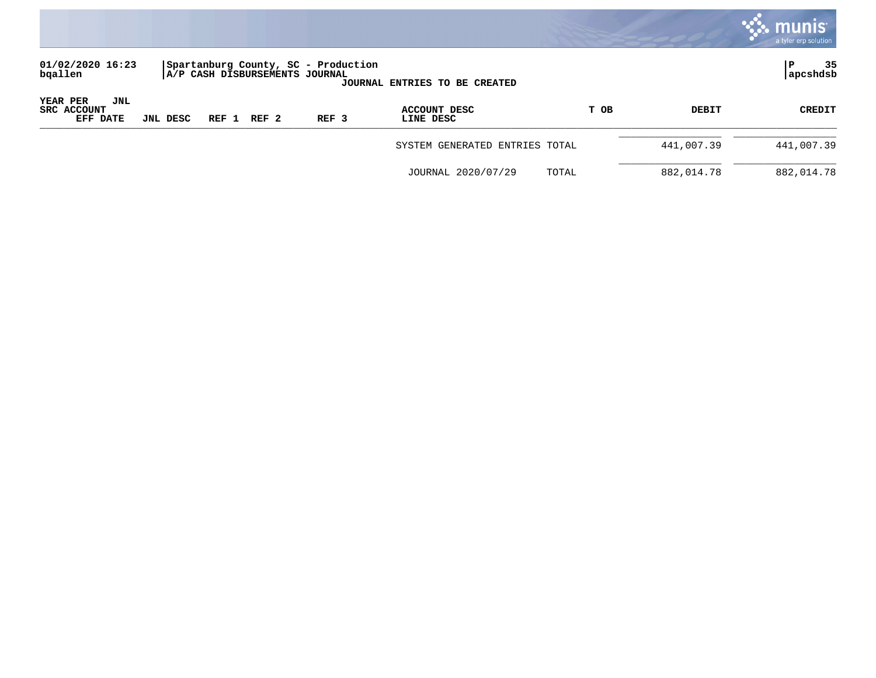

| 01/02/2020 16:23<br>bqallen                |          |       | Spartanburg County, SC - Production<br>A/P CASH DISBURSEMENTS JOURNAL |                  | <b>JOURNAL ENTRIES TO BE CREATED</b> |      |            | 35<br> apcshdsb |
|--------------------------------------------|----------|-------|-----------------------------------------------------------------------|------------------|--------------------------------------|------|------------|-----------------|
| YEAR PER<br>JNL<br>SRC ACCOUNT<br>EFF DATE | JNL DESC | REF 1 | $REF$ 2                                                               | REF <sub>3</sub> | ACCOUNT DESC<br>LINE DESC            | T OB | DEBIT      | <b>CREDIT</b>   |
|                                            |          |       |                                                                       |                  | SYSTEM GENERATED ENTRIES TOTAL       |      | 441,007.39 | 441,007.39      |

| JOURNAL 2020/07/29 | TOTAL | 882,014.78 | 882,014.78 |
|--------------------|-------|------------|------------|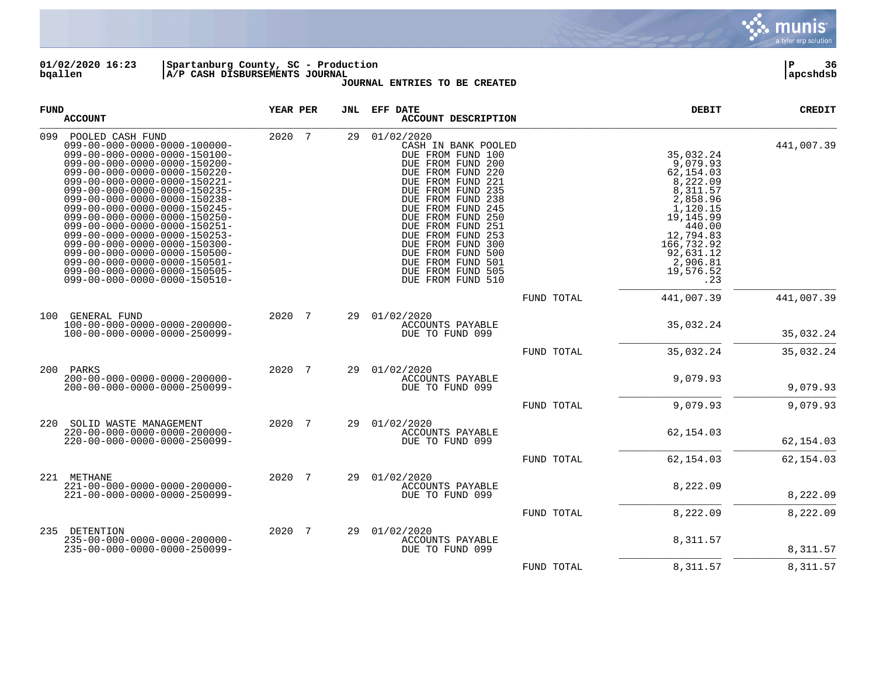

**01/02/2020 16:23 |Spartanburg County, SC - Production |P 36 bqallen |A/P CASH DISBURSEMENTS JOURNAL |apcshdsb**

| FUND | <b>ACCOUNT</b>                                                                                                                                                                                                                                                                                                                                                                                                                                                                                                                                                             | YEAR PER | JNL | EFF DATE<br>ACCOUNT DESCRIPTION                                                                                                                                                                                                                                                                                                                              |            | DEBIT                                                                                                                                                                             | <b>CREDIT</b> |
|------|----------------------------------------------------------------------------------------------------------------------------------------------------------------------------------------------------------------------------------------------------------------------------------------------------------------------------------------------------------------------------------------------------------------------------------------------------------------------------------------------------------------------------------------------------------------------------|----------|-----|--------------------------------------------------------------------------------------------------------------------------------------------------------------------------------------------------------------------------------------------------------------------------------------------------------------------------------------------------------------|------------|-----------------------------------------------------------------------------------------------------------------------------------------------------------------------------------|---------------|
| 099  | POOLED CASH FUND<br>$099 - 00 - 000 - 0000 - 0000 - 100000 -$<br>099-00-000-0000-0000-150100-<br>099-00-000-0000-0000-150200-<br>099-00-000-0000-0000-150220-<br>099-00-000-0000-0000-150221-<br>099-00-000-0000-0000-150235-<br>099-00-000-0000-0000-150238-<br>099-00-000-0000-0000-150245-<br>099-00-000-0000-0000-150250-<br>099-00-000-0000-0000-150251-<br>099-00-000-0000-0000-150253-<br>$099 - 00 - 000 - 0000 - 0000 - 150300 -$<br>099-00-000-0000-0000-150500-<br>099-00-000-0000-0000-150501-<br>099-00-000-0000-0000-150505-<br>099-00-000-0000-0000-150510- | 2020 7   | 29  | 01/02/2020<br>CASH IN BANK POOLED<br>DUE FROM FUND 100<br>DUE FROM FUND 200<br>DUE FROM FUND 220<br>DUE FROM FUND 221<br>DUE FROM FUND 235<br>DUE FROM FUND 238<br>DUE FROM FUND 245<br>DUE FROM FUND 250<br>DUE FROM FUND 251<br>DUE FROM FUND 253<br>DUE FROM FUND 300<br>DUE FROM FUND 500<br>DUE FROM FUND 501<br>DUE FROM FUND 505<br>DUE FROM FUND 510 |            | 35,032.24<br>9,079.93<br>62,154.03<br>8,222.09<br>8,311.57<br>2,858.96<br>1,120.15<br>19,145.99<br>440.00<br>12,794.83<br>166,732.92<br>92,631.12<br>2,906.81<br>19,576.52<br>.23 | 441,007.39    |
|      |                                                                                                                                                                                                                                                                                                                                                                                                                                                                                                                                                                            |          |     |                                                                                                                                                                                                                                                                                                                                                              | FUND TOTAL | 441,007.39                                                                                                                                                                        | 441,007.39    |
| 100  | GENERAL FUND<br>$100 - 00 - 000 - 0000 - 0000 - 200000 -$<br>100-00-000-0000-0000-250099-                                                                                                                                                                                                                                                                                                                                                                                                                                                                                  | 2020 7   | 29  | 01/02/2020<br>ACCOUNTS PAYABLE<br>DUE TO FUND 099                                                                                                                                                                                                                                                                                                            |            | 35,032.24                                                                                                                                                                         | 35,032.24     |
|      |                                                                                                                                                                                                                                                                                                                                                                                                                                                                                                                                                                            |          |     |                                                                                                                                                                                                                                                                                                                                                              | FUND TOTAL | 35,032.24                                                                                                                                                                         | 35,032.24     |
| 200  | PARKS<br>$200 - 00 - 000 - 0000 - 0000 - 200000 -$<br>$200 - 00 - 000 - 0000 - 0000 - 250099 -$                                                                                                                                                                                                                                                                                                                                                                                                                                                                            | 2020 7   | 29  | 01/02/2020<br>ACCOUNTS PAYABLE<br>DUE TO FUND 099                                                                                                                                                                                                                                                                                                            |            | 9,079.93                                                                                                                                                                          | 9,079.93      |
|      |                                                                                                                                                                                                                                                                                                                                                                                                                                                                                                                                                                            |          |     |                                                                                                                                                                                                                                                                                                                                                              | FUND TOTAL | 9,079.93                                                                                                                                                                          | 9,079.93      |
| 220  | SOLID WASTE MANAGEMENT<br>$220 - 00 - 000 - 0000 - 0000 - 200000 -$<br>220-00-000-0000-0000-250099-                                                                                                                                                                                                                                                                                                                                                                                                                                                                        | 2020 7   | 29  | 01/02/2020<br>ACCOUNTS PAYABLE<br>DUE TO FUND 099                                                                                                                                                                                                                                                                                                            |            | 62,154.03                                                                                                                                                                         | 62,154.03     |
|      |                                                                                                                                                                                                                                                                                                                                                                                                                                                                                                                                                                            |          |     |                                                                                                                                                                                                                                                                                                                                                              | FUND TOTAL | 62,154.03                                                                                                                                                                         | 62,154.03     |
|      | 221 METHANE<br>$221 - 00 - 000 - 0000 - 0000 - 200000 -$<br>221-00-000-0000-0000-250099-                                                                                                                                                                                                                                                                                                                                                                                                                                                                                   | 2020 7   | 29  | 01/02/2020<br>ACCOUNTS PAYABLE<br>DUE TO FUND 099                                                                                                                                                                                                                                                                                                            |            | 8,222.09                                                                                                                                                                          | 8,222.09      |
|      |                                                                                                                                                                                                                                                                                                                                                                                                                                                                                                                                                                            |          |     |                                                                                                                                                                                                                                                                                                                                                              | FUND TOTAL | 8,222.09                                                                                                                                                                          | 8,222.09      |
| 235  | DETENTION<br>$235 - 00 - 000 - 0000 - 0000 - 200000 -$<br>235-00-000-0000-0000-250099-                                                                                                                                                                                                                                                                                                                                                                                                                                                                                     | 2020 7   | 29  | 01/02/2020<br>ACCOUNTS PAYABLE<br>DUE TO FUND 099                                                                                                                                                                                                                                                                                                            |            | 8,311.57                                                                                                                                                                          | 8,311.57      |
|      |                                                                                                                                                                                                                                                                                                                                                                                                                                                                                                                                                                            |          |     |                                                                                                                                                                                                                                                                                                                                                              | FUND TOTAL | 8,311.57                                                                                                                                                                          | 8,311.57      |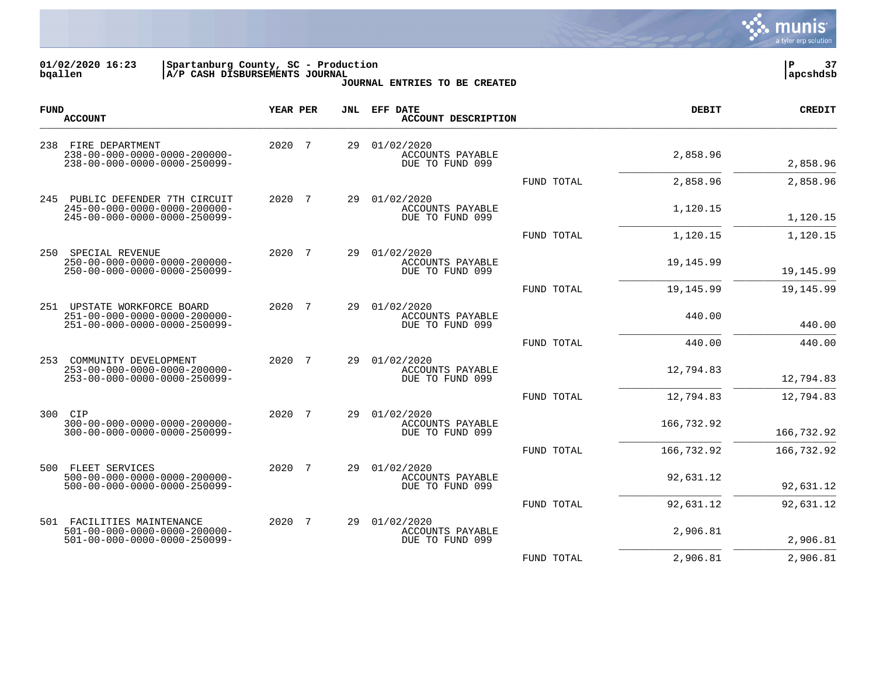

**01/02/2020 16:23 |Spartanburg County, SC - Production |P 37 bqallen |A/P CASH DISBURSEMENTS JOURNAL |apcshdsb**

| <b>FUND</b> | <b>ACCOUNT</b>                                                                                                       | YEAR PER |                | JNL | EFF DATE<br><b>ACCOUNT DESCRIPTION</b>                   |            | <b>DEBIT</b> | <b>CREDIT</b> |
|-------------|----------------------------------------------------------------------------------------------------------------------|----------|----------------|-----|----------------------------------------------------------|------------|--------------|---------------|
| 238         | FIRE DEPARTMENT<br>$238 - 00 - 000 - 0000 - 0000 - 200000 -$<br>$238 - 00 - 000 - 0000 - 0000 - 250099 -$            | 2020 7   |                | 29  | 01/02/2020<br><b>ACCOUNTS PAYABLE</b><br>DUE TO FUND 099 |            | 2,858.96     | 2,858.96      |
|             |                                                                                                                      |          |                |     |                                                          | FUND TOTAL | 2,858.96     | 2,858.96      |
| 245         | PUBLIC DEFENDER 7TH CIRCUIT<br>$245 - 00 - 000 - 0000 - 0000 - 200000 -$<br>245-00-000-0000-0000-250099-             | 2020     | 7              | 29  | 01/02/2020<br>ACCOUNTS PAYABLE<br>DUE TO FUND 099        |            | 1,120.15     | 1,120.15      |
|             |                                                                                                                      |          |                |     |                                                          | FUND TOTAL | 1,120.15     | 1,120.15      |
| 250         | SPECIAL REVENUE<br>$250 - 00 - 000 - 0000 - 0000 - 200000 -$<br>250-00-000-0000-0000-250099-                         | 2020     | $\overline{7}$ | 29  | 01/02/2020<br>ACCOUNTS PAYABLE<br>DUE TO FUND 099        |            | 19,145.99    | 19, 145.99    |
|             |                                                                                                                      |          |                |     |                                                          | FUND TOTAL | 19,145.99    | 19, 145.99    |
|             | 251 UPSTATE WORKFORCE BOARD<br>251-00-000-0000-0000-200000-<br>251-00-000-0000-0000-250099-                          | 2020 7   |                | 29  | 01/02/2020<br>ACCOUNTS PAYABLE<br>DUE TO FUND 099        |            | 440.00       | 440.00        |
|             |                                                                                                                      |          |                |     |                                                          | FUND TOTAL | 440.00       | 440.00        |
| 253         | COMMUNITY DEVELOPMENT<br>253-00-000-0000-0000-200000-<br>253-00-000-0000-0000-250099-                                | 2020     | -7             | 29  | 01/02/2020<br>ACCOUNTS PAYABLE<br>DUE TO FUND 099        |            | 12,794.83    | 12,794.83     |
|             |                                                                                                                      |          |                |     |                                                          | FUND TOTAL | 12,794.83    | 12,794.83     |
| 300         | CIP<br>$300 - 00 - 000 - 0000 - 0000 - 200000 -$<br>300-00-000-0000-0000-250099-                                     | 2020     | 7              | 29  | 01/02/2020<br>ACCOUNTS PAYABLE<br>DUE TO FUND 099        |            | 166,732.92   | 166,732.92    |
|             |                                                                                                                      |          |                |     |                                                          | FUND TOTAL | 166,732.92   | 166,732.92    |
| 500         | FLEET SERVICES<br>$500 - 00 - 000 - 0000 - 0000 - 200000 -$<br>$500 - 00 - 000 - 0000 - 0000 - 250099 -$             | 2020 7   |                | 29  | 01/02/2020<br>ACCOUNTS PAYABLE<br>DUE TO FUND 099        |            | 92,631.12    | 92,631.12     |
|             |                                                                                                                      |          |                |     |                                                          | FUND TOTAL | 92,631.12    | 92,631.12     |
|             | 501 FACILITIES MAINTENANCE<br>$501 - 00 - 000 - 0000 - 0000 - 200000 -$<br>$501 - 00 - 000 - 0000 - 0000 - 250099 -$ | 2020     | $\overline{7}$ | 29  | 01/02/2020<br>ACCOUNTS PAYABLE<br>DUE TO FUND 099        |            | 2,906.81     | 2,906.81      |
|             |                                                                                                                      |          |                |     |                                                          | FUND TOTAL | 2,906.81     | 2,906.81      |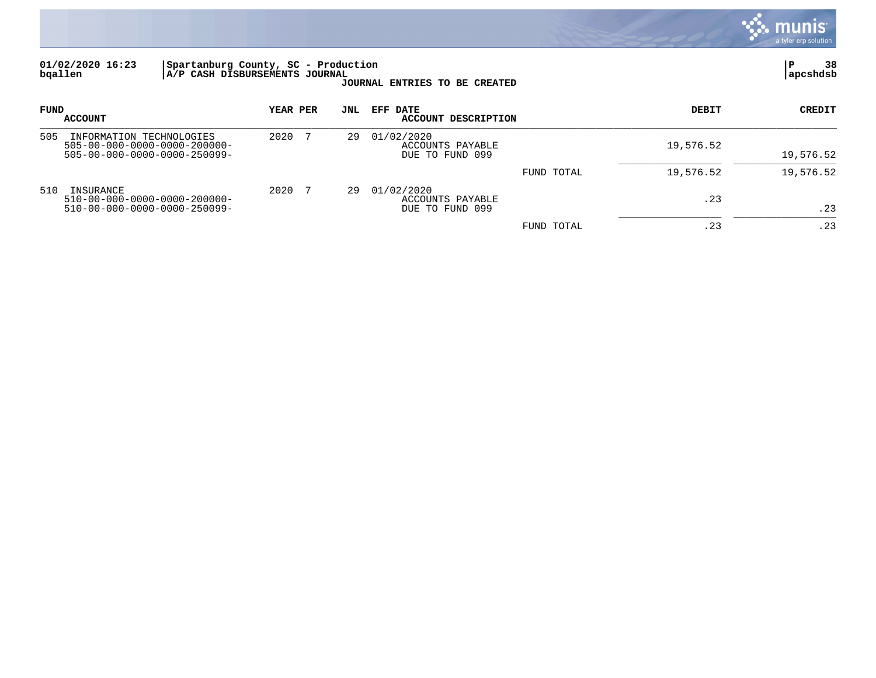

### **01/02/2020 16:23 |Spartanburg County, SC - Production |P 38 bqallen |A/P CASH DISBURSEMENTS JOURNAL |apcshdsb**

| FUND | <b>ACCOUNT</b>                                                                                        | YEAR PER | JNL | EFF DATE<br>ACCOUNT DESCRIPTION                   |            | DEBIT     | <b>CREDIT</b> |
|------|-------------------------------------------------------------------------------------------------------|----------|-----|---------------------------------------------------|------------|-----------|---------------|
| 505  | INFORMATION TECHNOLOGIES<br>$505 - 00 - 000 - 0000 - 0000 - 200000 -$<br>505-00-000-0000-0000-250099- | 2020     | 29  | 01/02/2020<br>ACCOUNTS PAYABLE<br>DUE TO FUND 099 |            | 19,576.52 | 19,576.52     |
|      |                                                                                                       |          |     |                                                   | FUND TOTAL | 19,576.52 | 19,576.52     |
| 510  | INSURANCE<br>$510 - 00 - 000 - 0000 - 0000 - 200000 -$<br>510-00-000-0000-0000-250099-                | 2020     | 29  | 01/02/2020<br>ACCOUNTS PAYABLE<br>DUE TO FUND 099 |            | .23       | .23           |
|      |                                                                                                       |          |     |                                                   | FUND TOTAL | . 23      | .23           |